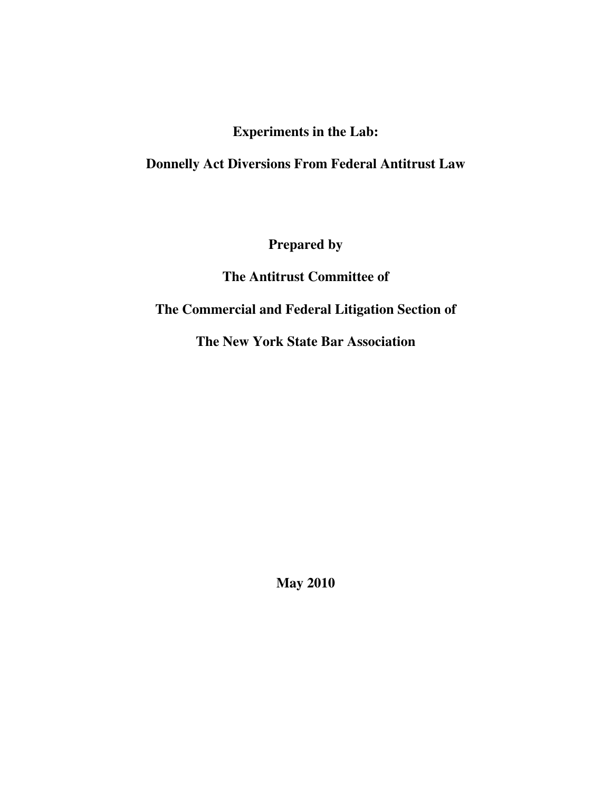## **Experiments in the Lab:**

## **Donnelly Act Diversions From Federal Antitrust Law**

**Prepared by** 

**The Antitrust Committee of** 

## **The Commercial and Federal Litigation Section of**

**The New York State Bar Association** 

**May 2010**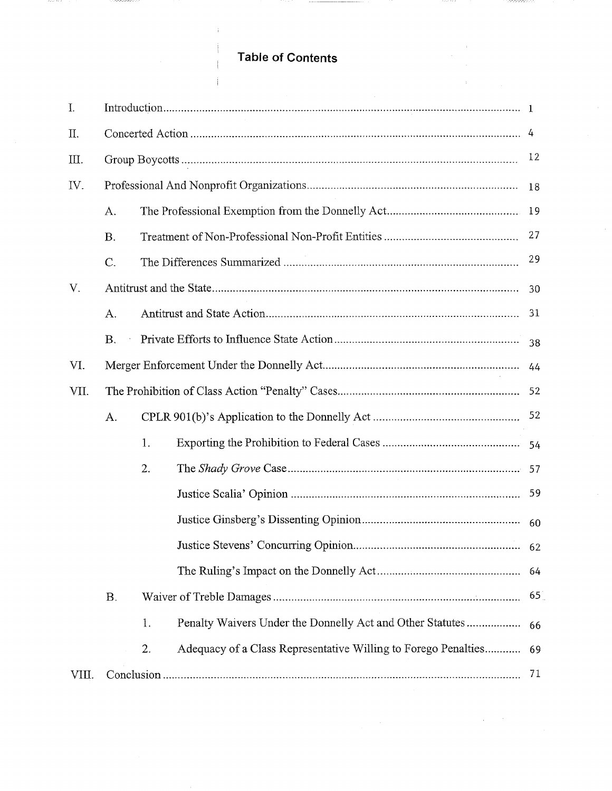# **Table of Contents**

j

----

-------

| I.    |           |    |                                                                |    |
|-------|-----------|----|----------------------------------------------------------------|----|
| II.   |           |    |                                                                |    |
| Ш.    |           |    |                                                                | 12 |
| IV.   |           |    |                                                                | 18 |
|       | A.        |    |                                                                |    |
|       | <b>B.</b> |    |                                                                | 27 |
|       | C.        |    |                                                                | 29 |
| V.    |           |    |                                                                | 30 |
|       | A.        |    |                                                                | 31 |
|       | <b>B.</b> |    |                                                                | 38 |
| VI.   |           |    |                                                                |    |
| VII.  |           |    |                                                                |    |
|       | A.        |    |                                                                |    |
|       |           | 1. |                                                                |    |
|       |           | 2. |                                                                |    |
|       |           |    |                                                                | 59 |
|       |           |    |                                                                |    |
|       |           |    |                                                                |    |
|       |           |    |                                                                | 64 |
|       | <b>B.</b> |    |                                                                |    |
|       |           | 1. | Penalty Waivers Under the Donnelly Act and Other Statutes      | 66 |
|       |           | 2. | Adequacy of a Class Representative Willing to Forego Penalties | 69 |
| VIII. |           |    |                                                                | 71 |

**CONSTRUCT**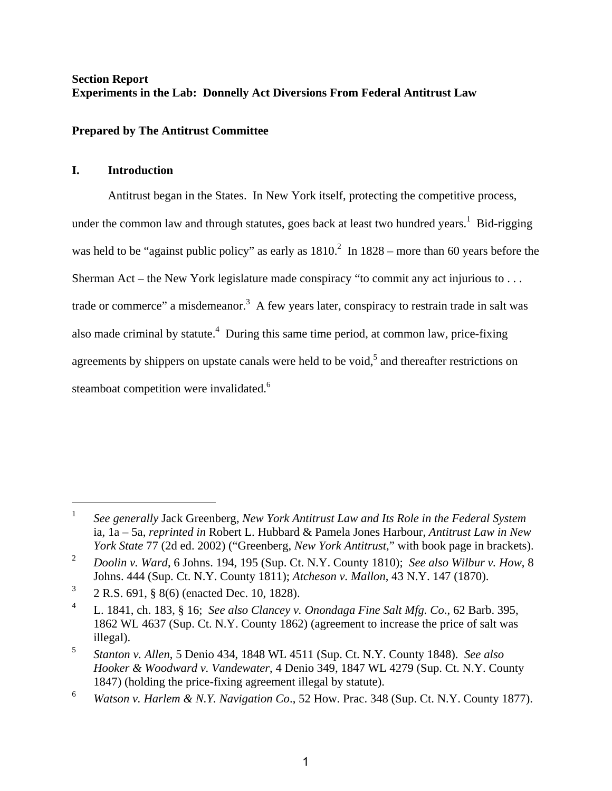## **Section Report Experiments in the Lab: Donnelly Act Diversions From Federal Antitrust Law**

## **Prepared by The Antitrust Committee**

## **I. Introduction**

 $\overline{a}$ 

Antitrust began in the States. In New York itself, protecting the competitive process, under the common law and through statutes, goes back at least two hundred years.<sup>1</sup> Bid-rigging was held to be "against public policy" as early as  $1810<sup>2</sup>$  In  $1828$  – more than 60 years before the Sherman Act – the New York legislature made conspiracy "to commit any act injurious to . . . trade or commerce" a misdemeanor.<sup>3</sup> A few years later, conspiracy to restrain trade in salt was also made criminal by statute.<sup>4</sup> During this same time period, at common law, price-fixing agreements by shippers on upstate canals were held to be void,<sup>5</sup> and thereafter restrictions on steamboat competition were invalidated.<sup>6</sup>

<sup>1</sup> *See generally* Jack Greenberg, *New York Antitrust Law and Its Role in the Federal System* ia, 1a – 5a, *reprinted in* Robert L. Hubbard & Pamela Jones Harbour, *Antitrust Law in New York State* 77 (2d ed. 2002) ("Greenberg, *New York Antitrust*," with book page in brackets).

<sup>2</sup> *Doolin v. Ward*, 6 Johns. 194, 195 (Sup. Ct. N.Y. County 1810); *See also Wilbur v. How*, 8 Johns. 444 (Sup. Ct. N.Y. County 1811); *Atcheson v. Mallon*, 43 N.Y. 147 (1870).

<sup>3</sup> 2 R.S. 691, § 8(6) (enacted Dec. 10, 1828).

<sup>4</sup> L. 1841, ch. 183, § 16; *See also Clancey v. Onondaga Fine Salt Mfg. Co*., 62 Barb. 395, 1862 WL 4637 (Sup. Ct. N.Y. County 1862) (agreement to increase the price of salt was illegal).

<sup>5</sup> *Stanton v. Allen*, 5 Denio 434, 1848 WL 4511 (Sup. Ct. N.Y. County 1848). *See also Hooker & Woodward v. Vandewater*, 4 Denio 349, 1847 WL 4279 (Sup. Ct. N.Y. County 1847) (holding the price-fixing agreement illegal by statute).

<sup>6</sup> *Watson v. Harlem & N.Y. Navigation Co*., 52 How. Prac. 348 (Sup. Ct. N.Y. County 1877).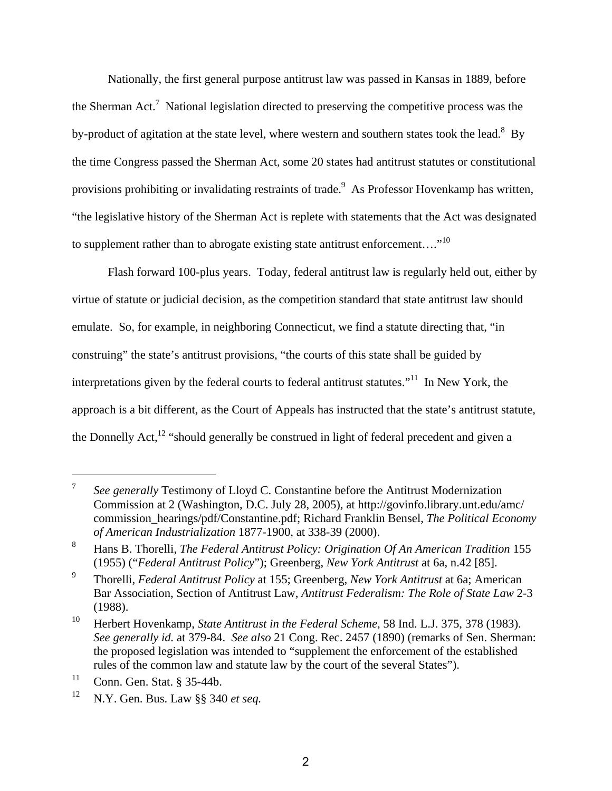Nationally, the first general purpose antitrust law was passed in Kansas in 1889, before the Sherman Act.<sup>7</sup> National legislation directed to preserving the competitive process was the by-product of agitation at the state level, where western and southern states took the lead.<sup>8</sup> By the time Congress passed the Sherman Act, some 20 states had antitrust statutes or constitutional provisions prohibiting or invalidating restraints of trade.<sup>9</sup> As Professor Hovenkamp has written, "the legislative history of the Sherman Act is replete with statements that the Act was designated to supplement rather than to abrogate existing state antitrust enforcement...."<sup>10</sup>

Flash forward 100-plus years. Today, federal antitrust law is regularly held out, either by virtue of statute or judicial decision, as the competition standard that state antitrust law should emulate. So, for example, in neighboring Connecticut, we find a statute directing that, "in construing" the state's antitrust provisions, "the courts of this state shall be guided by interpretations given by the federal courts to federal antitrust statutes."<sup>11</sup> In New York, the approach is a bit different, as the Court of Appeals has instructed that the state's antitrust statute, the Donnelly Act,<sup>12</sup> "should generally be construed in light of federal precedent and given a

<sup>7</sup> *See generally* Testimony of Lloyd C. Constantine before the Antitrust Modernization Commission at 2 (Washington, D.C. July 28, 2005), at http://govinfo.library.unt.edu/amc/ commission\_hearings/pdf/Constantine.pdf; Richard Franklin Bensel, *The Political Economy of American Industrialization* 1877-1900, at 338-39 (2000).

<sup>8</sup> Hans B. Thorelli, *The Federal Antitrust Policy: Origination Of An American Tradition* 155 (1955) ("*Federal Antitrust Policy*"); Greenberg, *New York Antitrust* at 6a, n.42 [85].

<sup>9</sup> Thorelli, *Federal Antitrust Policy* at 155; Greenberg, *New York Antitrust* at 6a; American Bar Association, Section of Antitrust Law, *Antitrust Federalism: The Role of State Law* 2-3 (1988).

<sup>10</sup> Herbert Hovenkamp, *State Antitrust in the Federal Scheme*, 58 Ind. L.J. 375, 378 (1983). *See generally id.* at 379-84. *See also* 21 Cong. Rec. 2457 (1890) (remarks of Sen. Sherman: the proposed legislation was intended to "supplement the enforcement of the established rules of the common law and statute law by the court of the several States").

 $11$  Conn. Gen. Stat. § 35-44b.

<sup>12</sup> N.Y. Gen. Bus. Law §§ 340 *et seq.*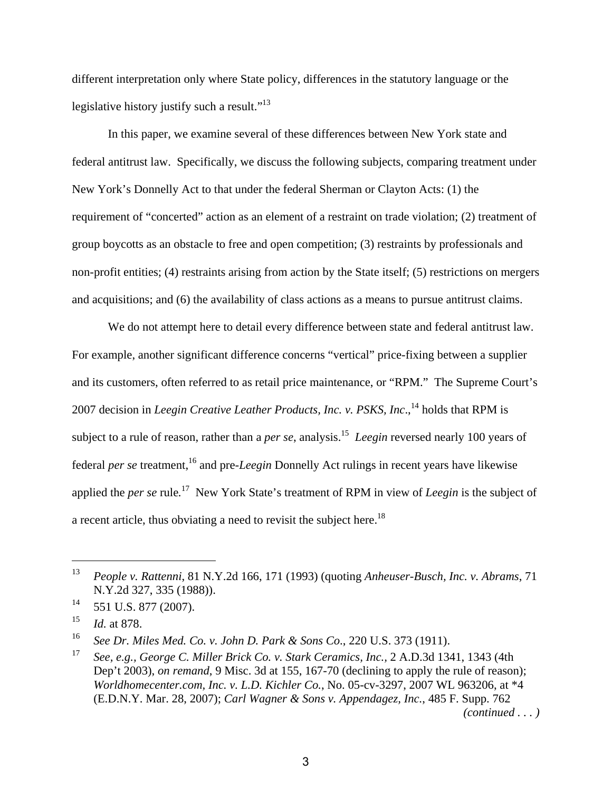different interpretation only where State policy, differences in the statutory language or the legislative history justify such a result."<sup>13</sup>

In this paper, we examine several of these differences between New York state and federal antitrust law. Specifically, we discuss the following subjects, comparing treatment under New York's Donnelly Act to that under the federal Sherman or Clayton Acts: (1) the requirement of "concerted" action as an element of a restraint on trade violation; (2) treatment of group boycotts as an obstacle to free and open competition; (3) restraints by professionals and non-profit entities; (4) restraints arising from action by the State itself; (5) restrictions on mergers and acquisitions; and (6) the availability of class actions as a means to pursue antitrust claims.

We do not attempt here to detail every difference between state and federal antitrust law. For example, another significant difference concerns "vertical" price-fixing between a supplier and its customers, often referred to as retail price maintenance, or "RPM." The Supreme Court's 2007 decision in *Leegin Creative Leather Products, Inc. v. PSKS, Inc.*<sup>14</sup> holds that RPM is subject to a rule of reason, rather than a *per se*, analysis.15 *Leegin* reversed nearly 100 years of federal *per se* treatment,<sup>16</sup> and pre-*Leegin* Donnelly Act rulings in recent years have likewise applied the *per se* rule*.* 17 New York State's treatment of RPM in view of *Leegin* is the subject of a recent article, thus obviating a need to revisit the subject here.<sup>18</sup>

<sup>13</sup> *People v. Rattenni*, 81 N.Y.2d 166, 171 (1993) (quoting *Anheuser-Busch, Inc. v. Abrams*, 71 N.Y.2d 327, 335 (1988)).

<sup>&</sup>lt;sup>14</sup> 551 U.S. 877 (2007).

<sup>15</sup> *Id.* at 878.

<sup>16</sup> *See Dr. Miles Med. Co. v. John D. Park & Sons Co*., 220 U.S. 373 (1911).

<sup>17</sup> *See, e.g., George C. Miller Brick Co. v. Stark Ceramics, Inc.,* 2 A.D.3d 1341, 1343 (4th Dep't 2003), *on remand*, 9 Misc. 3d at 155, 167-70 (declining to apply the rule of reason); *Worldhomecenter.com, Inc. v. L.D. Kichler Co.*, No. 05-cv-3297, 2007 WL 963206, at \*4 (E.D.N.Y. Mar. 28, 2007); *Carl Wagner & Sons v. Appendagez, Inc.*, 485 F. Supp. 762 *(continued . . . )*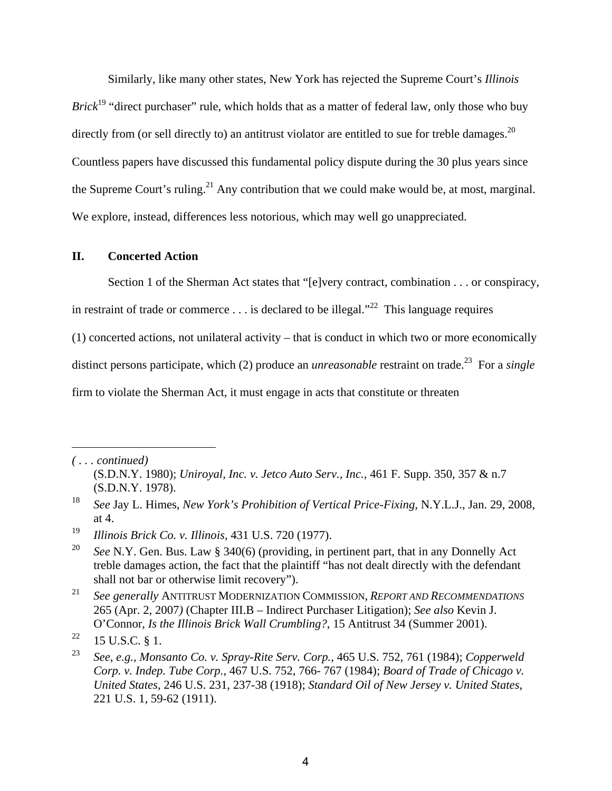Similarly, like many other states, New York has rejected the Supreme Court's *Illinois Brick*<sup>19</sup> "direct purchaser" rule, which holds that as a matter of federal law, only those who buy directly from (or sell directly to) an antitrust violator are entitled to sue for treble damages.<sup>20</sup> Countless papers have discussed this fundamental policy dispute during the 30 plus years since the Supreme Court's ruling.<sup>21</sup> Any contribution that we could make would be, at most, marginal. We explore, instead, differences less notorious, which may well go unappreciated.

#### **II. Concerted Action**

Section 1 of the Sherman Act states that "[e]very contract, combination . . . or conspiracy,

in restraint of trade or commerce . . . is declared to be illegal."<sup>22</sup> This language requires

(1) concerted actions, not unilateral activity – that is conduct in which two or more economically

distinct persons participate, which (2) produce an *unreasonable* restraint on trade.<sup>23</sup> For a *single* 

firm to violate the Sherman Act, it must engage in acts that constitute or threaten

*<sup>( . . .</sup> continued)* 

<sup>(</sup>S.D.N.Y. 1980); *Uniroyal, Inc. v. Jetco Auto Serv., Inc.,* 461 F. Supp. 350, 357 & n.7 (S.D.N.Y. 1978).

<sup>18</sup> *See* Jay L. Himes, *New York's Prohibition of Vertical Price-Fixing*, N.Y.L.J., Jan. 29, 2008, at 4.

<sup>19</sup> *Illinois Brick Co. v. Illinois*, 431 U.S. 720 (1977).

<sup>&</sup>lt;sup>20</sup> *See* N.Y. Gen. Bus. Law § 340(6) (providing, in pertinent part, that in any Donnelly Act treble damages action, the fact that the plaintiff "has not dealt directly with the defendant shall not bar or otherwise limit recovery").

<sup>21</sup> *See generally* ANTITRUST MODERNIZATION COMMISSION, *REPORT AND RECOMMENDATIONS* 265 (Apr. 2, 2007*)* (Chapter III.B – Indirect Purchaser Litigation); *See also* Kevin J. O'Connor, *Is the Illinois Brick Wall Crumbling?*, 15 Antitrust 34 (Summer 2001).

 $22 \quad 15 \text{ U.S.C. }$  § 1.

<sup>23</sup> *See*, *e.g.*, *Monsanto Co. v. Spray-Rite Serv. Corp.*, 465 U.S. 752, 761 (1984); *Copperweld Corp. v. Indep. Tube Corp.*, 467 U.S. 752, 766- 767 (1984); *Board of Trade of Chicago v. United States*, 246 U.S. 231, 237-38 (1918); *Standard Oil of New Jersey v. United States*, 221 U.S. 1, 59-62 (1911).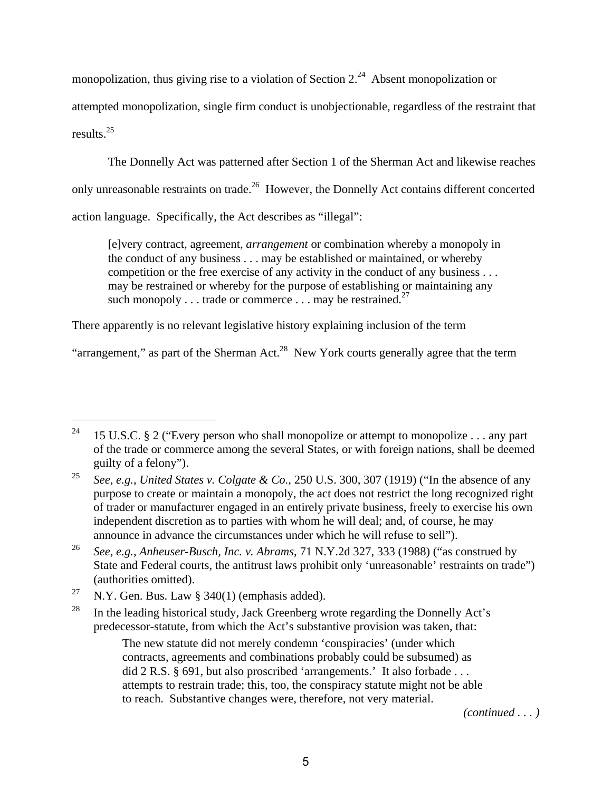monopolization, thus giving rise to a violation of Section  $2.^{24}$  Absent monopolization or

attempted monopolization, single firm conduct is unobjectionable, regardless of the restraint that results.25

The Donnelly Act was patterned after Section 1 of the Sherman Act and likewise reaches only unreasonable restraints on trade.<sup>26</sup> However, the Donnelly Act contains different concerted action language. Specifically, the Act describes as "illegal":

[e]very contract, agreement, *arrangement* or combination whereby a monopoly in the conduct of any business . . . may be established or maintained, or whereby competition or the free exercise of any activity in the conduct of any business . . . may be restrained or whereby for the purpose of establishing or maintaining any such monopoly . . . trade or commerce . . . may be restrained.<sup>27</sup>

There apparently is no relevant legislative history explaining inclusion of the term

"arrangement," as part of the Sherman Act.<sup>28</sup> New York courts generally agree that the term

 $\overline{a}$ 

 The new statute did not merely condemn 'conspiracies' (under which contracts, agreements and combinations probably could be subsumed) as did 2 R.S. § 691, but also proscribed 'arrangements.' It also forbade . . . attempts to restrain trade; this, too, the conspiracy statute might not be able to reach. Substantive changes were, therefore, not very material.

*(continued . . . )* 

<sup>&</sup>lt;sup>24</sup> 15 U.S.C. § 2 ("Every person who shall monopolize or attempt to monopolize . . . any part of the trade or commerce among the several States, or with foreign nations, shall be deemed guilty of a felony").

<sup>25</sup> *See*, *e.g.*, *United States v. Colgate & Co.*, 250 U.S. 300, 307 (1919) ("In the absence of any purpose to create or maintain a monopoly, the act does not restrict the long recognized right of trader or manufacturer engaged in an entirely private business, freely to exercise his own independent discretion as to parties with whom he will deal; and, of course, he may announce in advance the circumstances under which he will refuse to sell").

<sup>26</sup> *See*, *e.g.*, *Anheuser-Busch, Inc. v. Abrams*, 71 N.Y.2d 327, 333 (1988) ("as construed by State and Federal courts, the antitrust laws prohibit only 'unreasonable' restraints on trade") (authorities omitted).

<sup>&</sup>lt;sup>27</sup> N.Y. Gen. Bus. Law § 340(1) (emphasis added).

<sup>&</sup>lt;sup>28</sup> In the leading historical study, Jack Greenberg wrote regarding the Donnelly Act's predecessor-statute, from which the Act's substantive provision was taken, that: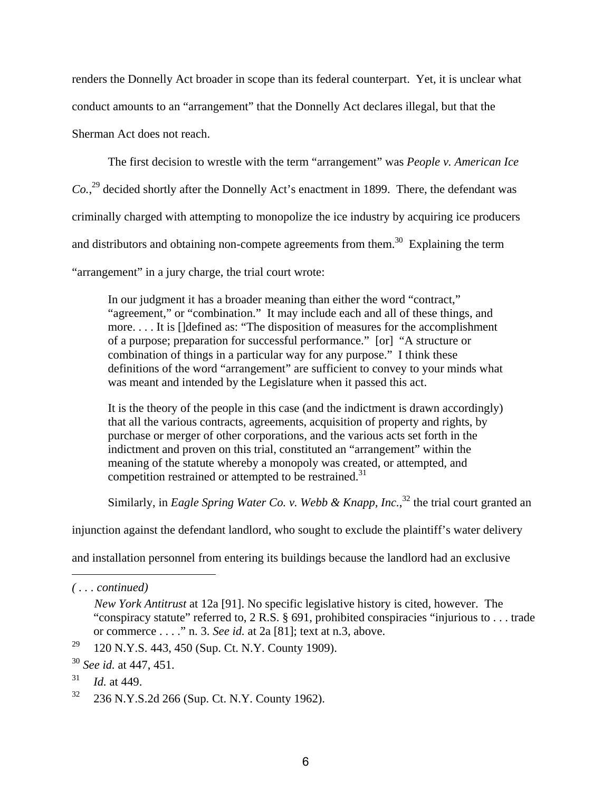renders the Donnelly Act broader in scope than its federal counterpart. Yet, it is unclear what conduct amounts to an "arrangement" that the Donnelly Act declares illegal, but that the Sherman Act does not reach.

The first decision to wrestle with the term "arrangement" was *People v. American Ice Co.*, 29 decided shortly after the Donnelly Act's enactment in 1899. There, the defendant was criminally charged with attempting to monopolize the ice industry by acquiring ice producers and distributors and obtaining non-compete agreements from them.<sup>30</sup> Explaining the term "arrangement" in a jury charge, the trial court wrote:

In our judgment it has a broader meaning than either the word "contract," "agreement," or "combination." It may include each and all of these things, and more. . . . It is []defined as: "The disposition of measures for the accomplishment of a purpose; preparation for successful performance." [or] "A structure or combination of things in a particular way for any purpose." I think these definitions of the word "arrangement" are sufficient to convey to your minds what was meant and intended by the Legislature when it passed this act.

It is the theory of the people in this case (and the indictment is drawn accordingly) that all the various contracts, agreements, acquisition of property and rights, by purchase or merger of other corporations, and the various acts set forth in the indictment and proven on this trial, constituted an "arrangement" within the meaning of the statute whereby a monopoly was created, or attempted, and competition restrained or attempted to be restrained.<sup>31</sup>

Similarly, in *Eagle Spring Water Co. v. Webb & Knapp, Inc.*,<sup>32</sup> the trial court granted an

injunction against the defendant landlord, who sought to exclude the plaintiff's water delivery

and installation personnel from entering its buildings because the landlord had an exclusive

*<sup>( . . .</sup> continued)* 

*New York Antitrust* at 12a [91]. No specific legislative history is cited, however. The "conspiracy statute" referred to, 2 R.S. § 691, prohibited conspiracies "injurious to . . . trade or commerce . . . ." n. 3. *See id.* at 2a [81]; text at n.3, above.

<sup>&</sup>lt;sup>29</sup> 120 N.Y.S. 443, 450 (Sup. Ct. N.Y. County 1909).

<sup>30</sup> *See id.* at 447, 451.

<sup>31</sup> *Id.* at 449.

<sup>32 236</sup> N.Y.S.2d 266 (Sup. Ct. N.Y. County 1962).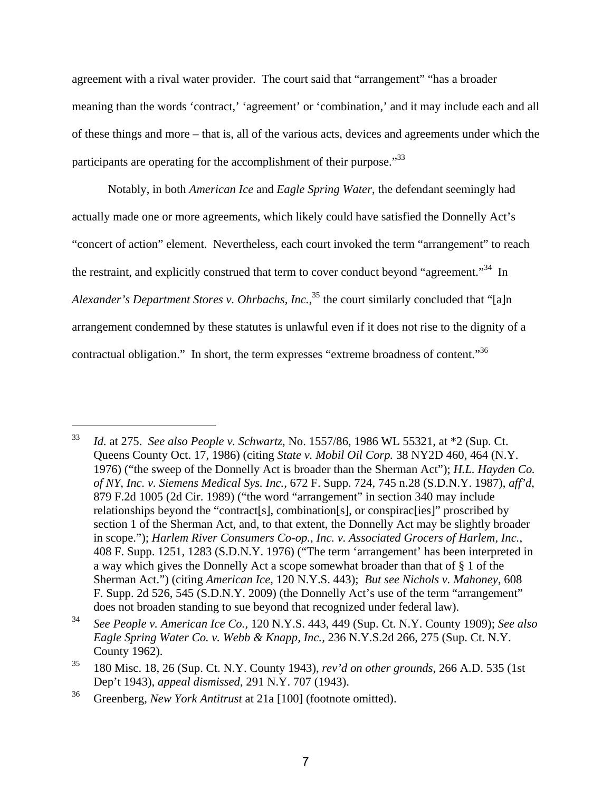agreement with a rival water provider. The court said that "arrangement" "has a broader meaning than the words 'contract,' 'agreement' or 'combination,' and it may include each and all of these things and more – that is, all of the various acts, devices and agreements under which the participants are operating for the accomplishment of their purpose."33

Notably, in both *American Ice* and *Eagle Spring Water*, the defendant seemingly had actually made one or more agreements, which likely could have satisfied the Donnelly Act's "concert of action" element. Nevertheless, each court invoked the term "arrangement" to reach the restraint, and explicitly construed that term to cover conduct beyond "agreement."<sup>34</sup> In Alexander's Department Stores v. Ohrbachs, Inc.,<sup>35</sup> the court similarly concluded that "[a]n arrangement condemned by these statutes is unlawful even if it does not rise to the dignity of a contractual obligation." In short, the term expresses "extreme broadness of content."36

<sup>33</sup> *Id.* at 275. *See also People v. Schwartz*, No. 1557/86, 1986 WL 55321, at \*2 (Sup. Ct. Queens County Oct. 17, 1986) (citing *State v. Mobil Oil Corp.* 38 NY2D 460, 464 (N.Y. 1976) ("the sweep of the Donnelly Act is broader than the Sherman Act"); *H.L. Hayden Co. of NY, Inc. v. Siemens Medical Sys. Inc.*, 672 F. Supp. 724, 745 n.28 (S.D.N.Y. 1987), *aff'd*, 879 F.2d 1005 (2d Cir. 1989) ("the word "arrangement" in section 340 may include relationships beyond the "contract[s], combination[s], or conspirac[ies]" proscribed by section 1 of the Sherman Act, and, to that extent, the Donnelly Act may be slightly broader in scope."); *Harlem River Consumers Co-op., Inc. v. Associated Grocers of Harlem, Inc.*, 408 F. Supp. 1251, 1283 (S.D.N.Y. 1976) ("The term 'arrangement' has been interpreted in a way which gives the Donnelly Act a scope somewhat broader than that of § 1 of the Sherman Act.") (citing *American Ice*, 120 N.Y.S. 443); *But see Nichols v. Mahoney*, 608 F. Supp. 2d 526, 545 (S.D.N.Y. 2009) (the Donnelly Act's use of the term "arrangement" does not broaden standing to sue beyond that recognized under federal law).

<sup>34</sup> *See People v. American Ice Co.,* 120 N.Y.S. 443, 449 (Sup. Ct. N.Y. County 1909); *See also Eagle Spring Water Co. v. Webb & Knapp, Inc.,* 236 N.Y.S.2d 266, 275 (Sup. Ct. N.Y. County 1962).

<sup>35 180</sup> Misc. 18, 26 (Sup. Ct. N.Y. County 1943), *rev'd on other grounds*, 266 A.D. 535 (1st Dep't 1943), *appeal dismissed*, 291 N.Y. 707 (1943).

<sup>36</sup> Greenberg, *New York Antitrust* at 21a [100] (footnote omitted).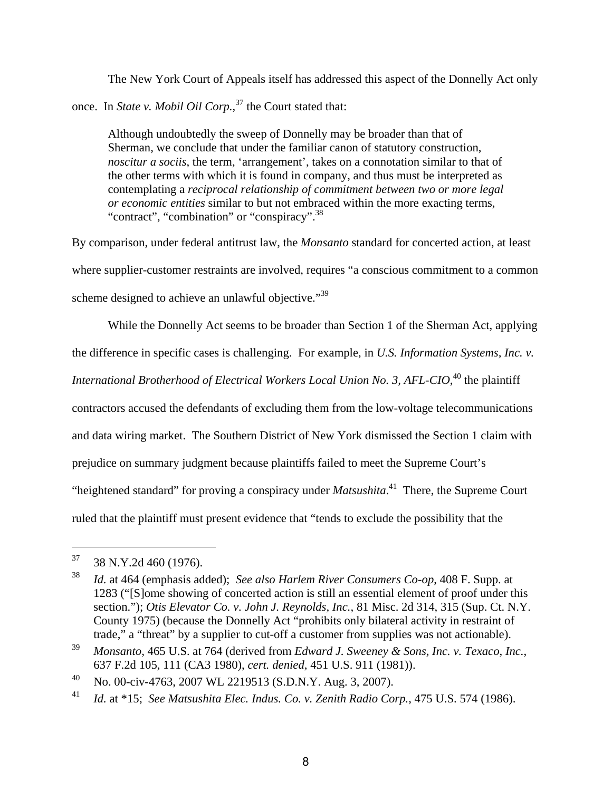The New York Court of Appeals itself has addressed this aspect of the Donnelly Act only once. In *State v. Mobil Oil Corp.*, 37 the Court stated that:

Although undoubtedly the sweep of Donnelly may be broader than that of Sherman, we conclude that under the familiar canon of statutory construction, *noscitur a sociis*, the term, 'arrangement', takes on a connotation similar to that of the other terms with which it is found in company, and thus must be interpreted as contemplating a *reciprocal relationship of commitment between two or more legal or economic entities* similar to but not embraced within the more exacting terms, "contract", "combination" or "conspiracy".<sup>38</sup>

By comparison, under federal antitrust law, the *Monsanto* standard for concerted action, at least where supplier-customer restraints are involved, requires "a conscious commitment to a common scheme designed to achieve an unlawful objective."<sup>39</sup>

While the Donnelly Act seems to be broader than Section 1 of the Sherman Act, applying the difference in specific cases is challenging. For example, in *U.S. Information Systems, Inc. v. International Brotherhood of Electrical Workers Local Union No. 3, AFL-CIO*, 40 the plaintiff contractors accused the defendants of excluding them from the low-voltage telecommunications and data wiring market. The Southern District of New York dismissed the Section 1 claim with prejudice on summary judgment because plaintiffs failed to meet the Supreme Court's "heightened standard" for proving a conspiracy under *Matsushita*. 41 There, the Supreme Court ruled that the plaintiff must present evidence that "tends to exclude the possibility that the

 $37$  38 N.Y.2d 460 (1976).

<sup>38</sup> *Id.* at 464 (emphasis added); *See also Harlem River Consumers Co-op*, 408 F. Supp. at 1283 ("[S]ome showing of concerted action is still an essential element of proof under this section."); *Otis Elevator Co. v. John J. Reynolds, Inc.*, 81 Misc. 2d 314, 315 (Sup. Ct. N.Y. County 1975) (because the Donnelly Act "prohibits only bilateral activity in restraint of trade," a "threat" by a supplier to cut-off a customer from supplies was not actionable).

<sup>39</sup> *Monsanto*, 465 U.S. at 764 (derived from *Edward J. Sweeney & Sons, Inc. v. Texaco, Inc.*, 637 F.2d 105, 111 (CA3 1980), *cert. denied*, 451 U.S. 911 (1981)).

<sup>40</sup> No. 00-civ-4763, 2007 WL 2219513 (S.D.N.Y. Aug. 3, 2007).

<sup>41</sup> *Id.* at \*15; *See Matsushita Elec. Indus. Co. v. Zenith Radio Corp.*, 475 U.S. 574 (1986).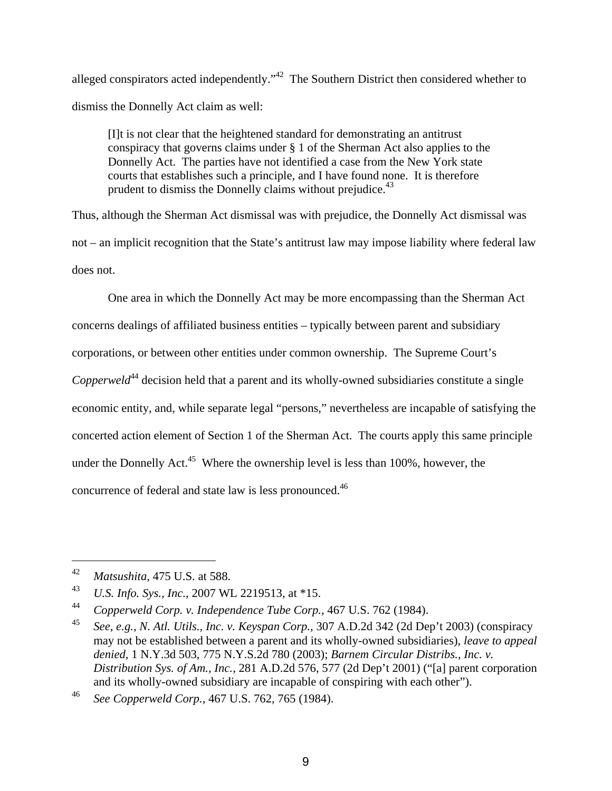alleged conspirators acted independently."<sup>42</sup> The Southern District then considered whether to dismiss the Donnelly Act claim as well:

[I]t is not clear that the heightened standard for demonstrating an antitrust conspiracy that governs claims under § 1 of the Sherman Act also applies to the Donnelly Act. The parties have not identified a case from the New York state courts that establishes such a principle, and I have found none. It is therefore prudent to dismiss the Donnelly claims without prejudice.<sup>43</sup>

Thus, although the Sherman Act dismissal was with prejudice, the Donnelly Act dismissal was not – an implicit recognition that the State's antitrust law may impose liability where federal law does not.

One area in which the Donnelly Act may be more encompassing than the Sherman Act concerns dealings of affiliated business entities – typically between parent and subsidiary corporations, or between other entities under common ownership. The Supreme Court's *Copperweld*<sup>44</sup> decision held that a parent and its wholly-owned subsidiaries constitute a single economic entity, and, while separate legal "persons," nevertheless are incapable of satisfying the concerted action element of Section 1 of the Sherman Act. The courts apply this same principle under the Donnelly Act.<sup>45</sup> Where the ownership level is less than  $100\%$ , however, the concurrence of federal and state law is less pronounced.46

<sup>42</sup> *Matsushita,* 475 U.S. at 588.

<sup>43</sup> *U.S. Info. Sys., Inc.*, 2007 WL 2219513, at \*15.

<sup>44</sup> *Copperweld Corp. v. Independence Tube Corp.*, 467 U.S. 762 (1984).

<sup>45</sup> *See*, *e.g.*, *N. Atl. Utils., Inc. v. Keyspan Corp.*, 307 A.D.2d 342 (2d Dep't 2003) (conspiracy may not be established between a parent and its wholly-owned subsidiaries), *leave to appeal denied*, 1 N.Y.3d 503, 775 N.Y.S.2d 780 (2003); *Barnem Circular Distribs., Inc. v. Distribution Sys. of Am., Inc.*, 281 A.D.2d 576, 577 (2d Dep't 2001) ("[a] parent corporation and its wholly-owned subsidiary are incapable of conspiring with each other").

<sup>46</sup> *See Copperweld Corp.*, 467 U.S. 762, 765 (1984).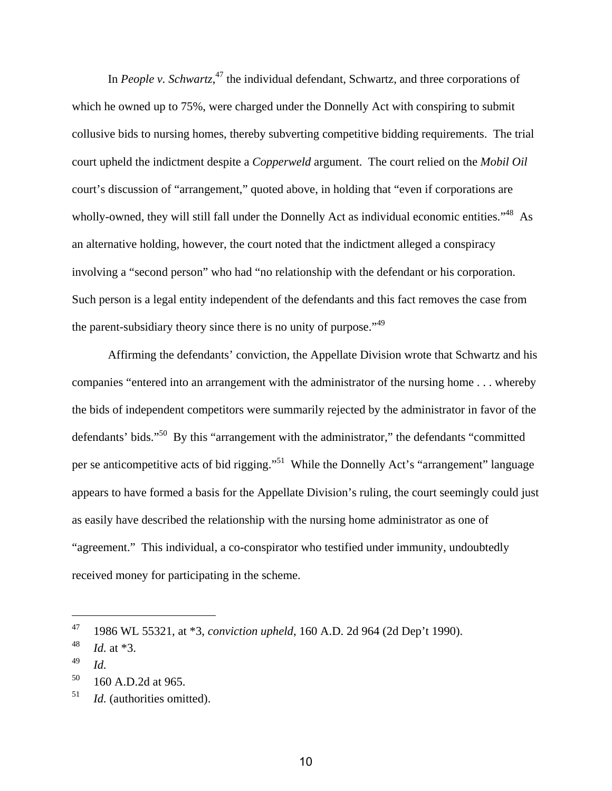In *People v. Schwartz*,<sup>47</sup> the individual defendant, Schwartz, and three corporations of which he owned up to 75%, were charged under the Donnelly Act with conspiring to submit collusive bids to nursing homes, thereby subverting competitive bidding requirements. The trial court upheld the indictment despite a *Copperweld* argument. The court relied on the *Mobil Oil* court's discussion of "arrangement," quoted above, in holding that "even if corporations are wholly-owned, they will still fall under the Donnelly Act as individual economic entities."<sup>48</sup> As an alternative holding, however, the court noted that the indictment alleged a conspiracy involving a "second person" who had "no relationship with the defendant or his corporation. Such person is a legal entity independent of the defendants and this fact removes the case from the parent-subsidiary theory since there is no unity of purpose."49

Affirming the defendants' conviction, the Appellate Division wrote that Schwartz and his companies "entered into an arrangement with the administrator of the nursing home . . . whereby the bids of independent competitors were summarily rejected by the administrator in favor of the defendants' bids."50 By this "arrangement with the administrator," the defendants "committed per se anticompetitive acts of bid rigging."51 While the Donnelly Act's "arrangement" language appears to have formed a basis for the Appellate Division's ruling, the court seemingly could just as easily have described the relationship with the nursing home administrator as one of "agreement." This individual, a co-conspirator who testified under immunity, undoubtedly received money for participating in the scheme.

<sup>47 1986</sup> WL 55321, at \*3, *conviction upheld*, 160 A.D. 2d 964 (2d Dep't 1990).

<sup>48</sup> *Id.* at \*3.

<sup>49</sup> *Id.*

 $50 \quad 160 \text{ A.D.}$ 2d at 965.

<sup>&</sup>lt;sup>51</sup> *Id.* (authorities omitted).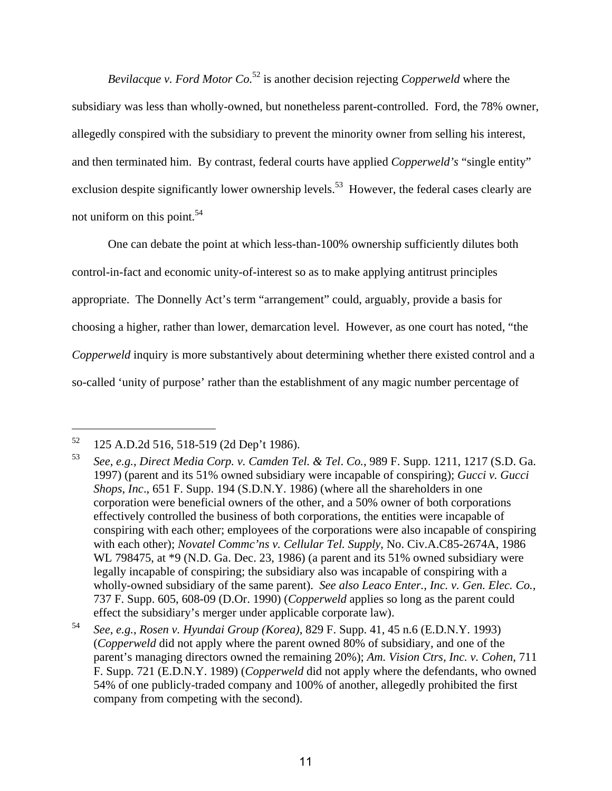*Bevilacque v. Ford Motor Co.*52 is another decision rejecting *Copperweld* where the subsidiary was less than wholly-owned, but nonetheless parent-controlled. Ford, the 78% owner, allegedly conspired with the subsidiary to prevent the minority owner from selling his interest, and then terminated him. By contrast, federal courts have applied *Copperweld's* "single entity" exclusion despite significantly lower ownership levels.<sup>53</sup> However, the federal cases clearly are not uniform on this point.<sup>54</sup>

One can debate the point at which less-than-100% ownership sufficiently dilutes both control-in-fact and economic unity-of-interest so as to make applying antitrust principles appropriate. The Donnelly Act's term "arrangement" could, arguably, provide a basis for choosing a higher, rather than lower, demarcation level. However, as one court has noted, "the *Copperweld* inquiry is more substantively about determining whether there existed control and a so-called 'unity of purpose' rather than the establishment of any magic number percentage of

<sup>52 125</sup> A.D.2d 516, 518-519 (2d Dep't 1986).

<sup>53</sup> *See*, *e.g.*, *Direct Media Corp. v. Camden Tel. & Tel*. *Co.*, 989 F. Supp. 1211, 1217 (S.D. Ga. 1997) (parent and its 51% owned subsidiary were incapable of conspiring); *Gucci v. Gucci Shops, Inc*., 651 F. Supp. 194 (S.D.N.Y. 1986) (where all the shareholders in one corporation were beneficial owners of the other, and a 50% owner of both corporations effectively controlled the business of both corporations, the entities were incapable of conspiring with each other; employees of the corporations were also incapable of conspiring with each other); *Novatel Commc'ns v. Cellular Tel. Supply*, No. Civ.A.C85-2674A, 1986 WL 798475, at  $*9$  (N.D. Ga. Dec. 23, 1986) (a parent and its 51% owned subsidiary were legally incapable of conspiring; the subsidiary also was incapable of conspiring with a wholly-owned subsidiary of the same parent). *See also Leaco Enter., Inc. v. Gen. Elec. Co.*, 737 F. Supp. 605, 608-09 (D.Or. 1990) (*Copperweld* applies so long as the parent could effect the subsidiary's merger under applicable corporate law).

<sup>54</sup> *See*, *e.g.*, *Rosen v. Hyundai Group (Korea)*, 829 F. Supp. 41, 45 n.6 (E.D.N.Y. 1993) (*Copperweld* did not apply where the parent owned 80% of subsidiary, and one of the parent's managing directors owned the remaining 20%); *Am. Vision Ctrs, Inc. v. Cohen*, 711 F. Supp. 721 (E.D.N.Y. 1989) (*Copperweld* did not apply where the defendants, who owned 54% of one publicly-traded company and 100% of another, allegedly prohibited the first company from competing with the second).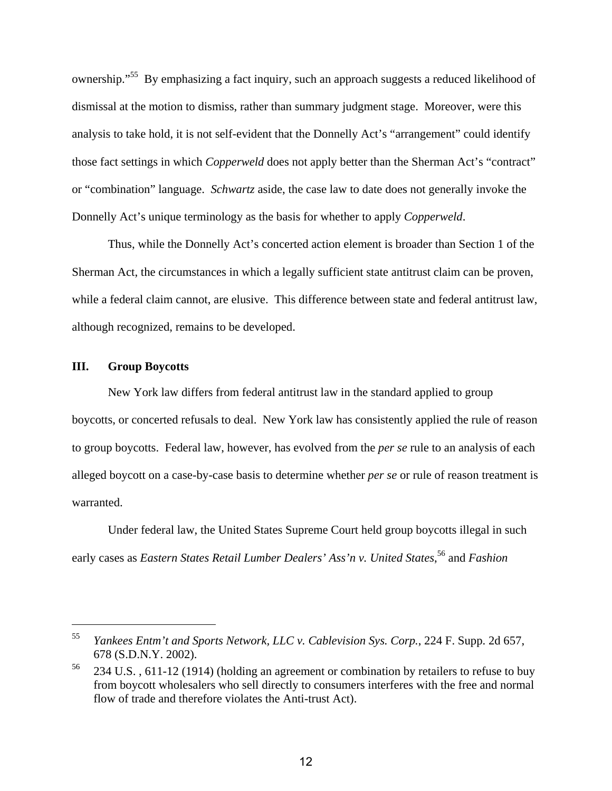ownership."<sup>55</sup> By emphasizing a fact inquiry, such an approach suggests a reduced likelihood of dismissal at the motion to dismiss, rather than summary judgment stage. Moreover, were this analysis to take hold, it is not self-evident that the Donnelly Act's "arrangement" could identify those fact settings in which *Copperweld* does not apply better than the Sherman Act's "contract" or "combination" language. *Schwartz* aside, the case law to date does not generally invoke the Donnelly Act's unique terminology as the basis for whether to apply *Copperweld*.

Thus, while the Donnelly Act's concerted action element is broader than Section 1 of the Sherman Act, the circumstances in which a legally sufficient state antitrust claim can be proven, while a federal claim cannot, are elusive. This difference between state and federal antitrust law, although recognized, remains to be developed.

#### **III. Group Boycotts**

 $\overline{a}$ 

New York law differs from federal antitrust law in the standard applied to group boycotts, or concerted refusals to deal. New York law has consistently applied the rule of reason to group boycotts. Federal law, however, has evolved from the *per se* rule to an analysis of each alleged boycott on a case-by-case basis to determine whether *per se* or rule of reason treatment is warranted.

Under federal law, the United States Supreme Court held group boycotts illegal in such early cases as *Eastern States Retail Lumber Dealers' Ass'n v. United States*, 56 and *Fashion*

<sup>55</sup> *Yankees Entm't and Sports Network, LLC v. Cablevision Sys. Corp.*, 224 F. Supp. 2d 657, 678 (S.D.N.Y. 2002).

<sup>&</sup>lt;sup>56</sup> 234 U.S., 611-12 (1914) (holding an agreement or combination by retailers to refuse to buy from boycott wholesalers who sell directly to consumers interferes with the free and normal flow of trade and therefore violates the Anti-trust Act).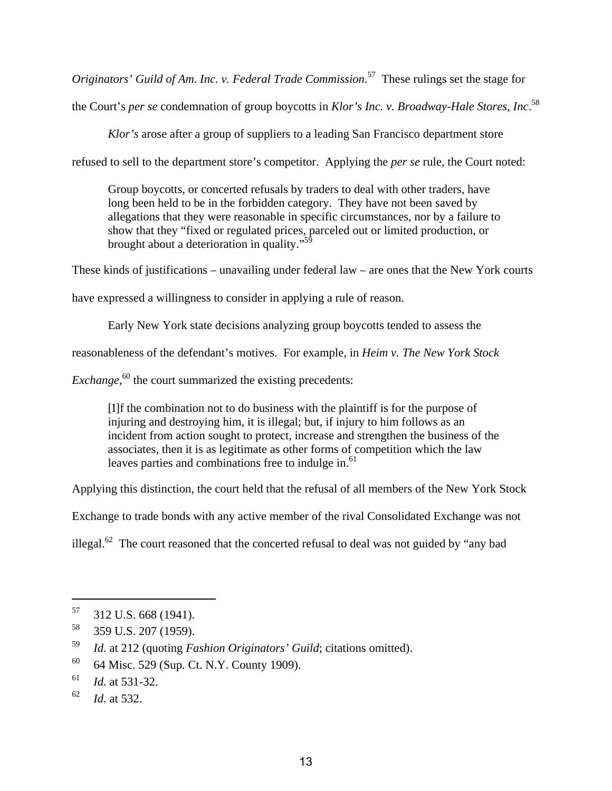*Originators' Guild of Am. Inc. v. Federal Trade Commission*. 57 These rulings set the stage for the Court's *per se* condemnation of group boycotts in *Klor's Inc. v. Broadway-Hale Stores, Inc*. 58

*Klor's* arose after a group of suppliers to a leading San Francisco department store refused to sell to the department store's competitor. Applying the *per se* rule, the Court noted:

Group boycotts, or concerted refusals by traders to deal with other traders, have long been held to be in the forbidden category. They have not been saved by allegations that they were reasonable in specific circumstances, nor by a failure to show that they "fixed or regulated prices, parceled out or limited production, or brought about a deterioration in quality."<sup>59</sup>

These kinds of justifications – unavailing under federal law – are ones that the New York courts

have expressed a willingness to consider in applying a rule of reason.

Early New York state decisions analyzing group boycotts tended to assess the

reasonableness of the defendant's motives. For example, in *Heim v. The New York Stock* 

*Exchange*,<sup>60</sup> the court summarized the existing precedents:

[I]f the combination not to do business with the plaintiff is for the purpose of injuring and destroying him, it is illegal; but, if injury to him follows as an incident from action sought to protect, increase and strengthen the business of the associates, then it is as legitimate as other forms of competition which the law leaves parties and combinations free to indulge in.<sup>61</sup>

Applying this distinction, the court held that the refusal of all members of the New York Stock

Exchange to trade bonds with any active member of the rival Consolidated Exchange was not

illegal.<sup>62</sup> The court reasoned that the concerted refusal to deal was not guided by "any bad

<sup>57 312</sup> U.S. 668 (1941).

<sup>58 359</sup> U.S. 207 (1959).

<sup>59</sup> *Id.* at 212 (quoting *Fashion Originators' Guild*; citations omitted).

<sup>60 64</sup> Misc. 529 (Sup. Ct. N.Y. County 1909).

<sup>61</sup> *Id.* at 531-32.

<sup>62</sup> *Id.* at 532.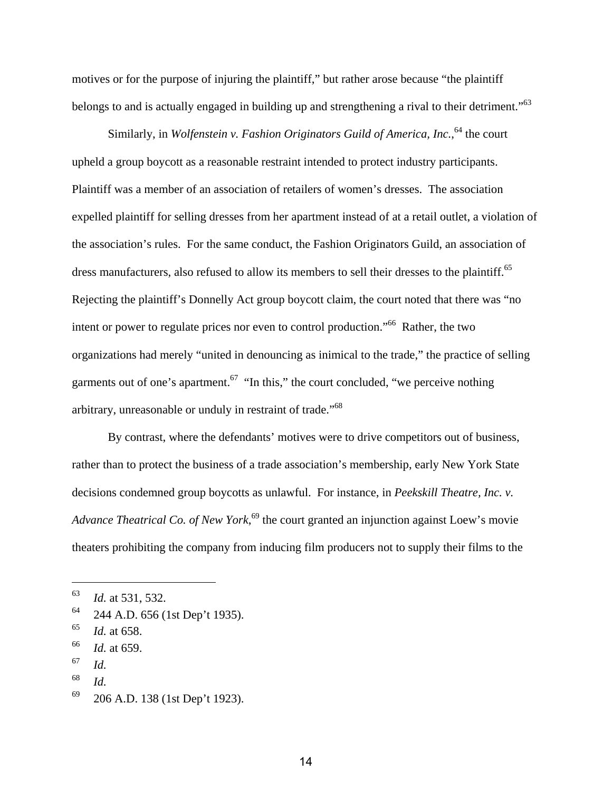motives or for the purpose of injuring the plaintiff," but rather arose because "the plaintiff belongs to and is actually engaged in building up and strengthening a rival to their detriment."<sup>63</sup>

Similarly, in *Wolfenstein v. Fashion Originators Guild of America, Inc.*,<sup>64</sup> the court upheld a group boycott as a reasonable restraint intended to protect industry participants. Plaintiff was a member of an association of retailers of women's dresses. The association expelled plaintiff for selling dresses from her apartment instead of at a retail outlet, a violation of the association's rules. For the same conduct, the Fashion Originators Guild, an association of dress manufacturers, also refused to allow its members to sell their dresses to the plaintiff.<sup>65</sup> Rejecting the plaintiff's Donnelly Act group boycott claim, the court noted that there was "no intent or power to regulate prices nor even to control production."66 Rather, the two organizations had merely "united in denouncing as inimical to the trade," the practice of selling garments out of one's apartment.<sup>67</sup> "In this," the court concluded, "we perceive nothing arbitrary, unreasonable or unduly in restraint of trade."68

By contrast, where the defendants' motives were to drive competitors out of business, rather than to protect the business of a trade association's membership, early New York State decisions condemned group boycotts as unlawful. For instance, in *Peekskill Theatre, Inc. v. Advance Theatrical Co. of New York*, 69 the court granted an injunction against Loew's movie theaters prohibiting the company from inducing film producers not to supply their films to the

1

68 *Id.*

<sup>63</sup> *Id.* at 531, 532.

 $64$  244 A.D. 656 (1st Dep't 1935).

<sup>65</sup> *Id.* at 658.

<sup>66</sup> *Id.* at 659.

<sup>67</sup> *Id.*

 $69$  206 A.D. 138 (1st Dep't 1923).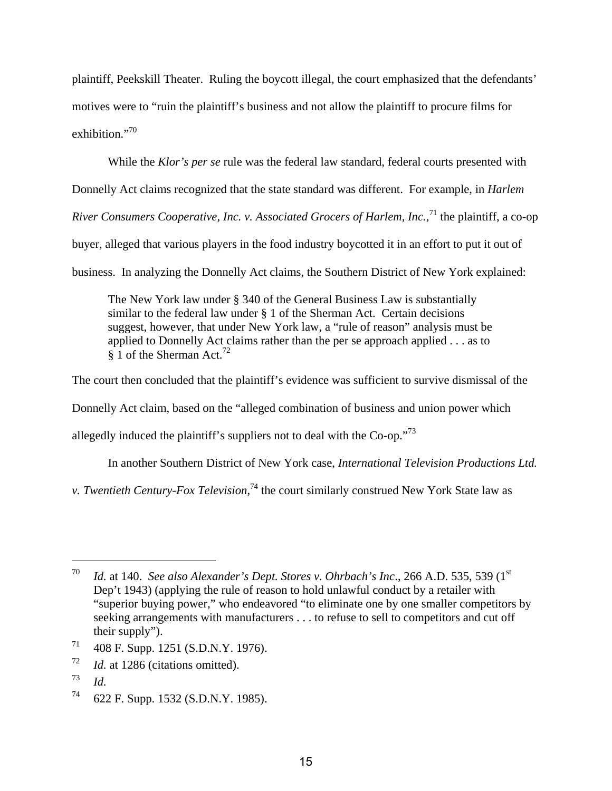plaintiff, Peekskill Theater. Ruling the boycott illegal, the court emphasized that the defendants' motives were to "ruin the plaintiff's business and not allow the plaintiff to procure films for exhibition $^{.,70}$ 

While the *Klor's per se* rule was the federal law standard, federal courts presented with

Donnelly Act claims recognized that the state standard was different. For example, in *Harlem* 

River Consumers Cooperative, Inc. v. Associated Grocers of Harlem, Inc.,<sup>71</sup> the plaintiff, a co-op

buyer, alleged that various players in the food industry boycotted it in an effort to put it out of

business. In analyzing the Donnelly Act claims, the Southern District of New York explained:

The New York law under § 340 of the General Business Law is substantially similar to the federal law under § 1 of the Sherman Act. Certain decisions suggest, however, that under New York law, a "rule of reason" analysis must be applied to Donnelly Act claims rather than the per se approach applied . . . as to § 1 of the Sherman Act.<sup>72</sup>

The court then concluded that the plaintiff's evidence was sufficient to survive dismissal of the

Donnelly Act claim, based on the "alleged combination of business and union power which

allegedly induced the plaintiff's suppliers not to deal with the Co-op."<sup>73</sup>

In another Southern District of New York case, *International Television Productions Ltd.* 

*v. Twentieth Century-Fox Television*, 74 the court similarly construed New York State law as

<sup>&</sup>lt;sup>70</sup> *Id.* at 140. *See also Alexander's Dept. Stores v. Ohrbach's Inc.*, 266 A.D. 535, 539 (1st) Dep't 1943) (applying the rule of reason to hold unlawful conduct by a retailer with "superior buying power," who endeavored "to eliminate one by one smaller competitors by seeking arrangements with manufacturers . . . to refuse to sell to competitors and cut off their supply").

<sup>71 408</sup> F. Supp. 1251 (S.D.N.Y. 1976).

<sup>72</sup> *Id.* at 1286 (citations omitted).

<sup>73</sup> *Id.*

 $74$  622 F. Supp. 1532 (S.D.N.Y. 1985).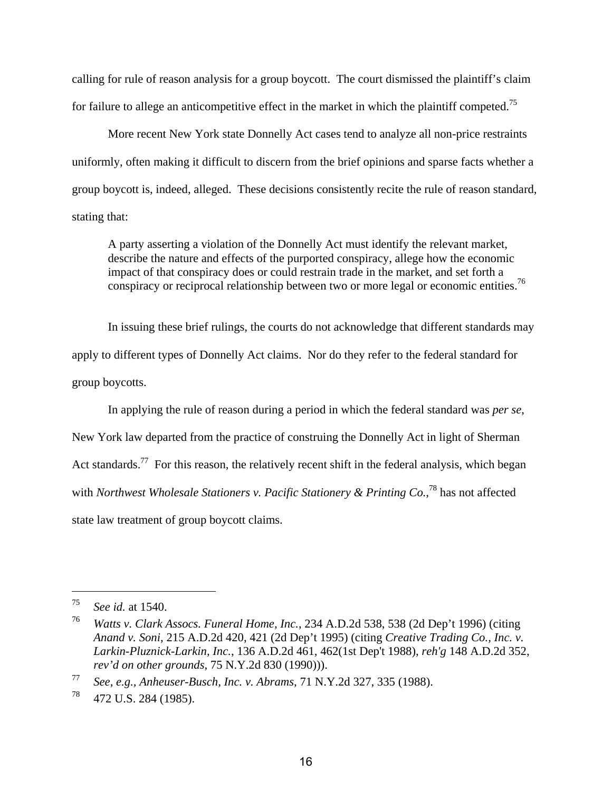calling for rule of reason analysis for a group boycott. The court dismissed the plaintiff's claim for failure to allege an anticompetitive effect in the market in which the plaintiff competed.<sup>75</sup>

More recent New York state Donnelly Act cases tend to analyze all non-price restraints uniformly, often making it difficult to discern from the brief opinions and sparse facts whether a group boycott is, indeed, alleged. These decisions consistently recite the rule of reason standard, stating that:

A party asserting a violation of the Donnelly Act must identify the relevant market, describe the nature and effects of the purported conspiracy, allege how the economic impact of that conspiracy does or could restrain trade in the market, and set forth a conspiracy or reciprocal relationship between two or more legal or economic entities.<sup>76</sup>

In issuing these brief rulings, the courts do not acknowledge that different standards may apply to different types of Donnelly Act claims. Nor do they refer to the federal standard for group boycotts.

In applying the rule of reason during a period in which the federal standard was *per se*,

New York law departed from the practice of construing the Donnelly Act in light of Sherman Act standards.<sup>77</sup> For this reason, the relatively recent shift in the federal analysis, which began with *Northwest Wholesale Stationers v. Pacific Stationery & Printing Co.*, 78 has not affected state law treatment of group boycott claims.

<sup>75</sup> *See id.* at 1540.

<sup>76</sup> *Watts v. Clark Assocs. Funeral Home, Inc.*, 234 A.D.2d 538, 538 (2d Dep't 1996) (citing *Anand v. Soni*, 215 A.D.2d 420, 421 (2d Dep't 1995) (citing *Creative Trading Co., Inc. v. Larkin-Pluznick-Larkin, Inc.*, 136 A.D.2d 461, 462(1st Dep't 1988), *reh'g* 148 A.D.2d 352, *rev'd on other grounds*, 75 N.Y.2d 830 (1990))).

<sup>77</sup> *See, e.g., Anheuser-Busch, Inc. v. Abrams*, 71 N.Y.2d 327, 335 (1988).

 $^{78}$  472 U.S. 284 (1985).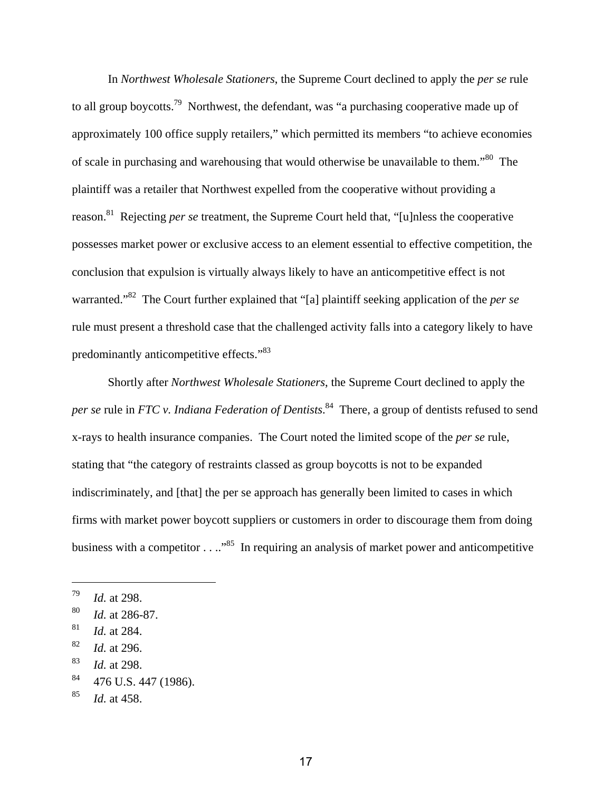In *Northwest Wholesale Stationers*, the Supreme Court declined to apply the *per se* rule to all group boycotts.<sup>79</sup> Northwest, the defendant, was "a purchasing cooperative made up of approximately 100 office supply retailers," which permitted its members "to achieve economies of scale in purchasing and warehousing that would otherwise be unavailable to them."80 The plaintiff was a retailer that Northwest expelled from the cooperative without providing a reason.81 Rejecting *per se* treatment, the Supreme Court held that, "[u]nless the cooperative possesses market power or exclusive access to an element essential to effective competition, the conclusion that expulsion is virtually always likely to have an anticompetitive effect is not warranted."82 The Court further explained that "[a] plaintiff seeking application of the *per se* rule must present a threshold case that the challenged activity falls into a category likely to have predominantly anticompetitive effects."<sup>83</sup>

Shortly after *Northwest Wholesale Stationers*, the Supreme Court declined to apply the *per se* rule in *FTC v. Indiana Federation of Dentists*. 84 There, a group of dentists refused to send x-rays to health insurance companies. The Court noted the limited scope of the *per se* rule, stating that "the category of restraints classed as group boycotts is not to be expanded indiscriminately, and [that] the per se approach has generally been limited to cases in which firms with market power boycott suppliers or customers in order to discourage them from doing business with a competitor  $\dots$ <sup>85</sup>. In requiring an analysis of market power and anticompetitive

<sup>79</sup> *Id.* at 298.

<sup>80</sup> *Id.* at 286-87.

<sup>81</sup> *Id.* at 284.

<sup>82</sup> *Id.* at 296.

<sup>83</sup> *Id.* at 298.

<sup>&</sup>lt;sup>84</sup> 476 U.S. 447 (1986).

<sup>85</sup> *Id.* at 458.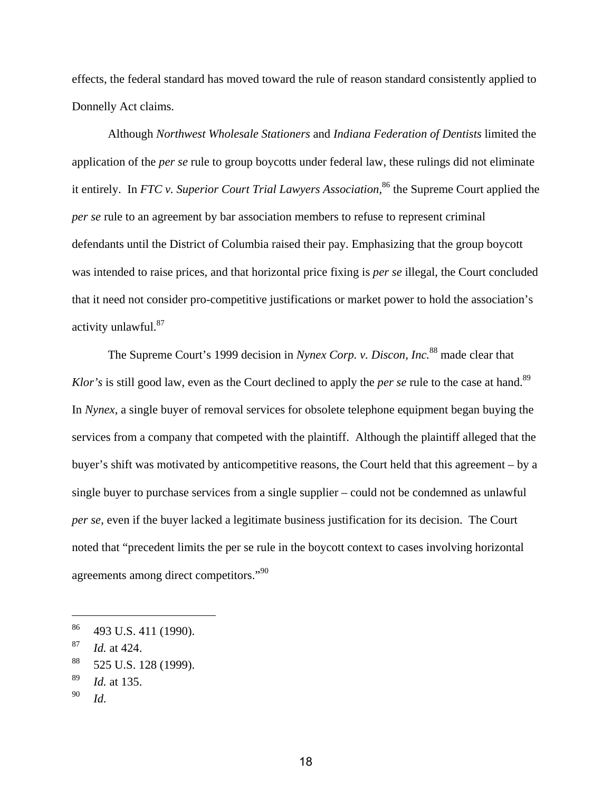effects, the federal standard has moved toward the rule of reason standard consistently applied to Donnelly Act claims.

Although *Northwest Wholesale Stationers* and *Indiana Federation of Dentists* limited the application of the *per se* rule to group boycotts under federal law, these rulings did not eliminate it entirely. In *FTC v. Superior Court Trial Lawyers Association*, 86 the Supreme Court applied the *per se* rule to an agreement by bar association members to refuse to represent criminal defendants until the District of Columbia raised their pay. Emphasizing that the group boycott was intended to raise prices, and that horizontal price fixing is *per se* illegal, the Court concluded that it need not consider pro-competitive justifications or market power to hold the association's activity unlawful.87

The Supreme Court's 1999 decision in *Nynex Corp. v. Discon, Inc.*88 made clear that *Klor's* is still good law, even as the Court declined to apply the *per se* rule to the case at hand.<sup>89</sup> In *Nynex*, a single buyer of removal services for obsolete telephone equipment began buying the services from a company that competed with the plaintiff. Although the plaintiff alleged that the buyer's shift was motivated by anticompetitive reasons, the Court held that this agreement – by a single buyer to purchase services from a single supplier – could not be condemned as unlawful *per se*, even if the buyer lacked a legitimate business justification for its decision. The Court noted that "precedent limits the per se rule in the boycott context to cases involving horizontal agreements among direct competitors."<sup>90</sup>

<sup>86 493</sup> U.S. 411 (1990).

<sup>87</sup> *Id.* at 424.

<sup>88 525</sup> U.S. 128 (1999).

<sup>89</sup> *Id.* at 135.

<sup>90</sup> *Id.*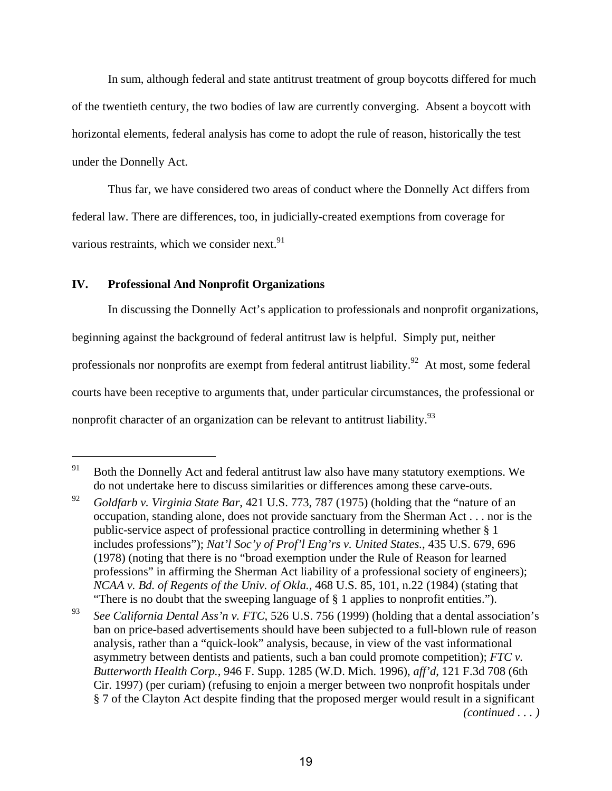In sum, although federal and state antitrust treatment of group boycotts differed for much of the twentieth century, the two bodies of law are currently converging. Absent a boycott with horizontal elements, federal analysis has come to adopt the rule of reason, historically the test under the Donnelly Act.

Thus far, we have considered two areas of conduct where the Donnelly Act differs from federal law. There are differences, too, in judicially-created exemptions from coverage for various restraints, which we consider next. $91$ 

### **IV. Professional And Nonprofit Organizations**

 $\overline{a}$ 

In discussing the Donnelly Act's application to professionals and nonprofit organizations, beginning against the background of federal antitrust law is helpful. Simply put, neither professionals nor nonprofits are exempt from federal antitrust liability.<sup>92</sup> At most, some federal courts have been receptive to arguments that, under particular circumstances, the professional or nonprofit character of an organization can be relevant to antitrust liability.<sup>93</sup>

<sup>&</sup>lt;sup>91</sup> Both the Donnelly Act and federal antitrust law also have many statutory exemptions. We do not undertake here to discuss similarities or differences among these carve-outs.

<sup>92</sup> *Goldfarb v. Virginia State Bar*, 421 U.S. 773, 787 (1975) (holding that the "nature of an occupation, standing alone, does not provide sanctuary from the Sherman Act . . . nor is the public-service aspect of professional practice controlling in determining whether § 1 includes professions"); *Nat'l Soc'y of Prof'l Eng'rs v. United States.*, 435 U.S. 679, 696 (1978) (noting that there is no "broad exemption under the Rule of Reason for learned professions" in affirming the Sherman Act liability of a professional society of engineers); *NCAA v. Bd. of Regents of the Univ. of Okla.*, 468 U.S. 85, 101, n.22 (1984) (stating that "There is no doubt that the sweeping language of § 1 applies to nonprofit entities.").

<sup>93</sup> *See California Dental Ass'n v. FTC*, 526 U.S. 756 (1999) (holding that a dental association's ban on price-based advertisements should have been subjected to a full-blown rule of reason analysis, rather than a "quick-look" analysis, because, in view of the vast informational asymmetry between dentists and patients, such a ban could promote competition); *FTC v. Butterworth Health Corp.*, 946 F. Supp. 1285 (W.D. Mich. 1996), *aff'd*, 121 F.3d 708 (6th Cir. 1997) (per curiam) (refusing to enjoin a merger between two nonprofit hospitals under § 7 of the Clayton Act despite finding that the proposed merger would result in a significant *(continued . . . )*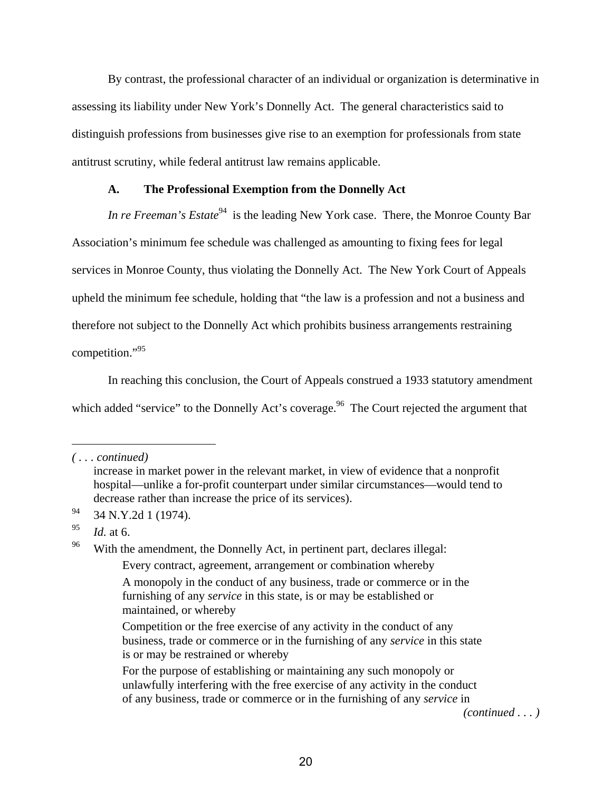By contrast, the professional character of an individual or organization is determinative in assessing its liability under New York's Donnelly Act. The general characteristics said to distinguish professions from businesses give rise to an exemption for professionals from state antitrust scrutiny, while federal antitrust law remains applicable.

#### **A. The Professional Exemption from the Donnelly Act**

*In re Freeman's Estate*<sup>94</sup> is the leading New York case. There, the Monroe County Bar Association's minimum fee schedule was challenged as amounting to fixing fees for legal services in Monroe County, thus violating the Donnelly Act. The New York Court of Appeals upheld the minimum fee schedule, holding that "the law is a profession and not a business and therefore not subject to the Donnelly Act which prohibits business arrangements restraining competition."95

In reaching this conclusion, the Court of Appeals construed a 1933 statutory amendment which added "service" to the Donnelly Act's coverage.<sup>96</sup> The Court rejected the argument that

1

Every contract, agreement, arrangement or combination whereby

*(continued . . . )* 

*<sup>( . . .</sup> continued)* 

increase in market power in the relevant market, in view of evidence that a nonprofit hospital—unlike a for-profit counterpart under similar circumstances—would tend to decrease rather than increase the price of its services).

<sup>94 34</sup> N.Y.2d 1 (1974).

<sup>95</sup> *Id.* at 6.

<sup>&</sup>lt;sup>96</sup> With the amendment, the Donnelly Act, in pertinent part, declares illegal:

A monopoly in the conduct of any business, trade or commerce or in the furnishing of any *service* in this state, is or may be established or maintained, or whereby

Competition or the free exercise of any activity in the conduct of any business, trade or commerce or in the furnishing of any *service* in this state is or may be restrained or whereby

For the purpose of establishing or maintaining any such monopoly or unlawfully interfering with the free exercise of any activity in the conduct of any business, trade or commerce or in the furnishing of any *service* in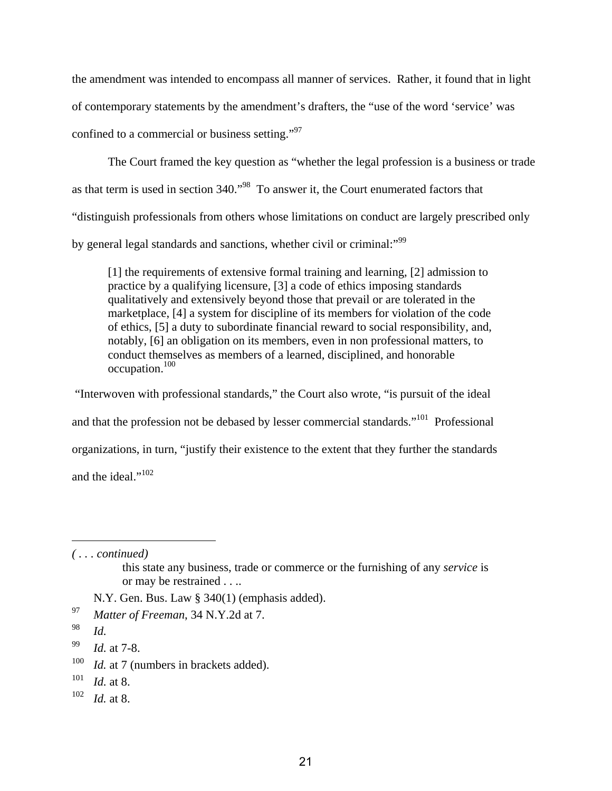the amendment was intended to encompass all manner of services. Rather, it found that in light of contemporary statements by the amendment's drafters, the "use of the word 'service' was confined to a commercial or business setting."97

The Court framed the key question as "whether the legal profession is a business or trade as that term is used in section 340."98 To answer it, the Court enumerated factors that "distinguish professionals from others whose limitations on conduct are largely prescribed only by general legal standards and sanctions, whether civil or criminal:"<sup>99</sup>

[1] the requirements of extensive formal training and learning, [2] admission to practice by a qualifying licensure, [3] a code of ethics imposing standards qualitatively and extensively beyond those that prevail or are tolerated in the marketplace, [4] a system for discipline of its members for violation of the code of ethics, [5] a duty to subordinate financial reward to social responsibility, and, notably, [6] an obligation on its members, even in non professional matters, to conduct themselves as members of a learned, disciplined, and honorable occupation.100

 "Interwoven with professional standards," the Court also wrote, "is pursuit of the ideal and that the profession not be debased by lesser commercial standards."<sup>101</sup> Professional organizations, in turn, "justify their existence to the extent that they further the standards and the ideal."<sup>102</sup>

*( . . . continued)* 

N.Y. Gen. Bus. Law § 340(1) (emphasis added).

- <sup>100</sup> *Id.* at 7 (numbers in brackets added).
- 101 *Id.* at 8.
- 102 *Id.* at 8.

this state any business, trade or commerce or the furnishing of any *service* is or may be restrained . . ..

<sup>97</sup> *Matter of Freeman*, 34 N.Y.2d at 7.

<sup>98</sup> *Id.*

<sup>99</sup> *Id.* at 7-8.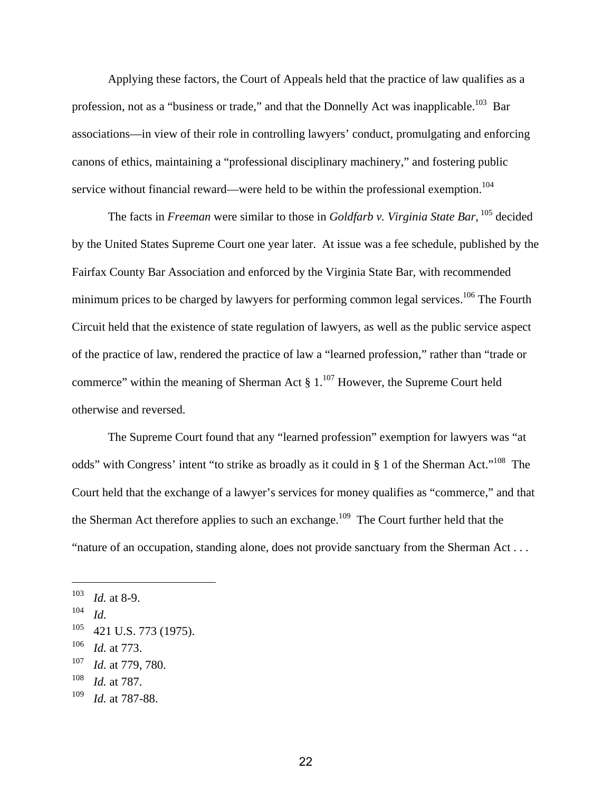Applying these factors, the Court of Appeals held that the practice of law qualifies as a profession, not as a "business or trade," and that the Donnelly Act was inapplicable.<sup>103</sup> Bar associations—in view of their role in controlling lawyers' conduct, promulgating and enforcing canons of ethics, maintaining a "professional disciplinary machinery," and fostering public service without financial reward—were held to be within the professional exemption.<sup>104</sup>

The facts in *Freeman* were similar to those in *Goldfarb v. Virginia State Bar*, 105 decided by the United States Supreme Court one year later. At issue was a fee schedule, published by the Fairfax County Bar Association and enforced by the Virginia State Bar, with recommended minimum prices to be charged by lawyers for performing common legal services.<sup>106</sup> The Fourth Circuit held that the existence of state regulation of lawyers, as well as the public service aspect of the practice of law, rendered the practice of law a "learned profession," rather than "trade or commerce" within the meaning of Sherman Act  $\S 1$ .<sup>107</sup> However, the Supreme Court held otherwise and reversed.

The Supreme Court found that any "learned profession" exemption for lawyers was "at odds" with Congress' intent "to strike as broadly as it could in § 1 of the Sherman Act."<sup>108</sup> The Court held that the exchange of a lawyer's services for money qualifies as "commerce," and that the Sherman Act therefore applies to such an exchange.<sup>109</sup> The Court further held that the "nature of an occupation, standing alone, does not provide sanctuary from the Sherman Act . . .

<sup>103</sup> *Id.* at 8-9.

<sup>104</sup> *Id.*

 $105$  421 U.S. 773 (1975).

<sup>106</sup> *Id.* at 773.

<sup>107</sup> *Id.* at 779, 780.

<sup>108</sup> *Id.* at 787.

<sup>109</sup> *Id.* at 787-88.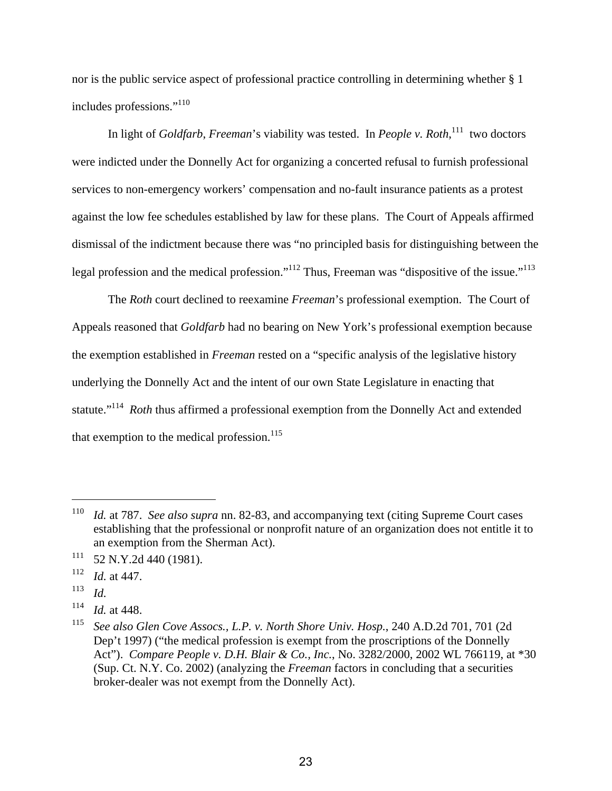nor is the public service aspect of professional practice controlling in determining whether § 1 includes professions."<sup>110</sup>

In light of *Goldfarb*, *Freeman*'s viability was tested. In *People v. Roth*,<sup>111</sup> two doctors were indicted under the Donnelly Act for organizing a concerted refusal to furnish professional services to non-emergency workers' compensation and no-fault insurance patients as a protest against the low fee schedules established by law for these plans. The Court of Appeals affirmed dismissal of the indictment because there was "no principled basis for distinguishing between the legal profession and the medical profession."<sup>112</sup> Thus, Freeman was "dispositive of the issue."<sup>113</sup>

The *Roth* court declined to reexamine *Freeman*'s professional exemption. The Court of Appeals reasoned that *Goldfarb* had no bearing on New York's professional exemption because the exemption established in *Freeman* rested on a "specific analysis of the legislative history underlying the Donnelly Act and the intent of our own State Legislature in enacting that statute."114 *Roth* thus affirmed a professional exemption from the Donnelly Act and extended that exemption to the medical profession. $115$ 

<sup>110</sup> *Id.* at 787. *See also supra* nn. 82-83, and accompanying text (citing Supreme Court cases establishing that the professional or nonprofit nature of an organization does not entitle it to an exemption from the Sherman Act).

 $111$  52 N.Y.2d 440 (1981).

<sup>112</sup> *Id.* at 447.

<sup>113</sup> *Id.*

<sup>114</sup> *Id.* at 448.

<sup>115</sup> *See also Glen Cove Assocs., L.P. v. North Shore Univ. Hosp.*, 240 A.D.2d 701, 701 (2d Dep't 1997) ("the medical profession is exempt from the proscriptions of the Donnelly Act"). *Compare People v. D.H. Blair & Co., Inc.*, No. 3282/2000, 2002 WL 766119, at \*30 (Sup. Ct. N.Y. Co. 2002) (analyzing the *Freeman* factors in concluding that a securities broker-dealer was not exempt from the Donnelly Act).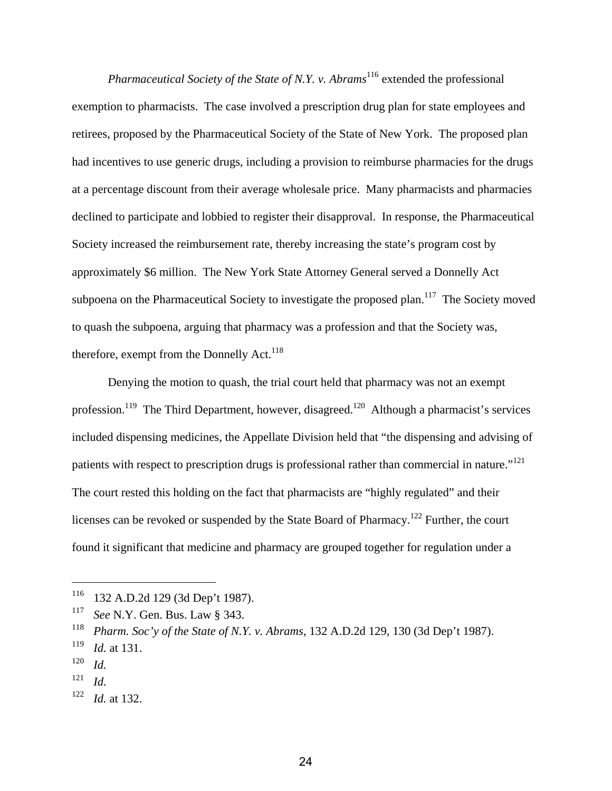*Pharmaceutical Society of the State of N.Y. v. Abrams*<sup>116</sup> extended the professional exemption to pharmacists. The case involved a prescription drug plan for state employees and retirees, proposed by the Pharmaceutical Society of the State of New York. The proposed plan had incentives to use generic drugs, including a provision to reimburse pharmacies for the drugs at a percentage discount from their average wholesale price. Many pharmacists and pharmacies declined to participate and lobbied to register their disapproval. In response, the Pharmaceutical Society increased the reimbursement rate, thereby increasing the state's program cost by approximately \$6 million. The New York State Attorney General served a Donnelly Act subpoena on the Pharmaceutical Society to investigate the proposed plan.<sup>117</sup> The Society moved to quash the subpoena, arguing that pharmacy was a profession and that the Society was, therefore, exempt from the Donnelly Act.<sup>118</sup>

Denying the motion to quash, the trial court held that pharmacy was not an exempt profession.<sup>119</sup> The Third Department, however, disagreed.<sup>120</sup> Although a pharmacist's services included dispensing medicines, the Appellate Division held that "the dispensing and advising of patients with respect to prescription drugs is professional rather than commercial in nature."<sup>121</sup> The court rested this holding on the fact that pharmacists are "highly regulated" and their licenses can be revoked or suspended by the State Board of Pharmacy.122 Further, the court found it significant that medicine and pharmacy are grouped together for regulation under a

<sup>116 132</sup> A.D.2d 129 (3d Dep't 1987).

<sup>117</sup> *See* N.Y. Gen. Bus. Law § 343.

<sup>118</sup> *Pharm. Soc'y of the State of N.Y. v. Abrams*, 132 A.D.2d 129, 130 (3d Dep't 1987).

<sup>119</sup> *Id.* at 131.

<sup>120</sup> *Id.*

<sup>121</sup> *Id.*

<sup>122</sup> *Id.* at 132.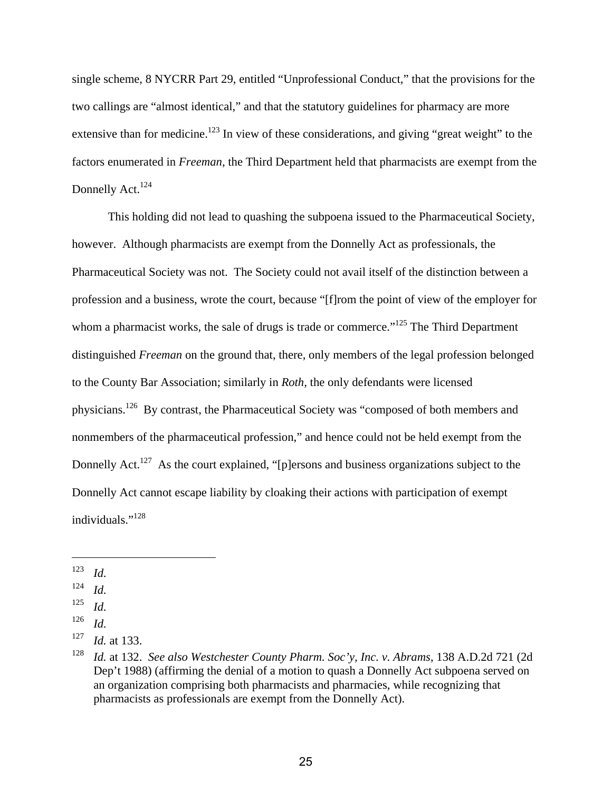single scheme, 8 NYCRR Part 29, entitled "Unprofessional Conduct," that the provisions for the two callings are "almost identical," and that the statutory guidelines for pharmacy are more extensive than for medicine.<sup>123</sup> In view of these considerations, and giving "great weight" to the factors enumerated in *Freeman,* the Third Department held that pharmacists are exempt from the Donnelly Act. $124$ 

This holding did not lead to quashing the subpoena issued to the Pharmaceutical Society, however. Although pharmacists are exempt from the Donnelly Act as professionals, the Pharmaceutical Society was not. The Society could not avail itself of the distinction between a profession and a business, wrote the court, because "[f]rom the point of view of the employer for whom a pharmacist works, the sale of drugs is trade or commerce."<sup>125</sup> The Third Department distinguished *Freeman* on the ground that, there, only members of the legal profession belonged to the County Bar Association; similarly in *Roth,* the only defendants were licensed physicians.126 By contrast, the Pharmaceutical Society was "composed of both members and nonmembers of the pharmaceutical profession," and hence could not be held exempt from the Donnelly Act.<sup>127</sup> As the court explained, "[p]ersons and business organizations subject to the Donnelly Act cannot escape liability by cloaking their actions with participation of exempt individuals."128

- 125 *Id.*
- 126 *Id.*

<sup>123</sup> *Id.*

<sup>124</sup> *Id.*

<sup>127</sup> *Id.* at 133.

<sup>128</sup> *Id.* at 132. *See also Westchester County Pharm. Soc'y, Inc. v. Abrams*, 138 A.D.2d 721 (2d Dep't 1988) (affirming the denial of a motion to quash a Donnelly Act subpoena served on an organization comprising both pharmacists and pharmacies, while recognizing that pharmacists as professionals are exempt from the Donnelly Act).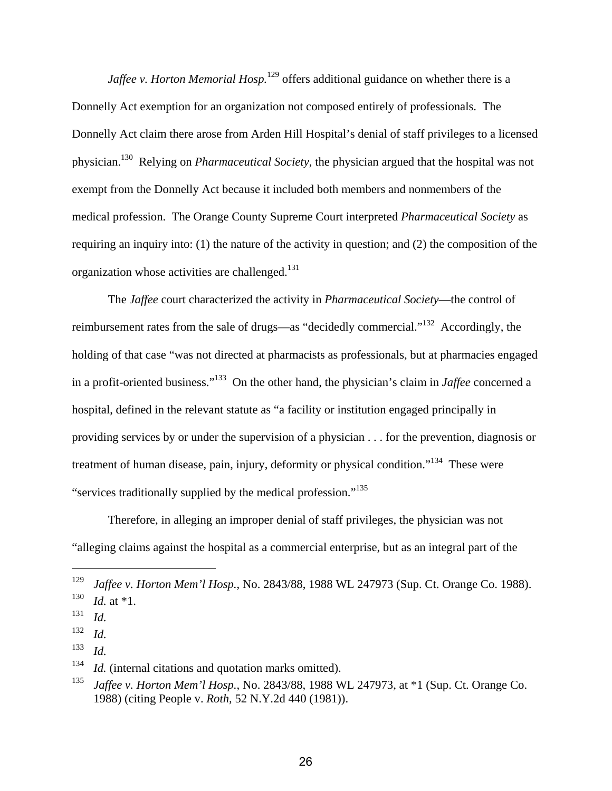*Jaffee v. Horton Memorial Hosp.*<sup>129</sup> offers additional guidance on whether there is a Donnelly Act exemption for an organization not composed entirely of professionals. The Donnelly Act claim there arose from Arden Hill Hospital's denial of staff privileges to a licensed physician.130 Relying on *Pharmaceutical Society*, the physician argued that the hospital was not exempt from the Donnelly Act because it included both members and nonmembers of the medical profession. The Orange County Supreme Court interpreted *Pharmaceutical Society* as requiring an inquiry into: (1) the nature of the activity in question; and (2) the composition of the organization whose activities are challenged.<sup>131</sup>

The *Jaffee* court characterized the activity in *Pharmaceutical Society*—the control of reimbursement rates from the sale of drugs—as "decidedly commercial."132 Accordingly, the holding of that case "was not directed at pharmacists as professionals, but at pharmacies engaged in a profit-oriented business."133 On the other hand, the physician's claim in *Jaffee* concerned a hospital, defined in the relevant statute as "a facility or institution engaged principally in providing services by or under the supervision of a physician . . . for the prevention, diagnosis or treatment of human disease, pain, injury, deformity or physical condition."<sup>134</sup> These were "services traditionally supplied by the medical profession."135

Therefore, in alleging an improper denial of staff privileges, the physician was not "alleging claims against the hospital as a commercial enterprise, but as an integral part of the

<sup>129</sup> *Jaffee v. Horton Mem'l Hosp.*, No. 2843/88, 1988 WL 247973 (Sup. Ct. Orange Co. 1988).

 $130$  *Id.* at \*1.

<sup>131</sup> *Id.*

<sup>132</sup> *Id.*

<sup>133</sup> *Id.*

<sup>&</sup>lt;sup>134</sup> *Id.* (internal citations and quotation marks omitted).

<sup>135</sup> *Jaffee v. Horton Mem'l Hosp.*, No. 2843/88, 1988 WL 247973, at \*1 (Sup. Ct. Orange Co. 1988) (citing People v. *Roth,* 52 N.Y.2d 440 (1981)).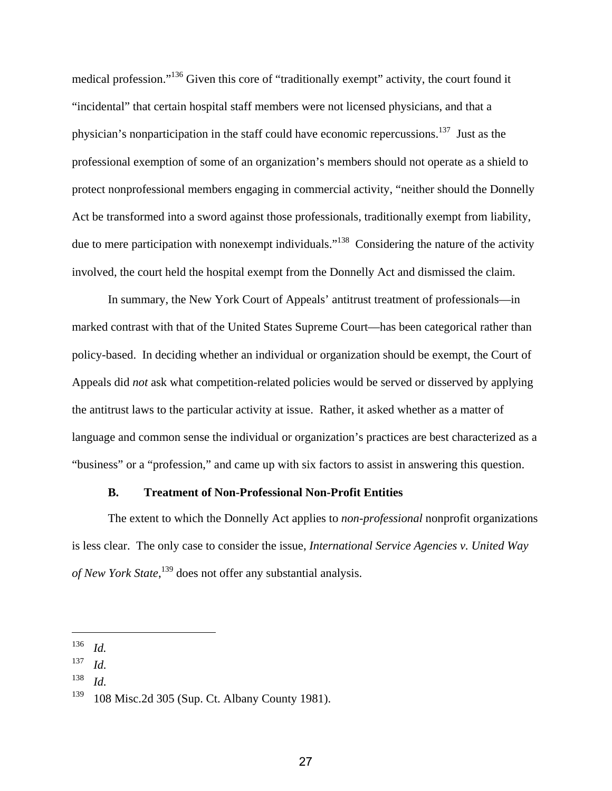medical profession."136 Given this core of "traditionally exempt" activity, the court found it "incidental" that certain hospital staff members were not licensed physicians, and that a physician's nonparticipation in the staff could have economic repercussions.<sup>137</sup> Just as the professional exemption of some of an organization's members should not operate as a shield to protect nonprofessional members engaging in commercial activity, "neither should the Donnelly Act be transformed into a sword against those professionals, traditionally exempt from liability, due to mere participation with nonexempt individuals."<sup>138</sup> Considering the nature of the activity involved, the court held the hospital exempt from the Donnelly Act and dismissed the claim.

In summary, the New York Court of Appeals' antitrust treatment of professionals—in marked contrast with that of the United States Supreme Court—has been categorical rather than policy-based. In deciding whether an individual or organization should be exempt, the Court of Appeals did *not* ask what competition-related policies would be served or disserved by applying the antitrust laws to the particular activity at issue. Rather, it asked whether as a matter of language and common sense the individual or organization's practices are best characterized as a "business" or a "profession," and came up with six factors to assist in answering this question.

#### **B. Treatment of Non-Professional Non-Profit Entities**

The extent to which the Donnelly Act applies to *non-professional* nonprofit organizations is less clear. The only case to consider the issue, *International Service Agencies v. United Way of New York State*, 139 does not offer any substantial analysis.

<sup>136</sup> *Id.* 

<sup>137</sup> *Id.*

<sup>138</sup> *Id.*

 $139$  108 Misc. 2d 305 (Sup. Ct. Albany County 1981).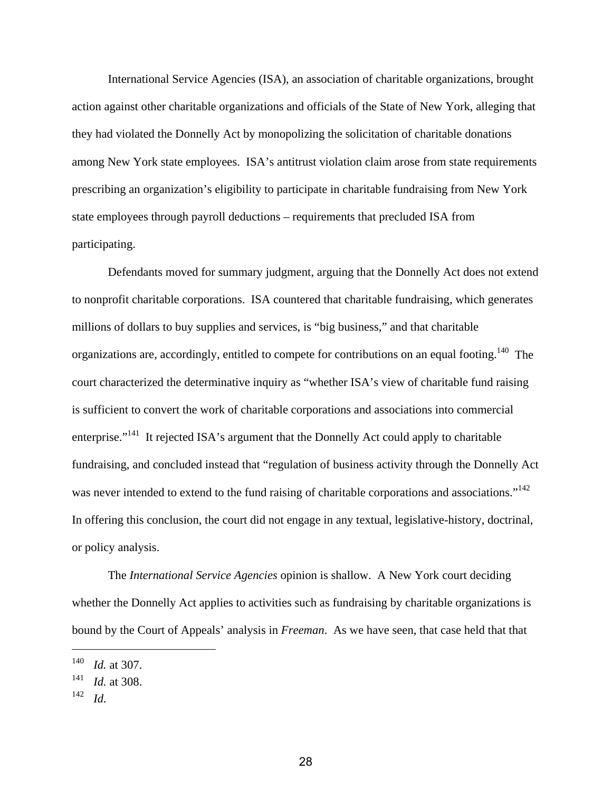International Service Agencies (ISA), an association of charitable organizations, brought action against other charitable organizations and officials of the State of New York, alleging that they had violated the Donnelly Act by monopolizing the solicitation of charitable donations among New York state employees. ISA's antitrust violation claim arose from state requirements prescribing an organization's eligibility to participate in charitable fundraising from New York state employees through payroll deductions – requirements that precluded ISA from participating.

Defendants moved for summary judgment, arguing that the Donnelly Act does not extend to nonprofit charitable corporations. ISA countered that charitable fundraising, which generates millions of dollars to buy supplies and services, is "big business," and that charitable organizations are, accordingly, entitled to compete for contributions on an equal footing.<sup>140</sup> The court characterized the determinative inquiry as "whether ISA's view of charitable fund raising is sufficient to convert the work of charitable corporations and associations into commercial enterprise."<sup>141</sup> It rejected ISA's argument that the Donnelly Act could apply to charitable fundraising, and concluded instead that "regulation of business activity through the Donnelly Act was never intended to extend to the fund raising of charitable corporations and associations."<sup>142</sup> In offering this conclusion, the court did not engage in any textual, legislative-history, doctrinal, or policy analysis.

The *International Service Agencies* opinion is shallow. A New York court deciding whether the Donnelly Act applies to activities such as fundraising by charitable organizations is bound by the Court of Appeals' analysis in *Freeman*. As we have seen, that case held that that

<sup>140</sup> *Id.* at 307.

<sup>141</sup> *Id.* at 308.

<sup>142</sup> *Id.*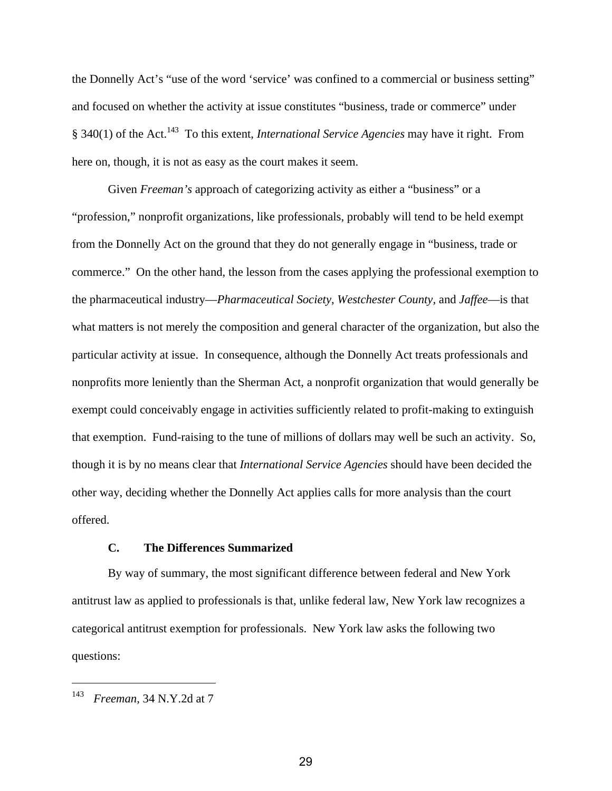the Donnelly Act's "use of the word 'service' was confined to a commercial or business setting" and focused on whether the activity at issue constitutes "business, trade or commerce" under § 340(1) of the Act.143 To this extent, *International Service Agencies* may have it right. From here on, though, it is not as easy as the court makes it seem.

Given *Freeman's* approach of categorizing activity as either a "business" or a "profession," nonprofit organizations, like professionals, probably will tend to be held exempt from the Donnelly Act on the ground that they do not generally engage in "business, trade or commerce." On the other hand, the lesson from the cases applying the professional exemption to the pharmaceutical industry—*Pharmaceutical Society*, *Westchester County*, and *Jaffee*—is that what matters is not merely the composition and general character of the organization, but also the particular activity at issue. In consequence, although the Donnelly Act treats professionals and nonprofits more leniently than the Sherman Act, a nonprofit organization that would generally be exempt could conceivably engage in activities sufficiently related to profit-making to extinguish that exemption. Fund-raising to the tune of millions of dollars may well be such an activity. So, though it is by no means clear that *International Service Agencies* should have been decided the other way, deciding whether the Donnelly Act applies calls for more analysis than the court offered.

### **C. The Differences Summarized**

By way of summary, the most significant difference between federal and New York antitrust law as applied to professionals is that, unlike federal law, New York law recognizes a categorical antitrust exemption for professionals. New York law asks the following two questions:

<sup>143</sup> *Freeman*, 34 N.Y.2d at 7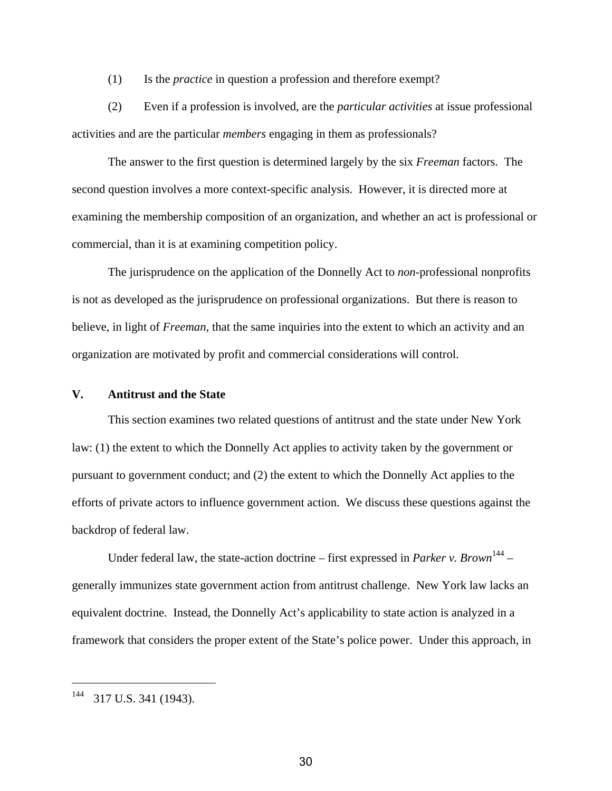(1) Is the *practice* in question a profession and therefore exempt?

(2) Even if a profession is involved, are the *particular activities* at issue professional activities and are the particular *members* engaging in them as professionals?

The answer to the first question is determined largely by the six *Freeman* factors. The second question involves a more context-specific analysis. However, it is directed more at examining the membership composition of an organization, and whether an act is professional or commercial, than it is at examining competition policy.

The jurisprudence on the application of the Donnelly Act to *non*-professional nonprofits is not as developed as the jurisprudence on professional organizations. But there is reason to believe, in light of *Freeman*, that the same inquiries into the extent to which an activity and an organization are motivated by profit and commercial considerations will control.

#### **V. Antitrust and the State**

This section examines two related questions of antitrust and the state under New York law: (1) the extent to which the Donnelly Act applies to activity taken by the government or pursuant to government conduct; and (2) the extent to which the Donnelly Act applies to the efforts of private actors to influence government action. We discuss these questions against the backdrop of federal law.

Under federal law, the state-action doctrine – first expressed in *Parker v. Brown*<sup>144</sup> – generally immunizes state government action from antitrust challenge. New York law lacks an equivalent doctrine. Instead, the Donnelly Act's applicability to state action is analyzed in a framework that considers the proper extent of the State's police power. Under this approach, in

<sup>144 317</sup> U.S. 341 (1943).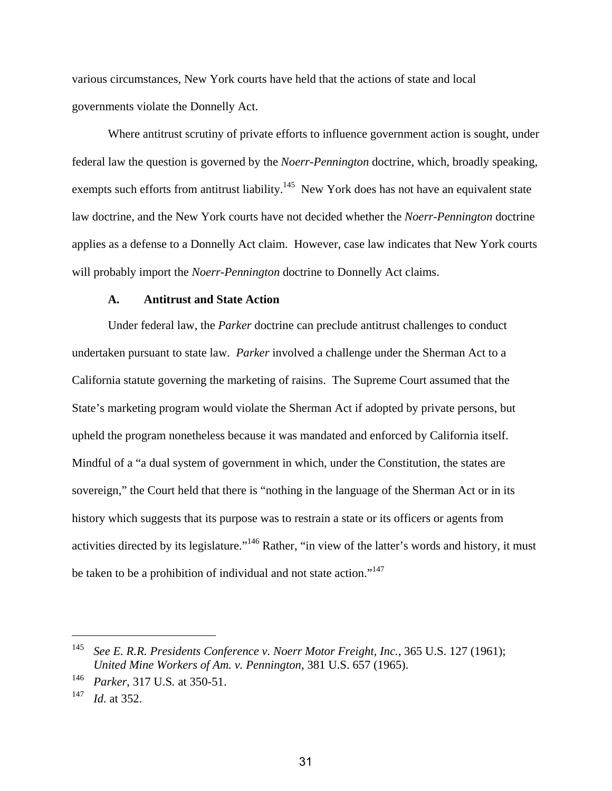various circumstances, New York courts have held that the actions of state and local governments violate the Donnelly Act.

Where antitrust scrutiny of private efforts to influence government action is sought, under federal law the question is governed by the *Noerr-Pennington* doctrine, which, broadly speaking, exempts such efforts from antitrust liability.<sup>145</sup> New York does has not have an equivalent state law doctrine, and the New York courts have not decided whether the *Noerr-Pennington* doctrine applies as a defense to a Donnelly Act claim. However, case law indicates that New York courts will probably import the *Noerr-Pennington* doctrine to Donnelly Act claims.

### **A. Antitrust and State Action**

Under federal law, the *Parker* doctrine can preclude antitrust challenges to conduct undertaken pursuant to state law. *Parker* involved a challenge under the Sherman Act to a California statute governing the marketing of raisins. The Supreme Court assumed that the State's marketing program would violate the Sherman Act if adopted by private persons, but upheld the program nonetheless because it was mandated and enforced by California itself. Mindful of a "a dual system of government in which, under the Constitution, the states are sovereign," the Court held that there is "nothing in the language of the Sherman Act or in its history which suggests that its purpose was to restrain a state or its officers or agents from activities directed by its legislature."<sup>146</sup> Rather, "in view of the latter's words and history, it must be taken to be a prohibition of individual and not state action."<sup>147</sup>

<sup>145</sup> *See E. R.R. Presidents Conference v. Noerr Motor Freight, Inc.*, 365 U.S. 127 (1961); *United Mine Workers of Am. v. Pennington*, 381 U.S. 657 (1965).

<sup>146</sup> *Parker*, 317 U.S*.* at 350-51.

<sup>147</sup> *Id.* at 352.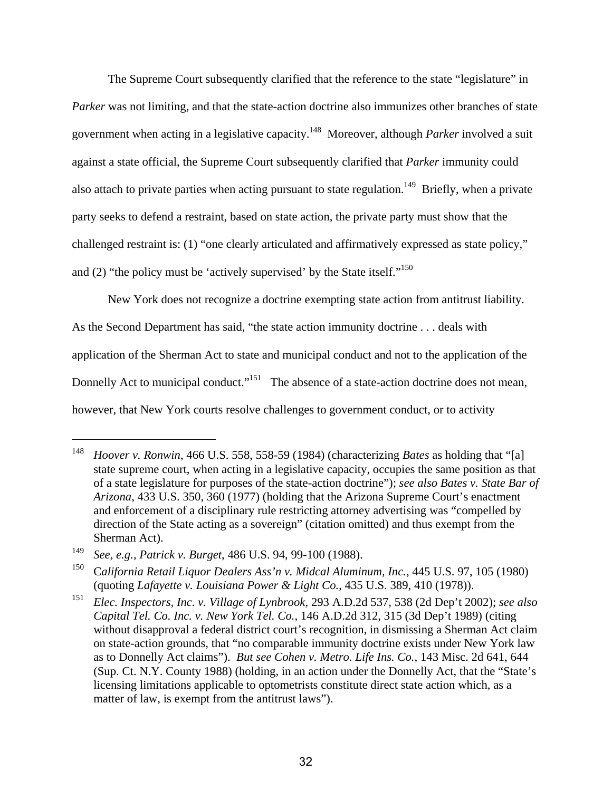The Supreme Court subsequently clarified that the reference to the state "legislature" in *Parker* was not limiting, and that the state-action doctrine also immunizes other branches of state government when acting in a legislative capacity.148 Moreover, although *Parker* involved a suit against a state official, the Supreme Court subsequently clarified that *Parker* immunity could also attach to private parties when acting pursuant to state regulation.<sup>149</sup> Briefly, when a private party seeks to defend a restraint, based on state action, the private party must show that the challenged restraint is: (1) "one clearly articulated and affirmatively expressed as state policy," and (2) "the policy must be 'actively supervised' by the State itself."<sup>150</sup>

New York does not recognize a doctrine exempting state action from antitrust liability. As the Second Department has said, "the state action immunity doctrine . . . deals with application of the Sherman Act to state and municipal conduct and not to the application of the Donnelly Act to municipal conduct."<sup>151</sup> The absence of a state-action doctrine does not mean, however, that New York courts resolve challenges to government conduct, or to activity

<sup>148</sup> *Hoover v. Ronwin*, 466 U.S. 558, 558-59 (1984) (characterizing *Bates* as holding that "[a] state supreme court, when acting in a legislative capacity, occupies the same position as that of a state legislature for purposes of the state-action doctrine"); *see also Bates v. State Bar of Arizona*, 433 U.S. 350, 360 (1977) (holding that the Arizona Supreme Court's enactment and enforcement of a disciplinary rule restricting attorney advertising was "compelled by direction of the State acting as a sovereign" (citation omitted) and thus exempt from the Sherman Act).

<sup>149</sup> *See, e.g., Patrick v. Burget*, 486 U.S. 94, 99-100 (1988).

<sup>150</sup> C*alifornia Retail Liquor Dealers Ass'n v. Midcal Aluminum, Inc.*, 445 U.S. 97, 105 (1980) (quoting *Lafayette v. Louisiana Power & Light Co.*, 435 U.S. 389, 410 (1978)).

<sup>151</sup> *Elec. Inspectors, Inc. v. Village of Lynbrook*, 293 A.D.2d 537, 538 (2d Dep't 2002); *see also Capital Tel. Co. Inc. v. New York Tel. Co.*, 146 A.D.2d 312, 315 (3d Dep't 1989) (citing without disapproval a federal district court's recognition, in dismissing a Sherman Act claim on state-action grounds, that "no comparable immunity doctrine exists under New York law as to Donnelly Act claims"). *But see Cohen v. Metro. Life Ins. Co.*, 143 Misc. 2d 641, 644 (Sup. Ct. N.Y. County 1988) (holding, in an action under the Donnelly Act, that the "State's licensing limitations applicable to optometrists constitute direct state action which, as a matter of law, is exempt from the antitrust laws").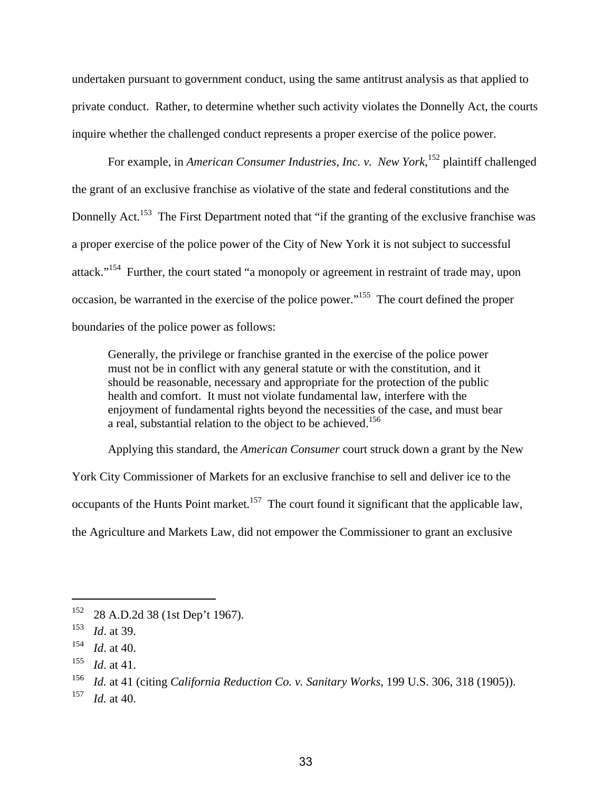undertaken pursuant to government conduct, using the same antitrust analysis as that applied to private conduct. Rather, to determine whether such activity violates the Donnelly Act, the courts inquire whether the challenged conduct represents a proper exercise of the police power.

For example, in *American Consumer Industries, Inc. v. New York*, 152 plaintiff challenged the grant of an exclusive franchise as violative of the state and federal constitutions and the Donnelly Act.<sup>153</sup> The First Department noted that "if the granting of the exclusive franchise was a proper exercise of the police power of the City of New York it is not subject to successful attack."<sup>154</sup> Further, the court stated "a monopoly or agreement in restraint of trade may, upon occasion, be warranted in the exercise of the police power."155 The court defined the proper boundaries of the police power as follows:

Generally, the privilege or franchise granted in the exercise of the police power must not be in conflict with any general statute or with the constitution, and it should be reasonable, necessary and appropriate for the protection of the public health and comfort. It must not violate fundamental law, interfere with the enjoyment of fundamental rights beyond the necessities of the case, and must bear a real, substantial relation to the object to be achieved.<sup>156</sup>

Applying this standard, the *American Consumer* court struck down a grant by the New

York City Commissioner of Markets for an exclusive franchise to sell and deliver ice to the

occupants of the Hunts Point market.<sup>157</sup> The court found it significant that the applicable law,

the Agriculture and Markets Law, did not empower the Commissioner to grant an exclusive

 $152$  28 A.D.2d 38 (1st Dep't 1967).

<sup>153</sup> *Id*. at 39.

<sup>154</sup> *Id*. at 40.

<sup>155</sup> *Id*. at 41.

<sup>156</sup> *Id.* at 41 (citing *California Reduction Co. v. Sanitary Works*, 199 U.S. 306, 318 (1905)).

<sup>157</sup> *Id.* at 40.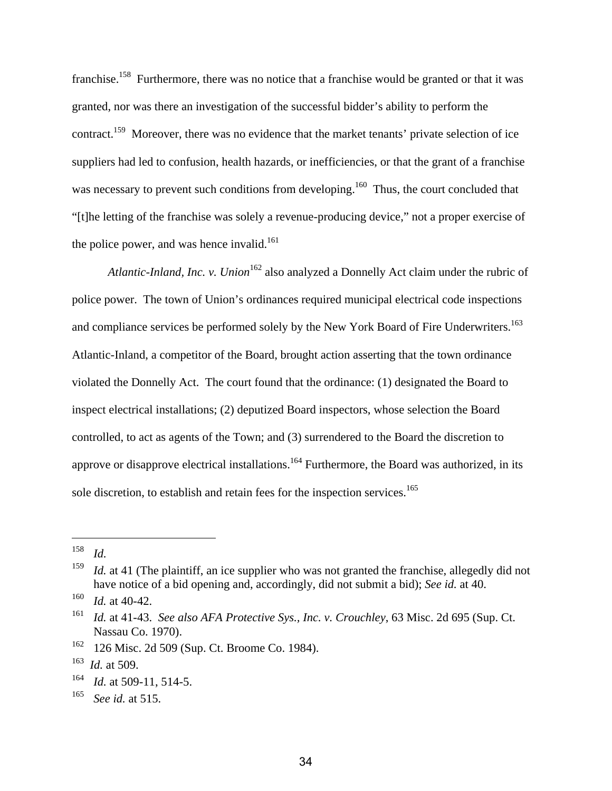franchise.<sup>158</sup> Furthermore, there was no notice that a franchise would be granted or that it was granted, nor was there an investigation of the successful bidder's ability to perform the contract.<sup>159</sup> Moreover, there was no evidence that the market tenants' private selection of ice suppliers had led to confusion, health hazards, or inefficiencies, or that the grant of a franchise was necessary to prevent such conditions from developing.<sup>160</sup> Thus, the court concluded that "[t]he letting of the franchise was solely a revenue-producing device," not a proper exercise of the police power, and was hence invalid.<sup>161</sup>

*Atlantic-Inland, Inc. v. Union*<sup>162</sup> also analyzed a Donnelly Act claim under the rubric of police power. The town of Union's ordinances required municipal electrical code inspections and compliance services be performed solely by the New York Board of Fire Underwriters.<sup>163</sup> Atlantic-Inland, a competitor of the Board, brought action asserting that the town ordinance violated the Donnelly Act. The court found that the ordinance: (1) designated the Board to inspect electrical installations; (2) deputized Board inspectors, whose selection the Board controlled, to act as agents of the Town; and (3) surrendered to the Board the discretion to approve or disapprove electrical installations.<sup>164</sup> Furthermore, the Board was authorized, in its sole discretion, to establish and retain fees for the inspection services.<sup>165</sup>

<sup>158</sup> *Id.*

<sup>&</sup>lt;sup>159</sup> *Id.* at 41 (The plaintiff, an ice supplier who was not granted the franchise, allegedly did not have notice of a bid opening and, accordingly, did not submit a bid); *See id.* at 40.

 $160$  *Id.* at 40-42.

<sup>161</sup> *Id.* at 41-43. *See also AFA Protective Sys., Inc. v. Crouchley*, 63 Misc. 2d 695 (Sup. Ct. Nassau Co. 1970).

<sup>162 126</sup> Misc. 2d 509 (Sup. Ct. Broome Co. 1984).

<sup>163</sup> *Id.* at 509.

<sup>164</sup> *Id.* at 509-11, 514-5.

<sup>165</sup> *See id.* at 515.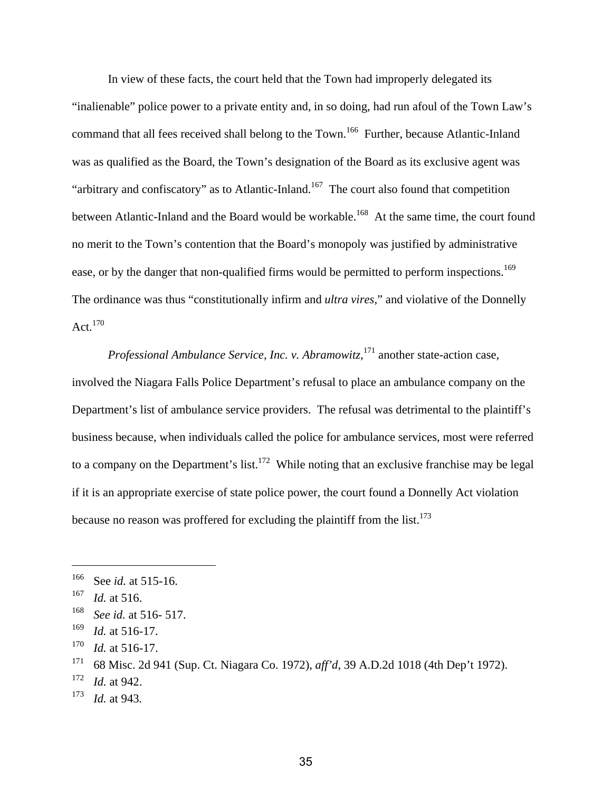In view of these facts, the court held that the Town had improperly delegated its "inalienable" police power to a private entity and, in so doing, had run afoul of the Town Law's command that all fees received shall belong to the Town.<sup>166</sup> Further, because Atlantic-Inland was as qualified as the Board, the Town's designation of the Board as its exclusive agent was "arbitrary and confiscatory" as to Atlantic-Inland.<sup>167</sup> The court also found that competition between Atlantic-Inland and the Board would be workable.<sup>168</sup> At the same time, the court found no merit to the Town's contention that the Board's monopoly was justified by administrative ease, or by the danger that non-qualified firms would be permitted to perform inspections.<sup>169</sup> The ordinance was thus "constitutionally infirm and *ultra vires,*" and violative of the Donnelly Act. $170$ 

*Professional Ambulance Service, Inc. v. Abramowitz*, 171 another state-action case, involved the Niagara Falls Police Department's refusal to place an ambulance company on the Department's list of ambulance service providers. The refusal was detrimental to the plaintiff's business because, when individuals called the police for ambulance services, most were referred to a company on the Department's list.<sup>172</sup> While noting that an exclusive franchise may be legal if it is an appropriate exercise of state police power, the court found a Donnelly Act violation because no reason was proffered for excluding the plaintiff from the list.<sup>173</sup>

<sup>166</sup> See *id.* at 515-16.

<sup>167</sup> *Id.* at 516.

<sup>168</sup> *See id.* at 516- 517.

<sup>169</sup> *Id.* at 516-17.

<sup>170</sup> *Id.* at 516-17.

<sup>171 68</sup> Misc. 2d 941 (Sup. Ct. Niagara Co. 1972), *aff'd*, 39 A.D.2d 1018 (4th Dep't 1972).

<sup>172</sup> *Id.* at 942.

<sup>173</sup> *Id.* at 943*.*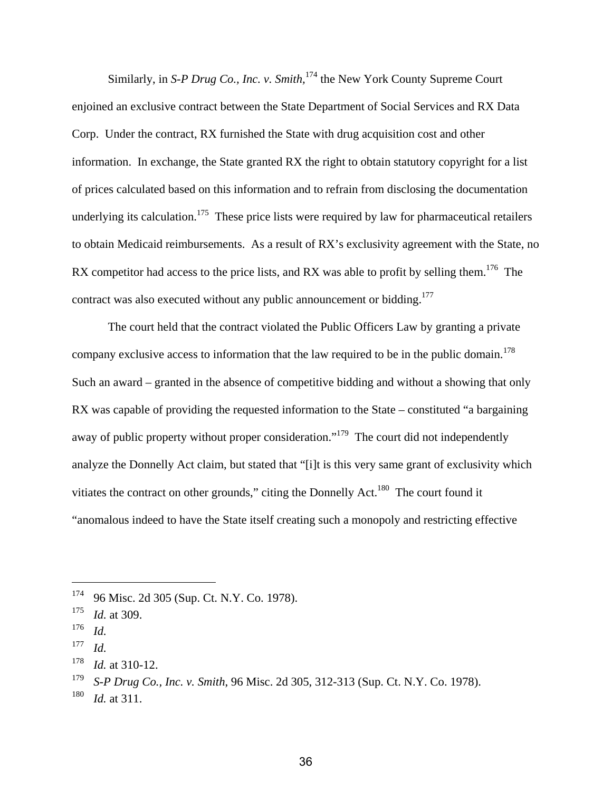Similarly, in *S-P Drug Co., Inc. v. Smith*,<sup>174</sup> the New York County Supreme Court enjoined an exclusive contract between the State Department of Social Services and RX Data Corp. Under the contract, RX furnished the State with drug acquisition cost and other information. In exchange, the State granted RX the right to obtain statutory copyright for a list of prices calculated based on this information and to refrain from disclosing the documentation underlying its calculation.<sup>175</sup> These price lists were required by law for pharmaceutical retailers to obtain Medicaid reimbursements. As a result of RX's exclusivity agreement with the State, no RX competitor had access to the price lists, and RX was able to profit by selling them.<sup>176</sup> The contract was also executed without any public announcement or bidding.<sup>177</sup>

The court held that the contract violated the Public Officers Law by granting a private company exclusive access to information that the law required to be in the public domain.<sup>178</sup> Such an award – granted in the absence of competitive bidding and without a showing that only RX was capable of providing the requested information to the State – constituted "a bargaining away of public property without proper consideration."<sup>179</sup> The court did not independently analyze the Donnelly Act claim, but stated that "[i]t is this very same grant of exclusivity which vitiates the contract on other grounds," citing the Donnelly Act.<sup>180</sup> The court found it "anomalous indeed to have the State itself creating such a monopoly and restricting effective

<sup>174 96</sup> Misc. 2d 305 (Sup. Ct. N.Y. Co. 1978).

<sup>175</sup> *Id.* at 309.

<sup>176</sup>*Id.* 177 *Id.*

<sup>178</sup> *Id.* at 310-12.

<sup>179</sup> *S-P Drug Co., Inc. v. Smith*, 96 Misc. 2d 305, 312-313 (Sup. Ct. N.Y. Co. 1978).

<sup>180</sup> *Id.* at 311.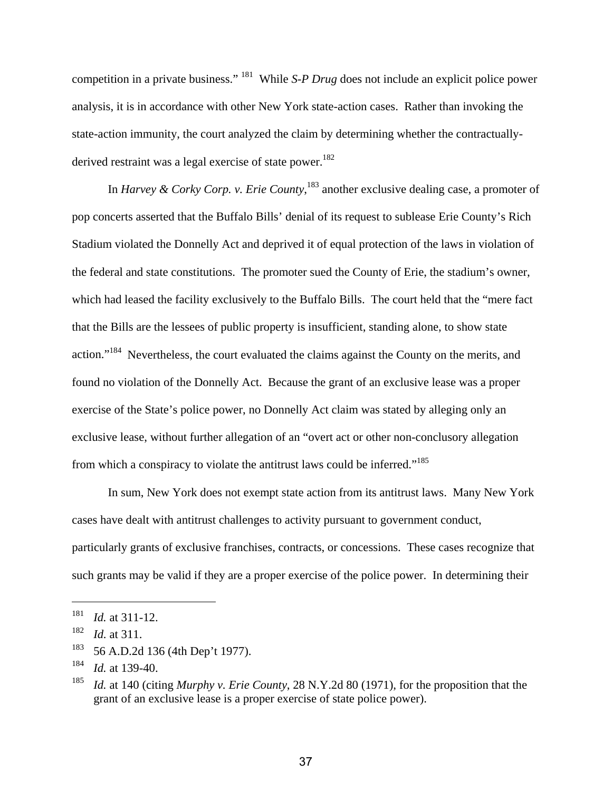competition in a private business." 181 While *S-P Drug* does not include an explicit police power analysis, it is in accordance with other New York state-action cases. Rather than invoking the state-action immunity, the court analyzed the claim by determining whether the contractuallyderived restraint was a legal exercise of state power.<sup>182</sup>

In *Harvey & Corky Corp. v. Erie County*, 183 another exclusive dealing case, a promoter of pop concerts asserted that the Buffalo Bills' denial of its request to sublease Erie County's Rich Stadium violated the Donnelly Act and deprived it of equal protection of the laws in violation of the federal and state constitutions. The promoter sued the County of Erie, the stadium's owner, which had leased the facility exclusively to the Buffalo Bills. The court held that the "mere fact that the Bills are the lessees of public property is insufficient, standing alone, to show state action."184 Nevertheless, the court evaluated the claims against the County on the merits, and found no violation of the Donnelly Act. Because the grant of an exclusive lease was a proper exercise of the State's police power, no Donnelly Act claim was stated by alleging only an exclusive lease, without further allegation of an "overt act or other non-conclusory allegation from which a conspiracy to violate the antitrust laws could be inferred."<sup>185</sup>

In sum, New York does not exempt state action from its antitrust laws. Many New York cases have dealt with antitrust challenges to activity pursuant to government conduct, particularly grants of exclusive franchises, contracts, or concessions. These cases recognize that such grants may be valid if they are a proper exercise of the police power. In determining their

1

183 56 A.D.2d 136 (4th Dep't 1977).

<sup>181</sup> *Id.* at 311-12.

<sup>182</sup> *Id.* at 311.

<sup>184</sup> *Id.* at 139-40.

<sup>185</sup> *Id.* at 140 (citing *Murphy v. Erie County*, 28 N.Y.2d 80 (1971), for the proposition that the grant of an exclusive lease is a proper exercise of state police power).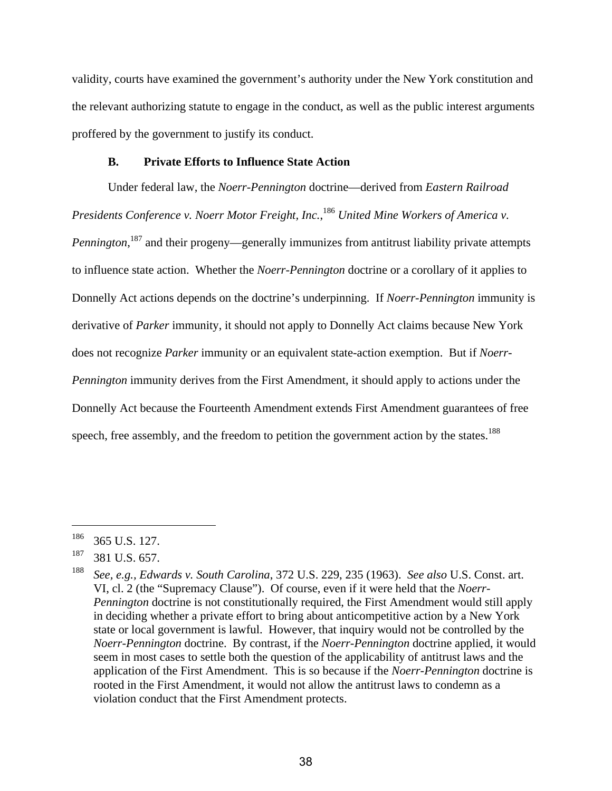validity, courts have examined the government's authority under the New York constitution and the relevant authorizing statute to engage in the conduct, as well as the public interest arguments proffered by the government to justify its conduct.

## **B. Private Efforts to Influence State Action**

Under federal law, the *Noerr-Pennington* doctrine—derived from *Eastern Railroad Presidents Conference v. Noerr Motor Freight, Inc.*, <sup>186</sup> *United Mine Workers of America v.*  Pennington,<sup>187</sup> and their progeny—generally immunizes from antitrust liability private attempts to influence state action. Whether the *Noerr-Pennington* doctrine or a corollary of it applies to Donnelly Act actions depends on the doctrine's underpinning. If *Noerr-Pennington* immunity is derivative of *Parker* immunity, it should not apply to Donnelly Act claims because New York does not recognize *Parker* immunity or an equivalent state-action exemption. But if *Noerr-Pennington* immunity derives from the First Amendment, it should apply to actions under the Donnelly Act because the Fourteenth Amendment extends First Amendment guarantees of free speech, free assembly, and the freedom to petition the government action by the states.<sup>188</sup>

<sup>&</sup>lt;sup>186</sup> 365 U.S. 127.

 $187$  381 U.S. 657.

<sup>188</sup> *See, e.g., Edwards v. South Carolina*, 372 U.S. 229, 235 (1963). *See also* U.S. Const. art. VI, cl. 2 (the "Supremacy Clause"). Of course, even if it were held that the *Noerr-Pennington* doctrine is not constitutionally required, the First Amendment would still apply in deciding whether a private effort to bring about anticompetitive action by a New York state or local government is lawful. However, that inquiry would not be controlled by the *Noerr-Pennington* doctrine. By contrast, if the *Noerr-Pennington* doctrine applied, it would seem in most cases to settle both the question of the applicability of antitrust laws and the application of the First Amendment. This is so because if the *Noerr-Pennington* doctrine is rooted in the First Amendment, it would not allow the antitrust laws to condemn as a violation conduct that the First Amendment protects.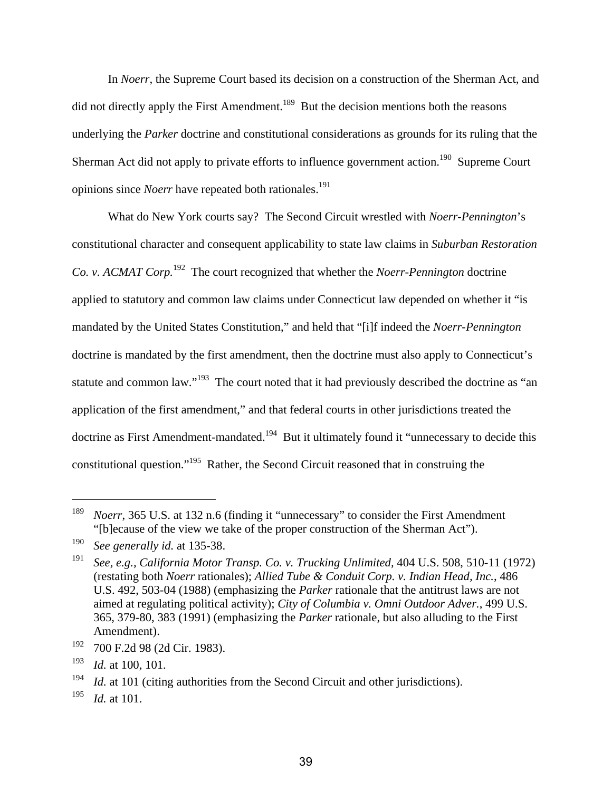In *Noerr*, the Supreme Court based its decision on a construction of the Sherman Act, and did not directly apply the First Amendment.<sup>189</sup> But the decision mentions both the reasons underlying the *Parker* doctrine and constitutional considerations as grounds for its ruling that the Sherman Act did not apply to private efforts to influence government action.<sup>190</sup> Supreme Court opinions since *Noerr* have repeated both rationales.<sup>191</sup>

What do New York courts say? The Second Circuit wrestled with *Noerr-Pennington*'s constitutional character and consequent applicability to state law claims in *Suburban Restoration Co. v. ACMAT Corp.*192 The court recognized that whether the *Noerr-Pennington* doctrine applied to statutory and common law claims under Connecticut law depended on whether it "is mandated by the United States Constitution," and held that "[i]f indeed the *Noerr-Pennington*  doctrine is mandated by the first amendment, then the doctrine must also apply to Connecticut's statute and common law."<sup>193</sup> The court noted that it had previously described the doctrine as "an application of the first amendment," and that federal courts in other jurisdictions treated the doctrine as First Amendment-mandated.<sup>194</sup> But it ultimately found it "unnecessary to decide this constitutional question."195 Rather, the Second Circuit reasoned that in construing the

<sup>&</sup>lt;sup>189</sup> *Noerr*, 365 U.S. at 132 n.6 (finding it "unnecessary" to consider the First Amendment "[b]ecause of the view we take of the proper construction of the Sherman Act").

<sup>190</sup> *See generally id.* at 135-38.

<sup>191</sup> *See, e.g., California Motor Transp. Co. v. Trucking Unlimited,* 404 U.S. 508, 510-11 (1972) (restating both *Noerr* rationales); *Allied Tube & Conduit Corp. v. Indian Head, Inc.*, 486 U.S. 492, 503-04 (1988) (emphasizing the *Parker* rationale that the antitrust laws are not aimed at regulating political activity); *City of Columbia v. Omni Outdoor Adver.*, 499 U.S. 365, 379-80, 383 (1991) (emphasizing the *Parker* rationale, but also alluding to the First Amendment).

<sup>192 700</sup> F.2d 98 (2d Cir. 1983).

<sup>193</sup> *Id.* at 100, 101.

<sup>&</sup>lt;sup>194</sup> *Id.* at 101 (citing authorities from the Second Circuit and other jurisdictions).

<sup>195</sup> *Id.* at 101.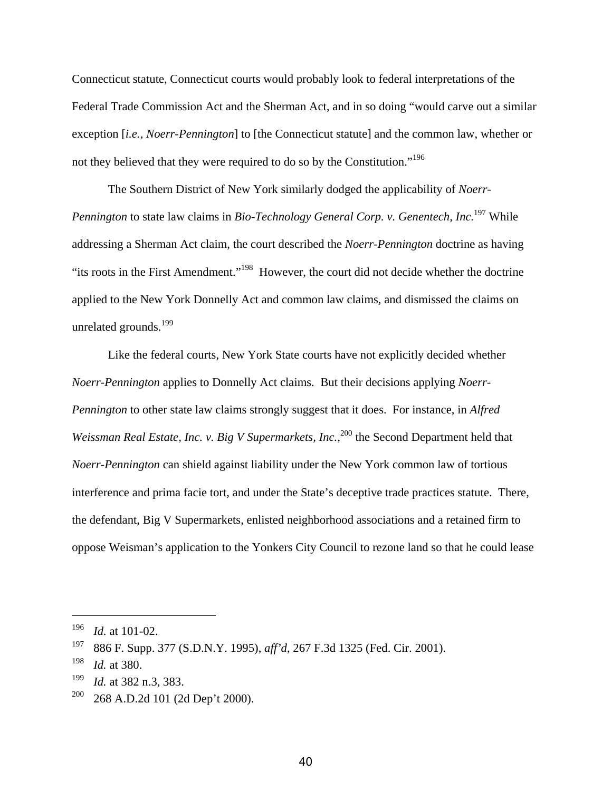Connecticut statute, Connecticut courts would probably look to federal interpretations of the Federal Trade Commission Act and the Sherman Act, and in so doing "would carve out a similar exception [*i.e., Noerr-Pennington*] to [the Connecticut statute] and the common law, whether or not they believed that they were required to do so by the Constitution."196

The Southern District of New York similarly dodged the applicability of *Noerr-Pennington* to state law claims in *Bio-Technology General Corp. v. Genentech, Inc.*<sup>197</sup> While addressing a Sherman Act claim, the court described the *Noerr-Pennington* doctrine as having "its roots in the First Amendment."198 However, the court did not decide whether the doctrine applied to the New York Donnelly Act and common law claims, and dismissed the claims on unrelated grounds.<sup>199</sup>

Like the federal courts, New York State courts have not explicitly decided whether *Noerr-Pennington* applies to Donnelly Act claims. But their decisions applying *Noerr-Pennington* to other state law claims strongly suggest that it does. For instance, in *Alfred*  Weissman Real Estate, Inc. v. Big V Supermarkets, Inc.,<sup>200</sup> the Second Department held that *Noerr-Pennington* can shield against liability under the New York common law of tortious interference and prima facie tort, and under the State's deceptive trade practices statute. There, the defendant, Big V Supermarkets, enlisted neighborhood associations and a retained firm to oppose Weisman's application to the Yonkers City Council to rezone land so that he could lease

<sup>196</sup> *Id.* at 101-02.

<sup>197 886</sup> F. Supp. 377 (S.D.N.Y. 1995), *aff'd*, 267 F.3d 1325 (Fed. Cir. 2001).

<sup>198</sup> *Id.* at 380.

<sup>199</sup> *Id.* at 382 n.3, 383.

 $200$  268 A.D.2d 101 (2d Dep't 2000).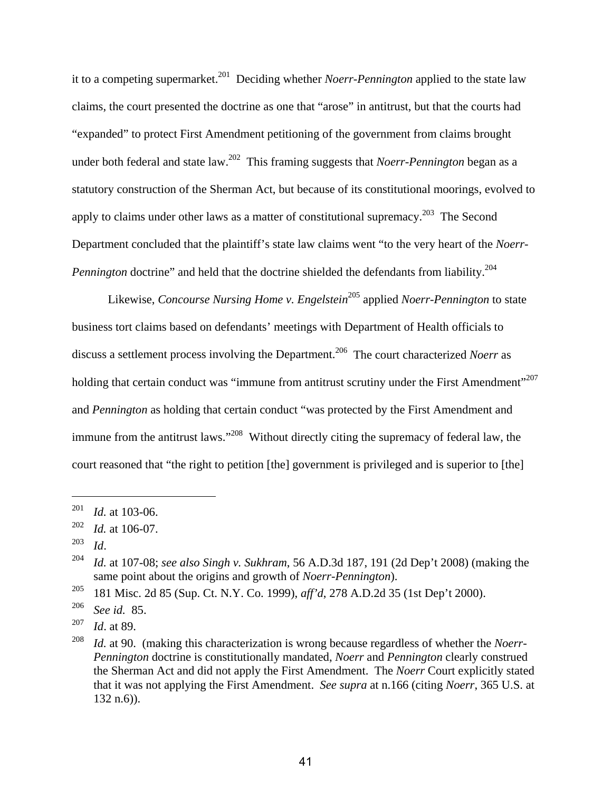it to a competing supermarket.201 Deciding whether *Noerr-Pennington* applied to the state law claims, the court presented the doctrine as one that "arose" in antitrust, but that the courts had "expanded" to protect First Amendment petitioning of the government from claims brought under both federal and state law.202 This framing suggests that *Noerr-Pennington* began as a statutory construction of the Sherman Act, but because of its constitutional moorings, evolved to apply to claims under other laws as a matter of constitutional supremacy.<sup>203</sup> The Second Department concluded that the plaintiff's state law claims went "to the very heart of the *Noerr-Pennington* doctrine" and held that the doctrine shielded the defendants from liability.<sup>204</sup>

Likewise, *Concourse Nursing Home v. Engelstein*205 applied *Noerr-Pennington* to state business tort claims based on defendants' meetings with Department of Health officials to discuss a settlement process involving the Department.206 The court characterized *Noerr* as holding that certain conduct was "immune from antitrust scrutiny under the First Amendment"<sup>207</sup> and *Pennington* as holding that certain conduct "was protected by the First Amendment and immune from the antitrust laws."<sup>208</sup> Without directly citing the supremacy of federal law, the court reasoned that "the right to petition [the] government is privileged and is superior to [the]

<sup>201</sup> *Id.* at 103-06.

<sup>202</sup> *Id.* at 106-07.

<sup>203</sup>*Id*. 204 *Id.* at 107-08; *see also Singh v. Sukhram*, 56 A.D.3d 187, 191 (2d Dep't 2008) (making the same point about the origins and growth of *Noerr-Pennington*).

<sup>205 181</sup> Misc. 2d 85 (Sup. Ct. N.Y. Co. 1999), *aff'd*, 278 A.D.2d 35 (1st Dep't 2000).

<sup>206</sup> *See id.* 85.

<sup>207</sup> *Id*. at 89.

<sup>208</sup> *Id.* at 90. (making this characterization is wrong because regardless of whether the *Noerr-Pennington* doctrine is constitutionally mandated, *Noerr* and *Pennington* clearly construed the Sherman Act and did not apply the First Amendment. The *Noerr* Court explicitly stated that it was not applying the First Amendment. *See supra* at n.166 (citing *Noerr*, 365 U.S. at 132 n.6)).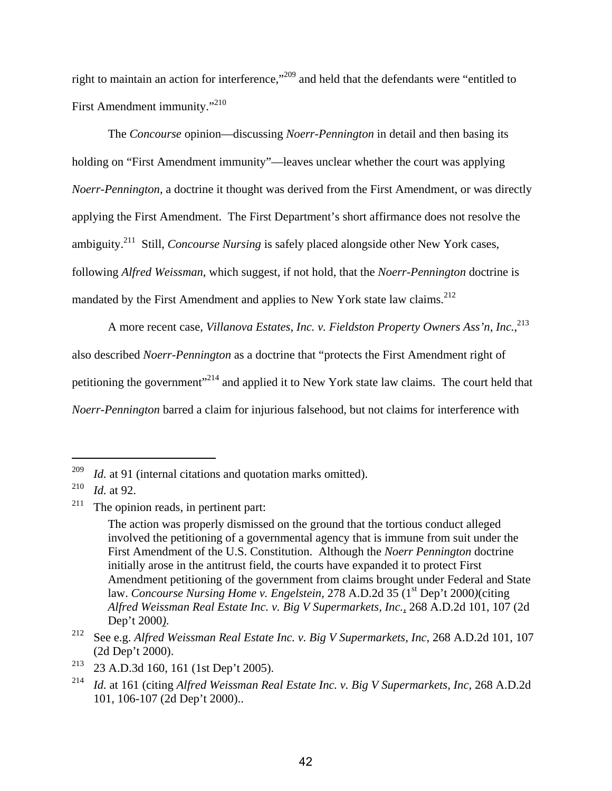right to maintain an action for interference,"209 and held that the defendants were "entitled to First Amendment immunity."<sup>210</sup>

The *Concourse* opinion—discussing *Noerr-Pennington* in detail and then basing its holding on "First Amendment immunity"—leaves unclear whether the court was applying *Noerr-Pennington*, a doctrine it thought was derived from the First Amendment, or was directly applying the First Amendment. The First Department's short affirmance does not resolve the ambiguity.211 Still, *Concourse Nursing* is safely placed alongside other New York cases, following *Alfred Weissman*, which suggest, if not hold, that the *Noerr-Pennington* doctrine is mandated by the First Amendment and applies to New York state law claims.<sup>212</sup>

A more recent case, *Villanova Estates, Inc. v. Fieldston Property Owners Ass'n, Inc.*, 213 also described *Noerr-Pennington* as a doctrine that "protects the First Amendment right of petitioning the government"<sup>214</sup> and applied it to New York state law claims. The court held that *Noerr-Pennington* barred a claim for injurious falsehood, but not claims for interference with

<sup>209</sup> *Id.* at 91 (internal citations and quotation marks omitted).

<sup>210</sup> *Id.* at 92.

 $211$  The opinion reads, in pertinent part:

The action was properly dismissed on the ground that the tortious conduct alleged involved the petitioning of a governmental agency that is immune from suit under the First Amendment of the U.S. Constitution. Although the *Noerr Pennington* doctrine initially arose in the antitrust field, the courts have expanded it to protect First Amendment petitioning of the government from claims brought under Federal and State law. *Concourse Nursing Home v. Engelstein*, 278 A.D.2d 35 (1<sup>st</sup> Dep't 2000)(citing *Alfred Weissman Real Estate Inc. v. Big V Supermarkets, Inc.,* 268 A.D.2d 101, 107 (2d

Dep't 2000*)*. 212 See e.g. *Alfred Weissman Real Estate Inc. v. Big V Supermarkets, Inc,* 268 A.D.2d 101, 107 (2d Dep't 2000).

<sup>213 23</sup> A.D.3d 160, 161 (1st Dep't 2005).

<sup>214</sup> *Id.* at 161 (citing *Alfred Weissman Real Estate Inc. v. Big V Supermarkets, Inc,* 268 A.D.2d 101, 106-107 (2d Dep't 2000)..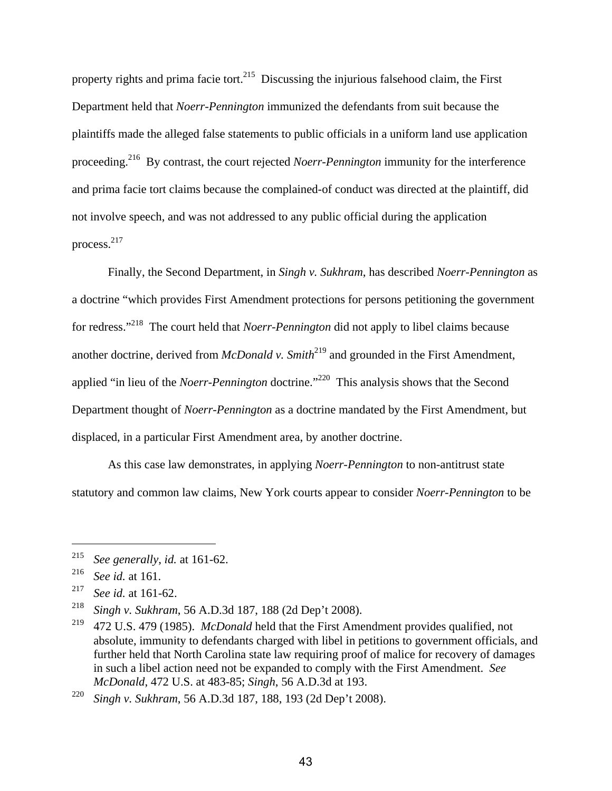property rights and prima facie tort.<sup>215</sup> Discussing the injurious falsehood claim, the First Department held that *Noerr-Pennington* immunized the defendants from suit because the plaintiffs made the alleged false statements to public officials in a uniform land use application proceeding.216 By contrast, the court rejected *Noerr-Pennington* immunity for the interference and prima facie tort claims because the complained-of conduct was directed at the plaintiff, did not involve speech, and was not addressed to any public official during the application process.217

Finally, the Second Department, in *Singh v. Sukhram*, has described *Noerr-Pennington* as a doctrine "which provides First Amendment protections for persons petitioning the government for redress."218 The court held that *Noerr-Pennington* did not apply to libel claims because another doctrine, derived from *McDonald v. Smith*<sup>219</sup> and grounded in the First Amendment, applied "in lieu of the *Noerr-Pennington* doctrine."<sup>220</sup> This analysis shows that the Second Department thought of *Noerr-Pennington* as a doctrine mandated by the First Amendment, but displaced, in a particular First Amendment area, by another doctrine.

As this case law demonstrates, in applying *Noerr-Pennington* to non-antitrust state statutory and common law claims, New York courts appear to consider *Noerr-Pennington* to be

<sup>215</sup> *See generally*, *id.* at 161-62.

<sup>216</sup> *See id.* at 161.

<sup>217</sup> *See id.* at 161-62.

<sup>218</sup> *Singh v. Sukhram*, 56 A.D.3d 187, 188 (2d Dep't 2008).

<sup>219 472</sup> U.S. 479 (1985). *McDonald* held that the First Amendment provides qualified, not absolute, immunity to defendants charged with libel in petitions to government officials, and further held that North Carolina state law requiring proof of malice for recovery of damages in such a libel action need not be expanded to comply with the First Amendment. *See McDonald*, 472 U.S. at 483-85; *Singh*, 56 A.D.3d at 193.

<sup>220</sup> *Singh v. Sukhram*, 56 A.D.3d 187, 188, 193 (2d Dep't 2008).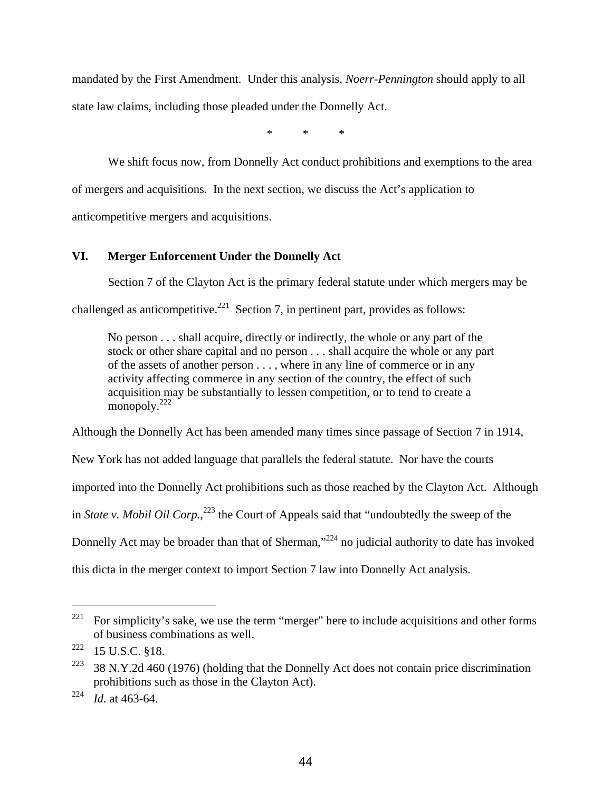mandated by the First Amendment. Under this analysis, *Noerr-Pennington* should apply to all state law claims, including those pleaded under the Donnelly Act.

\* \* \*

We shift focus now, from Donnelly Act conduct prohibitions and exemptions to the area of mergers and acquisitions. In the next section, we discuss the Act's application to anticompetitive mergers and acquisitions.

# **VI. Merger Enforcement Under the Donnelly Act**

Section 7 of the Clayton Act is the primary federal statute under which mergers may be

challenged as anticompetitive.<sup>221</sup> Section 7, in pertinent part, provides as follows:

No person . . . shall acquire, directly or indirectly, the whole or any part of the stock or other share capital and no person . . . shall acquire the whole or any part of the assets of another person . . . , where in any line of commerce or in any activity affecting commerce in any section of the country, the effect of such acquisition may be substantially to lessen competition, or to tend to create a monopoly. $^{222}$ 

Although the Donnelly Act has been amended many times since passage of Section 7 in 1914,

New York has not added language that parallels the federal statute. Nor have the courts

imported into the Donnelly Act prohibitions such as those reached by the Clayton Act. Although

in *State v. Mobil Oil Corp.*, 223 the Court of Appeals said that "undoubtedly the sweep of the

Donnelly Act may be broader than that of Sherman, $^{224}$  no judicial authority to date has invoked

this dicta in the merger context to import Section 7 law into Donnelly Act analysis.

<sup>&</sup>lt;sup>221</sup> For simplicity's sake, we use the term "merger" here to include acquisitions and other forms of business combinations as well.

 $222$  15 U.S.C. §18.

<sup>&</sup>lt;sup>223</sup> 38 N.Y.2d 460 (1976) (holding that the Donnelly Act does not contain price discrimination prohibitions such as those in the Clayton Act).

<sup>224</sup> *Id.* at 463-64.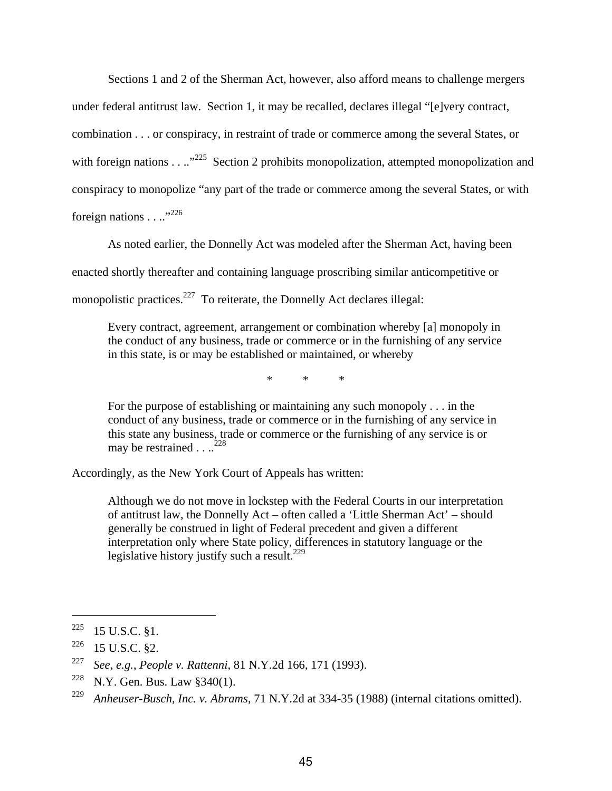Sections 1 and 2 of the Sherman Act, however, also afford means to challenge mergers under federal antitrust law. Section 1, it may be recalled, declares illegal "[e]very contract, combination . . . or conspiracy, in restraint of trade or commerce among the several States, or with foreign nations . . ..<sup>225</sup> Section 2 prohibits monopolization, attempted monopolization and conspiracy to monopolize "any part of the trade or commerce among the several States, or with foreign nations . . ..<sup>"226</sup>

As noted earlier, the Donnelly Act was modeled after the Sherman Act, having been

enacted shortly thereafter and containing language proscribing similar anticompetitive or

monopolistic practices. $227$  To reiterate, the Donnelly Act declares illegal:

Every contract, agreement, arrangement or combination whereby [a] monopoly in the conduct of any business, trade or commerce or in the furnishing of any service in this state, is or may be established or maintained, or whereby

\* \* \*

For the purpose of establishing or maintaining any such monopoly . . . in the conduct of any business, trade or commerce or in the furnishing of any service in this state any business, trade or commerce or the furnishing of any service is or may be restrained  $\ldots$ <sup>228</sup>

Accordingly, as the New York Court of Appeals has written:

Although we do not move in lockstep with the Federal Courts in our interpretation of antitrust law, the Donnelly Act – often called a 'Little Sherman Act' – should generally be construed in light of Federal precedent and given a different interpretation only where State policy, differences in statutory language or the legislative history justify such a result.<sup>229</sup>

 $225$  15 U.S.C. §1.

 $226$  15 U.S.C. §2.

<sup>227</sup> *See, e.g.*, *People v. Rattenni*, 81 N.Y.2d 166, 171 (1993).

<sup>&</sup>lt;sup>228</sup> N.Y. Gen. Bus. Law  $$340(1)$ .

<sup>229</sup> *Anheuser-Busch, Inc. v. Abrams*, 71 N.Y.2d at 334-35 (1988) (internal citations omitted).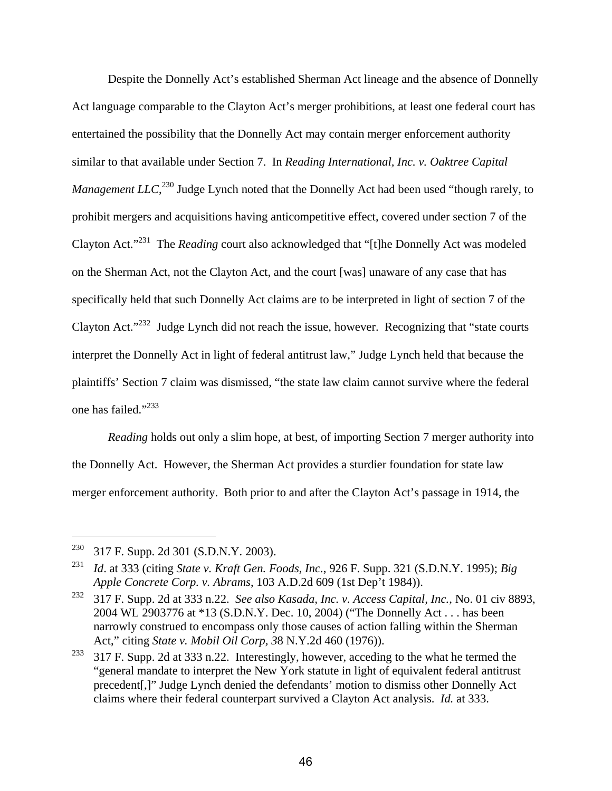Despite the Donnelly Act's established Sherman Act lineage and the absence of Donnelly Act language comparable to the Clayton Act's merger prohibitions, at least one federal court has entertained the possibility that the Donnelly Act may contain merger enforcement authority similar to that available under Section 7. In *Reading International, Inc. v. Oaktree Capital Management LLC*, 230 Judge Lynch noted that the Donnelly Act had been used "though rarely, to prohibit mergers and acquisitions having anticompetitive effect, covered under section 7 of the Clayton Act."231 The *Reading* court also acknowledged that "[t]he Donnelly Act was modeled on the Sherman Act, not the Clayton Act, and the court [was] unaware of any case that has specifically held that such Donnelly Act claims are to be interpreted in light of section 7 of the Clayton Act."232 Judge Lynch did not reach the issue, however. Recognizing that "state courts interpret the Donnelly Act in light of federal antitrust law," Judge Lynch held that because the plaintiffs' Section 7 claim was dismissed, "the state law claim cannot survive where the federal one has failed."233

*Reading* holds out only a slim hope, at best, of importing Section 7 merger authority into the Donnelly Act. However, the Sherman Act provides a sturdier foundation for state law merger enforcement authority. Both prior to and after the Clayton Act's passage in 1914, the

<sup>230 317</sup> F. Supp. 2d 301 (S.D.N.Y. 2003).

<sup>231</sup> *Id*. at 333 (citing *State v. Kraft Gen. Foods, Inc.*, 926 F. Supp. 321 (S.D.N.Y. 1995); *Big Apple Concrete Corp. v. Abrams*, 103 A.D.2d 609 (1st Dep't 1984)).

<sup>232 317</sup> F. Supp. 2d at 333 n.22. *See also Kasada, Inc. v. Access Capital, Inc.*, No. 01 civ 8893, 2004 WL 2903776 at \*13 (S.D.N.Y. Dec. 10, 2004) ("The Donnelly Act . . . has been narrowly construed to encompass only those causes of action falling within the Sherman Act," citing *State v. Mobil Oil Corp, 3*8 N.Y.2d 460 (1976)).

<sup>&</sup>lt;sup>233</sup> 317 F. Supp. 2d at 333 n.22. Interestingly, however, acceding to the what he termed the "general mandate to interpret the New York statute in light of equivalent federal antitrust precedent[,]" Judge Lynch denied the defendants' motion to dismiss other Donnelly Act claims where their federal counterpart survived a Clayton Act analysis. *Id.* at 333.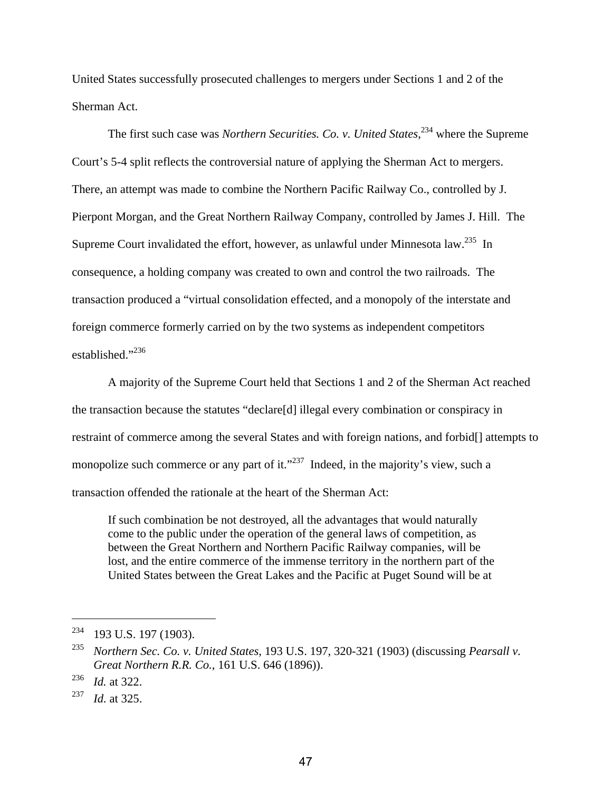United States successfully prosecuted challenges to mergers under Sections 1 and 2 of the Sherman Act.

The first such case was *Northern Securities. Co. v. United States*,<sup>234</sup> where the Supreme Court's 5-4 split reflects the controversial nature of applying the Sherman Act to mergers. There, an attempt was made to combine the Northern Pacific Railway Co., controlled by J. Pierpont Morgan, and the Great Northern Railway Company, controlled by James J. Hill. The Supreme Court invalidated the effort, however, as unlawful under Minnesota law.<sup>235</sup> In consequence, a holding company was created to own and control the two railroads. The transaction produced a "virtual consolidation effected, and a monopoly of the interstate and foreign commerce formerly carried on by the two systems as independent competitors established."<sup>236</sup>

A majority of the Supreme Court held that Sections 1 and 2 of the Sherman Act reached the transaction because the statutes "declare[d] illegal every combination or conspiracy in restraint of commerce among the several States and with foreign nations, and forbid[] attempts to monopolize such commerce or any part of it."<sup>237</sup> Indeed, in the majority's view, such a transaction offended the rationale at the heart of the Sherman Act:

If such combination be not destroyed, all the advantages that would naturally come to the public under the operation of the general laws of competition, as between the Great Northern and Northern Pacific Railway companies, will be lost, and the entire commerce of the immense territory in the northern part of the United States between the Great Lakes and the Pacific at Puget Sound will be at

<sup>&</sup>lt;sup>234</sup> 193 U.S. 197 (1903).

<sup>235</sup> *Northern Sec. Co. v. United States*, 193 U.S. 197, 320-321 (1903) (discussing *Pearsall v. Great Northern R.R. Co.*, 161 U.S. 646 (1896)).

<sup>236</sup> *Id.* at 322.

<sup>237</sup> *Id.* at 325.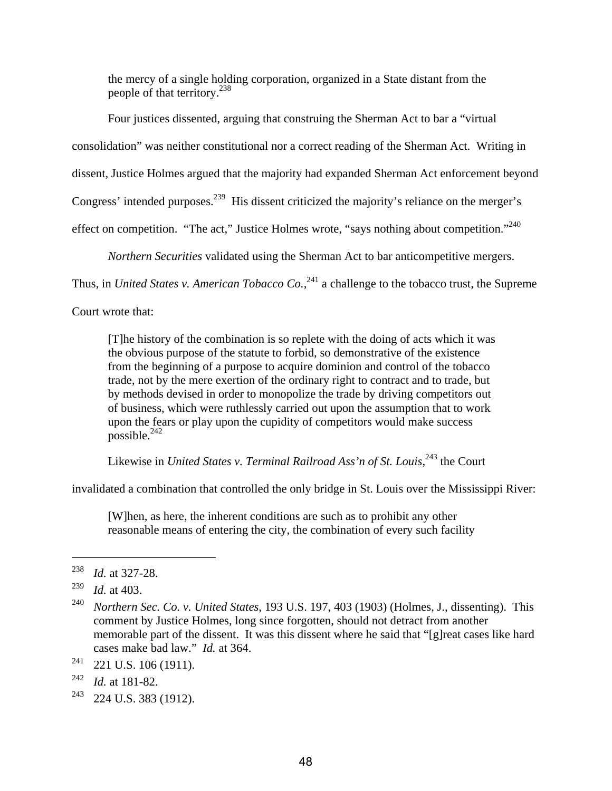the mercy of a single holding corporation, organized in a State distant from the people of that territory.<sup>238</sup>

Four justices dissented, arguing that construing the Sherman Act to bar a "virtual consolidation" was neither constitutional nor a correct reading of the Sherman Act. Writing in dissent, Justice Holmes argued that the majority had expanded Sherman Act enforcement beyond Congress' intended purposes.<sup>239</sup> His dissent criticized the majority's reliance on the merger's effect on competition. "The act," Justice Holmes wrote, "says nothing about competition."<sup>240</sup>

*Northern Securities* validated using the Sherman Act to bar anticompetitive mergers.

Thus, in *United States v. American Tobacco Co.*,<sup>241</sup> a challenge to the tobacco trust, the Supreme

Court wrote that:

[T]he history of the combination is so replete with the doing of acts which it was the obvious purpose of the statute to forbid, so demonstrative of the existence from the beginning of a purpose to acquire dominion and control of the tobacco trade, not by the mere exertion of the ordinary right to contract and to trade, but by methods devised in order to monopolize the trade by driving competitors out of business, which were ruthlessly carried out upon the assumption that to work upon the fears or play upon the cupidity of competitors would make success  $\text{possible.}^{242}$ 

Likewise in *United States v. Terminal Railroad Ass'n of St. Louis*, 243 the Court

invalidated a combination that controlled the only bridge in St. Louis over the Mississippi River:

[W]hen, as here, the inherent conditions are such as to prohibit any other reasonable means of entering the city, the combination of every such facility

<sup>238</sup> *Id.* at 327-28.

<sup>239</sup> *Id.* at 403.

<sup>240</sup> *Northern Sec. Co. v. United States*, 193 U.S. 197, 403 (1903) (Holmes, J., dissenting). This comment by Justice Holmes, long since forgotten, should not detract from another memorable part of the dissent. It was this dissent where he said that "[g]reat cases like hard cases make bad law." *Id.* at 364.

 $241$  221 U.S. 106 (1911).

<sup>242</sup> *Id.* at 181-82.

 $243$  224 U.S. 383 (1912).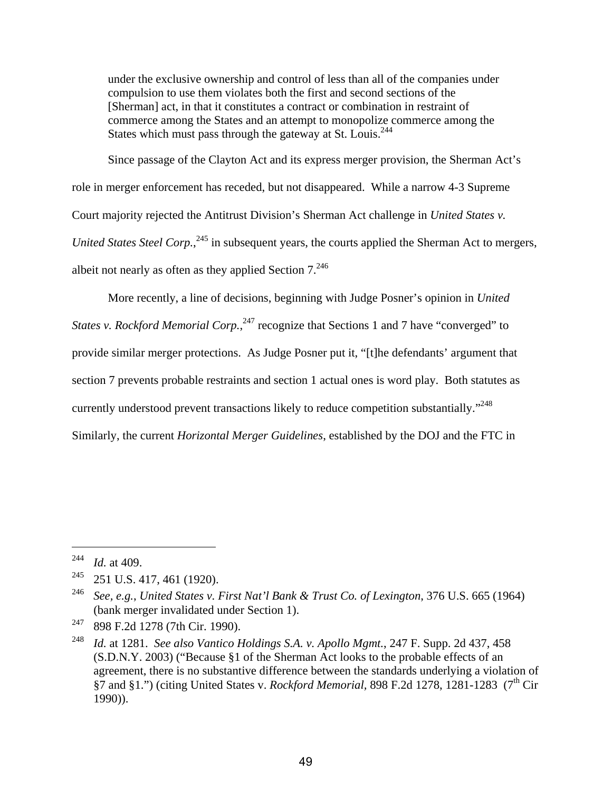under the exclusive ownership and control of less than all of the companies under compulsion to use them violates both the first and second sections of the [Sherman] act, in that it constitutes a contract or combination in restraint of commerce among the States and an attempt to monopolize commerce among the States which must pass through the gateway at St. Louis.<sup>244</sup>

Since passage of the Clayton Act and its express merger provision, the Sherman Act's role in merger enforcement has receded, but not disappeared. While a narrow 4-3 Supreme Court majority rejected the Antitrust Division's Sherman Act challenge in *United States v. United States Steel Corp.*, <sup>245</sup> in subsequent years, the courts applied the Sherman Act to mergers, albeit not nearly as often as they applied Section  $7.^{246}$ 

More recently, a line of decisions, beginning with Judge Posner's opinion in *United States v. Rockford Memorial Corp.*,<sup>247</sup> recognize that Sections 1 and 7 have "converged" to provide similar merger protections. As Judge Posner put it, "[t]he defendants' argument that section 7 prevents probable restraints and section 1 actual ones is word play. Both statutes as currently understood prevent transactions likely to reduce competition substantially."<sup>248</sup> Similarly, the current *Horizontal Merger Guidelines*, established by the DOJ and the FTC in

<u>.</u>

<sup>244</sup> *Id.* at 409.

<sup>245 251</sup> U.S. 417, 461 (1920).

<sup>246</sup> *See, e.g.*, *United States v. First Nat'l Bank & Trust Co. of Lexington*, 376 U.S. 665 (1964) (bank merger invalidated under Section 1).

<sup>247 898</sup> F.2d 1278 (7th Cir. 1990).

<sup>248</sup> *Id.* at 1281. *See also Vantico Holdings S.A. v. Apollo Mgmt.*, 247 F. Supp. 2d 437, 458 (S.D.N.Y. 2003) ("Because §1 of the Sherman Act looks to the probable effects of an agreement, there is no substantive difference between the standards underlying a violation of §7 and §1.") (citing United States v. *Rockford Memorial*, 898 F.2d 1278, 1281-1283 (7<sup>th</sup> Cir 1990)).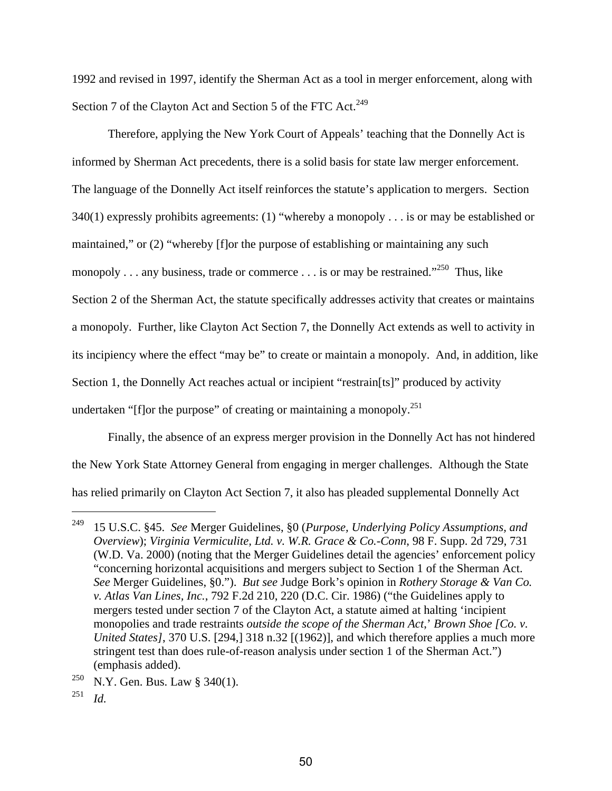1992 and revised in 1997, identify the Sherman Act as a tool in merger enforcement, along with Section 7 of the Clayton Act and Section 5 of the FTC Act.<sup>249</sup>

Therefore, applying the New York Court of Appeals' teaching that the Donnelly Act is informed by Sherman Act precedents, there is a solid basis for state law merger enforcement. The language of the Donnelly Act itself reinforces the statute's application to mergers. Section 340(1) expressly prohibits agreements: (1) "whereby a monopoly . . . is or may be established or maintained," or (2) "whereby [f]or the purpose of establishing or maintaining any such monopoly . . . any business, trade or commerce . . . is or may be restrained."<sup>250</sup> Thus, like Section 2 of the Sherman Act, the statute specifically addresses activity that creates or maintains a monopoly. Further, like Clayton Act Section 7, the Donnelly Act extends as well to activity in its incipiency where the effect "may be" to create or maintain a monopoly. And, in addition, like Section 1, the Donnelly Act reaches actual or incipient "restrain[ts]" produced by activity undertaken "[f]or the purpose" of creating or maintaining a monopoly.<sup>251</sup>

Finally, the absence of an express merger provision in the Donnelly Act has not hindered the New York State Attorney General from engaging in merger challenges. Although the State has relied primarily on Clayton Act Section 7, it also has pleaded supplemental Donnelly Act

1

<sup>249 15</sup> U.S.C. §45. *See* Merger Guidelines, §0 (*Purpose, Underlying Policy Assumptions, and Overview*); *Virginia Vermiculite, Ltd. v. W.R. Grace & Co.-Conn*, 98 F. Supp. 2d 729, 731 (W.D. Va. 2000) (noting that the Merger Guidelines detail the agencies' enforcement policy "concerning horizontal acquisitions and mergers subject to Section 1 of the Sherman Act. *See* Merger Guidelines, §0."). *But see* Judge Bork's opinion in *Rothery Storage & Van Co. v. Atlas Van Lines, Inc.*, 792 F.2d 210, 220 (D.C. Cir. 1986) ("the Guidelines apply to mergers tested under section 7 of the Clayton Act, a statute aimed at halting 'incipient monopolies and trade restraints *outside the scope of the Sherman Act*,' *Brown Shoe [Co. v. United States]*, 370 U.S. [294,] 318 n.32 [(1962)], and which therefore applies a much more stringent test than does rule-of-reason analysis under section 1 of the Sherman Act.") (emphasis added).

<sup>&</sup>lt;sup>250</sup> N.Y. Gen. Bus. Law § 340(1).

<sup>251</sup> *Id.*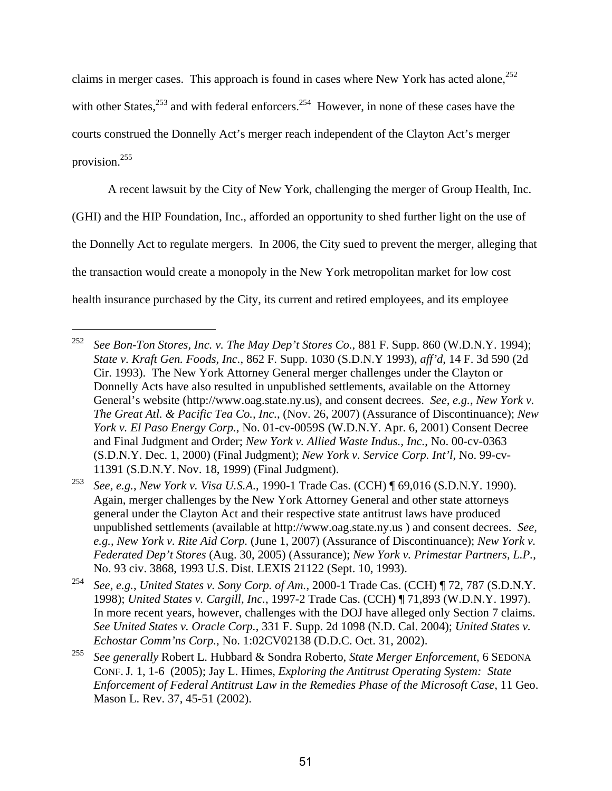claims in merger cases. This approach is found in cases where New York has acted alone,  $252$ with other States, $253$  and with federal enforcers.  $254$  However, in none of these cases have the courts construed the Donnelly Act's merger reach independent of the Clayton Act's merger provision.255

A recent lawsuit by the City of New York, challenging the merger of Group Health, Inc.

(GHI) and the HIP Foundation, Inc., afforded an opportunity to shed further light on the use of

the Donnelly Act to regulate mergers. In 2006, the City sued to prevent the merger, alleging that

the transaction would create a monopoly in the New York metropolitan market for low cost

health insurance purchased by the City, its current and retired employees, and its employee

<sup>252</sup> *See Bon-Ton Stores, Inc. v. The May Dep't Stores Co.*, 881 F. Supp. 860 (W.D.N.Y. 1994); *State v. Kraft Gen. Foods, Inc.*, 862 F. Supp. 1030 (S.D.N.Y 1993), *aff'd*, 14 F. 3d 590 (2d Cir. 1993). The New York Attorney General merger challenges under the Clayton or Donnelly Acts have also resulted in unpublished settlements, available on the Attorney General's website (http://www.oag.state.ny.us), and consent decrees. *See, e.g.*, *New York v. The Great Atl. & Pacific Tea Co., Inc.*, (Nov. 26, 2007) (Assurance of Discontinuance); *New York v. El Paso Energy Corp.*, No. 01-cv-0059S (W.D.N.Y. Apr. 6, 2001) Consent Decree and Final Judgment and Order; *New York v. Allied Waste Indus., Inc.*, No. 00-cv-0363 (S.D.N.Y. Dec. 1, 2000) (Final Judgment); *New York v. Service Corp. Int'l*, No. 99-cv-11391 (S.D.N.Y. Nov. 18, 1999) (Final Judgment).

<sup>253</sup> *See, e.g.*, *New York v. Visa U.S.A.*, 1990-1 Trade Cas. (CCH) ¶ 69,016 (S.D.N.Y. 1990). Again, merger challenges by the New York Attorney General and other state attorneys general under the Clayton Act and their respective state antitrust laws have produced unpublished settlements (available at http://www.oag.state.ny.us ) and consent decrees. *See, e.g.*, *New York v. Rite Aid Corp.* (June 1, 2007) (Assurance of Discontinuance); *New York v. Federated Dep't Stores* (Aug. 30, 2005) (Assurance); *New York v. Primestar Partners, L.P.*, No. 93 civ. 3868, 1993 U.S. Dist. LEXIS 21122 (Sept. 10, 1993).

<sup>254</sup> *See, e.g.*, *United States v. Sony Corp. of Am.*, 2000-1 Trade Cas. (CCH) ¶ 72, 787 (S.D.N.Y. 1998); *United States v. Cargill, Inc.*, 1997-2 Trade Cas. (CCH) ¶ 71,893 (W.D.N.Y. 1997). In more recent years, however, challenges with the DOJ have alleged only Section 7 claims. *See United States v. Oracle Corp.*, 331 F. Supp. 2d 1098 (N.D. Cal. 2004); *United States v. Echostar Comm'ns Corp.*, No. 1:02CV02138 (D.D.C. Oct. 31, 2002).

<sup>255</sup> *See generally* Robert L. Hubbard & Sondra Roberto, *State Merger Enforcement,* 6 SEDONA CONF. J*.* 1, 1-6 (2005); Jay L. Himes, *Exploring the Antitrust Operating System: State Enforcement of Federal Antitrust Law in the Remedies Phase of the Microsoft Case*, 11 Geo. Mason L. Rev. 37, 45-51 (2002).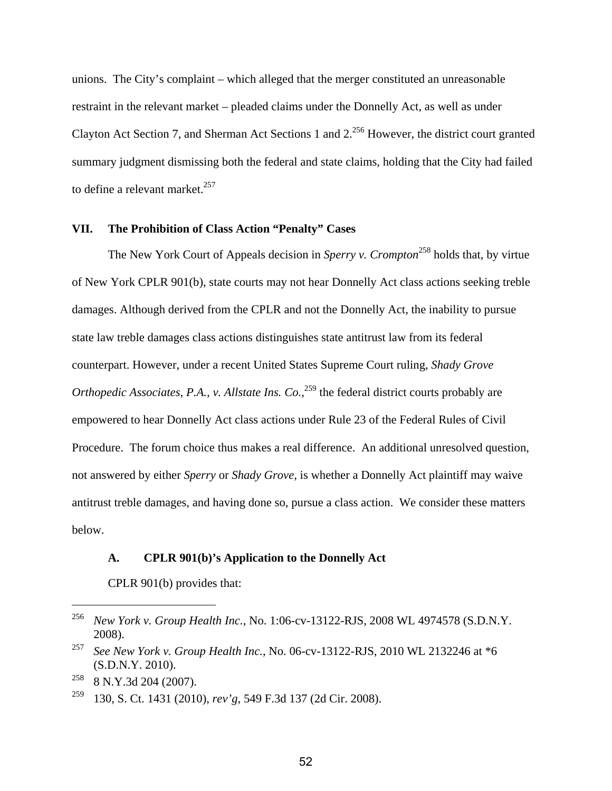unions. The City's complaint – which alleged that the merger constituted an unreasonable restraint in the relevant market – pleaded claims under the Donnelly Act, as well as under Clayton Act Section 7, and Sherman Act Sections 1 and 2.256 However, the district court granted summary judgment dismissing both the federal and state claims, holding that the City had failed to define a relevant market. $^{257}$ 

### **VII. The Prohibition of Class Action "Penalty" Cases**

The New York Court of Appeals decision in *Sperry v. Crompton*<sup>258</sup> holds that, by virtue of New York CPLR 901(b), state courts may not hear Donnelly Act class actions seeking treble damages. Although derived from the CPLR and not the Donnelly Act, the inability to pursue state law treble damages class actions distinguishes state antitrust law from its federal counterpart. However, under a recent United States Supreme Court ruling, *Shady Grove Orthopedic Associates, P.A., v. Allstate Ins. Co.*<sup>259</sup> the federal district courts probably are empowered to hear Donnelly Act class actions under Rule 23 of the Federal Rules of Civil Procedure. The forum choice thus makes a real difference. An additional unresolved question, not answered by either *Sperry* or *Shady Grove*, is whether a Donnelly Act plaintiff may waive antitrust treble damages, and having done so, pursue a class action. We consider these matters below.

#### **A. CPLR 901(b)'s Application to the Donnelly Act**

CPLR 901(b) provides that:

<sup>256</sup> *New York v. Group Health Inc.*, No. 1:06-cv-13122-RJS, 2008 WL 4974578 (S.D.N.Y. 2008).

<sup>257</sup> *See New York v. Group Health Inc.*, No. 06-cv-13122-RJS, 2010 WL 2132246 at \*6 (S.D.N.Y. 2010).

 $258$  8 N.Y.3d 204 (2007).

<sup>259 130,</sup> S. Ct. 1431 (2010), *rev'g*, 549 F.3d 137 (2d Cir. 2008).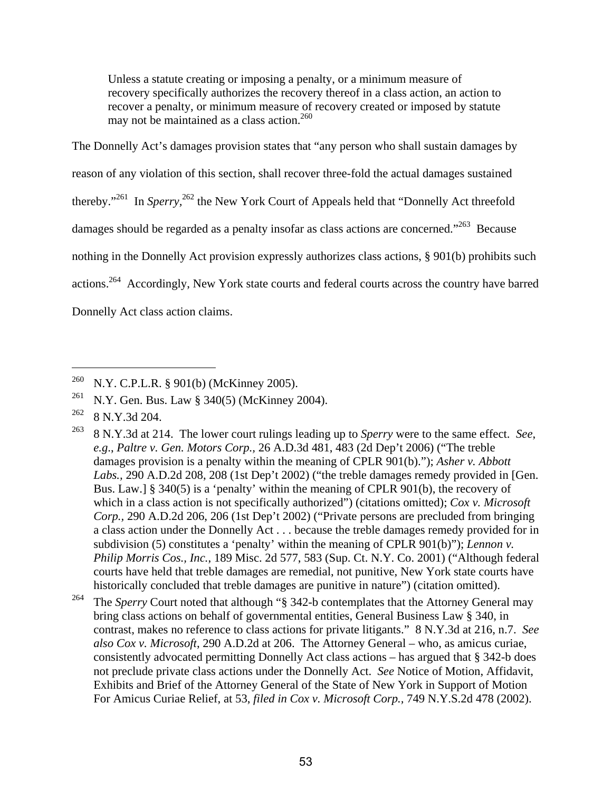Unless a statute creating or imposing a penalty, or a minimum measure of recovery specifically authorizes the recovery thereof in a class action, an action to recover a penalty, or minimum measure of recovery created or imposed by statute may not be maintained as a class action.<sup>260</sup>

The Donnelly Act's damages provision states that "any person who shall sustain damages by reason of any violation of this section, shall recover three-fold the actual damages sustained thereby."261 In *Sperry,*<sup>262</sup> the New York Court of Appeals held that "Donnelly Act threefold damages should be regarded as a penalty insofar as class actions are concerned."<sup>263</sup> Because nothing in the Donnelly Act provision expressly authorizes class actions, § 901(b) prohibits such actions.264 Accordingly, New York state courts and federal courts across the country have barred Donnelly Act class action claims.

<sup>&</sup>lt;sup>260</sup> N.Y. C.P.L.R. § 901(b) (McKinney 2005).

<sup>&</sup>lt;sup>261</sup> N.Y. Gen. Bus. Law § 340(5) (McKinney 2004).

 $262$  8 N.Y.3d 204.

<sup>263 8</sup> N.Y.3d at 214. The lower court rulings leading up to *Sperry* were to the same effect. *See*, *e.g*., *Paltre v. Gen. Motors Corp.,* 26 A.D.3d 481, 483 (2d Dep't 2006) ("The treble damages provision is a penalty within the meaning of CPLR 901(b)."); *Asher v. Abbott Labs.,* 290 A.D.2d 208, 208 (1st Dep't 2002) ("the treble damages remedy provided in [Gen. Bus. Law.] § 340(5) is a 'penalty' within the meaning of CPLR 901(b), the recovery of which in a class action is not specifically authorized") (citations omitted); *Cox v. Microsoft Corp.,* 290 A.D.2d 206, 206 (1st Dep't 2002) ("Private persons are precluded from bringing a class action under the Donnelly Act . . . because the treble damages remedy provided for in subdivision (5) constitutes a 'penalty' within the meaning of CPLR 901(b)"); *Lennon v. Philip Morris Cos., Inc.*, 189 Misc. 2d 577, 583 (Sup. Ct. N.Y. Co. 2001) ("Although federal courts have held that treble damages are remedial, not punitive, New York state courts have historically concluded that treble damages are punitive in nature") (citation omitted).

<sup>&</sup>lt;sup>264</sup> The *Sperry* Court noted that although "§ 342-b contemplates that the Attorney General may bring class actions on behalf of governmental entities, General Business Law § 340, in contrast, makes no reference to class actions for private litigants." 8 N.Y.3d at 216, n.7. *See also Cox v. Microsoft*, 290 A.D.2d at 206. The Attorney General – who, as amicus curiae, consistently advocated permitting Donnelly Act class actions – has argued that § 342-b does not preclude private class actions under the Donnelly Act. *See* Notice of Motion, Affidavit, Exhibits and Brief of the Attorney General of the State of New York in Support of Motion For Amicus Curiae Relief, at 53, *filed in Cox v. Microsoft Corp.,* 749 N.Y.S.2d 478 (2002).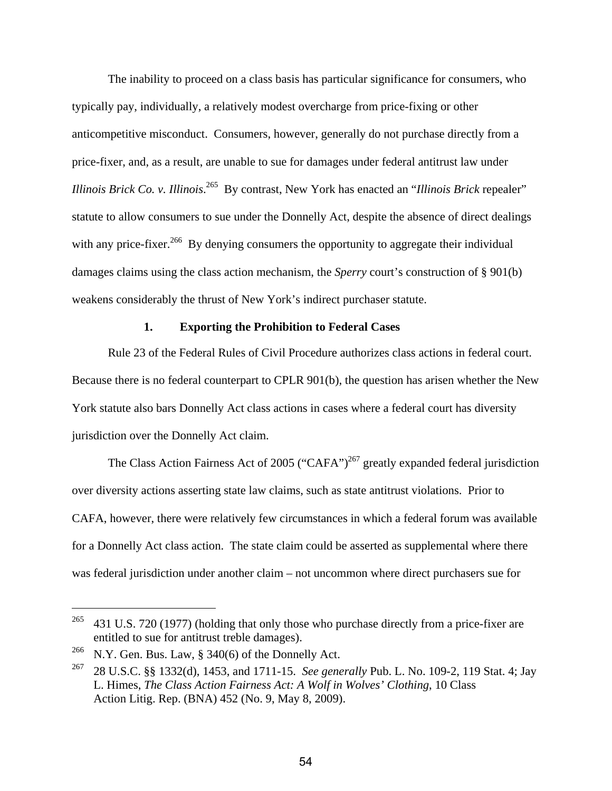The inability to proceed on a class basis has particular significance for consumers, who typically pay, individually, a relatively modest overcharge from price-fixing or other anticompetitive misconduct. Consumers, however, generally do not purchase directly from a price-fixer, and, as a result, are unable to sue for damages under federal antitrust law under *Illinois Brick Co. v. Illinois*. 265 By contrast, New York has enacted an "*Illinois Brick* repealer" statute to allow consumers to sue under the Donnelly Act, despite the absence of direct dealings with any price-fixer.<sup>266</sup> By denying consumers the opportunity to aggregate their individual damages claims using the class action mechanism, the *Sperry* court's construction of § 901(b) weakens considerably the thrust of New York's indirect purchaser statute.

## **1. Exporting the Prohibition to Federal Cases**

Rule 23 of the Federal Rules of Civil Procedure authorizes class actions in federal court. Because there is no federal counterpart to CPLR 901(b), the question has arisen whether the New York statute also bars Donnelly Act class actions in cases where a federal court has diversity jurisdiction over the Donnelly Act claim.

The Class Action Fairness Act of 2005 ("CAFA")<sup>267</sup> greatly expanded federal jurisdiction over diversity actions asserting state law claims, such as state antitrust violations. Prior to CAFA, however, there were relatively few circumstances in which a federal forum was available for a Donnelly Act class action. The state claim could be asserted as supplemental where there was federal jurisdiction under another claim – not uncommon where direct purchasers sue for

1

<sup>&</sup>lt;sup>265</sup> 431 U.S. 720 (1977) (holding that only those who purchase directly from a price-fixer are entitled to sue for antitrust treble damages).

<sup>&</sup>lt;sup>266</sup> N.Y. Gen. Bus. Law, § 340(6) of the Donnelly Act.

<sup>267 28</sup> U.S.C. §§ 1332(d), 1453, and 1711-15. *See generally* Pub. L. No. 109-2, 119 Stat. 4; Jay L. Himes, *The Class Action Fairness Act: A Wolf in Wolves' Clothing*, 10 Class Action Litig. Rep. (BNA) 452 (No. 9, May 8, 2009).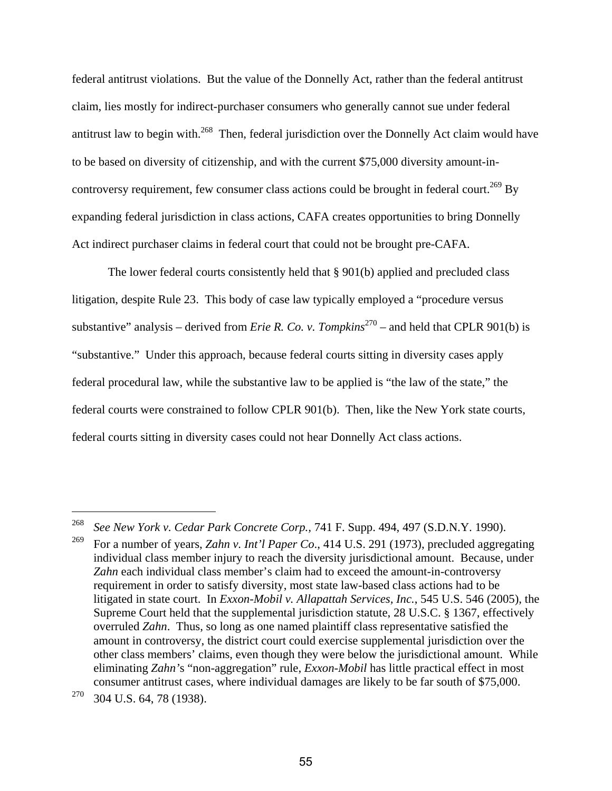federal antitrust violations. But the value of the Donnelly Act, rather than the federal antitrust claim, lies mostly for indirect-purchaser consumers who generally cannot sue under federal antitrust law to begin with.<sup>268</sup> Then, federal jurisdiction over the Donnelly Act claim would have to be based on diversity of citizenship, and with the current \$75,000 diversity amount-incontroversy requirement, few consumer class actions could be brought in federal court.<sup>269</sup> By expanding federal jurisdiction in class actions, CAFA creates opportunities to bring Donnelly Act indirect purchaser claims in federal court that could not be brought pre-CAFA.

The lower federal courts consistently held that § 901(b) applied and precluded class litigation, despite Rule 23. This body of case law typically employed a "procedure versus substantive" analysis – derived from *Erie R. Co. v. Tompkins*<sup>270</sup> – and held that CPLR 901(b) is "substantive." Under this approach, because federal courts sitting in diversity cases apply federal procedural law, while the substantive law to be applied is "the law of the state," the federal courts were constrained to follow CPLR 901(b). Then, like the New York state courts, federal courts sitting in diversity cases could not hear Donnelly Act class actions.

<sup>268</sup> *See New York v. Cedar Park Concrete Corp.,* 741 F. Supp. 494, 497 (S.D.N.Y. 1990).

<sup>269</sup> For a number of years, *Zahn v. Int'l Paper Co*., 414 U.S. 291 (1973), precluded aggregating individual class member injury to reach the diversity jurisdictional amount. Because, under *Zahn* each individual class member's claim had to exceed the amount-in-controversy requirement in order to satisfy diversity, most state law-based class actions had to be litigated in state court. In *Exxon-Mobil v. Allapattah Services, Inc.*, 545 U.S. 546 (2005), the Supreme Court held that the supplemental jurisdiction statute, 28 U.S.C. § 1367, effectively overruled *Zahn*. Thus, so long as one named plaintiff class representative satisfied the amount in controversy, the district court could exercise supplemental jurisdiction over the other class members' claims, even though they were below the jurisdictional amount. While eliminating *Zahn'*s "non-aggregation" rule, *Exxon-Mobil* has little practical effect in most consumer antitrust cases, where individual damages are likely to be far south of \$75,000.

 $270$  304 U.S. 64, 78 (1938).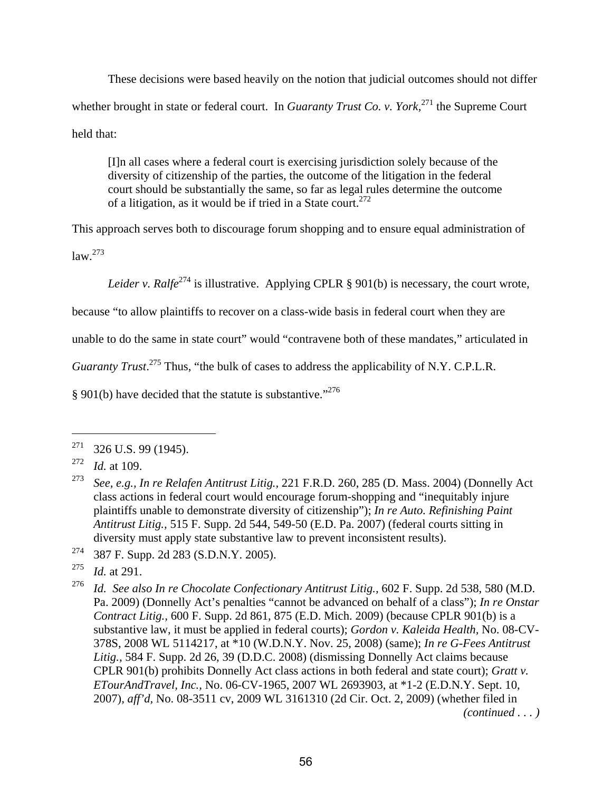These decisions were based heavily on the notion that judicial outcomes should not differ whether brought in state or federal court. In *Guaranty Trust Co. v. York*,<sup>271</sup>, the Supreme Court held that:

[I]n all cases where a federal court is exercising jurisdiction solely because of the diversity of citizenship of the parties, the outcome of the litigation in the federal court should be substantially the same, so far as legal rules determine the outcome of a litigation, as it would be if tried in a State court.<sup>272</sup>

This approach serves both to discourage forum shopping and to ensure equal administration of  $law.<sup>273</sup>$ 

*Leider v. Ralfe*<sup>274</sup> is illustrative. Applying CPLR § 901(b) is necessary, the court wrote,

because "to allow plaintiffs to recover on a class-wide basis in federal court when they are

unable to do the same in state court" would "contravene both of these mandates," articulated in

Guaranty Trust.<sup>275</sup> Thus, "the bulk of cases to address the applicability of N.Y. C.P.L.R.

§ 901(b) have decided that the statute is substantive."<sup>276</sup>

 $271$  326 U.S. 99 (1945).

<sup>272</sup> *Id.* at 109.

<sup>273</sup> *See, e.g., In re Relafen Antitrust Litig.,* 221 F.R.D. 260, 285 (D. Mass. 2004) (Donnelly Act class actions in federal court would encourage forum-shopping and "inequitably injure plaintiffs unable to demonstrate diversity of citizenship"); *In re Auto. Refinishing Paint Antitrust Litig.,* 515 F. Supp. 2d 544, 549-50 (E.D. Pa. 2007) (federal courts sitting in diversity must apply state substantive law to prevent inconsistent results).

<sup>274 387</sup> F. Supp. 2d 283 (S.D.N.Y. 2005).

<sup>275</sup> *Id.* at 291.

<sup>276</sup> *Id. See also In re Chocolate Confectionary Antitrust Litig.,* 602 F. Supp. 2d 538, 580 (M.D. Pa. 2009) (Donnelly Act's penalties "cannot be advanced on behalf of a class"); *In re Onstar Contract Litig.,* 600 F. Supp. 2d 861, 875 (E.D. Mich. 2009) (because CPLR 901(b) is a substantive law, it must be applied in federal courts); *Gordon v. Kaleida Health,* No. 08-CV-378S, 2008 WL 5114217, at \*10 (W.D.N.Y. Nov. 25, 2008) (same); *In re G-Fees Antitrust Litig.,* 584 F. Supp. 2d 26, 39 (D.D.C. 2008) (dismissing Donnelly Act claims because CPLR 901(b) prohibits Donnelly Act class actions in both federal and state court); *Gratt v. ETourAndTravel, Inc.,* No. 06-CV-1965, 2007 WL 2693903, at \*1-2 (E.D.N.Y. Sept. 10, 2007)*, aff'd,* No. 08-3511 cv, 2009 WL 3161310 (2d Cir. Oct. 2, 2009) (whether filed in *(continued . . . )*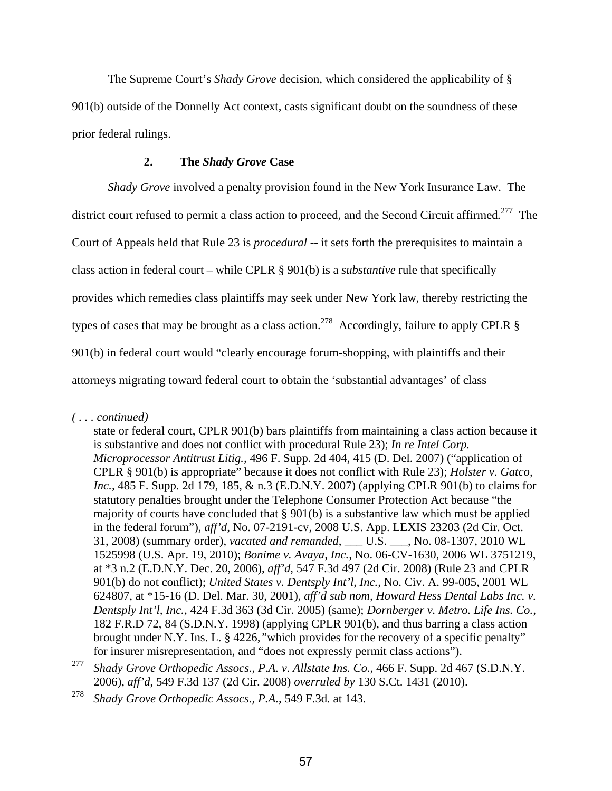The Supreme Court's *Shady Grove* decision, which considered the applicability of § 901(b) outside of the Donnelly Act context, casts significant doubt on the soundness of these prior federal rulings.

#### **2. The** *Shady Grove* **Case**

*Shady Grove* involved a penalty provision found in the New York Insurance Law. The district court refused to permit a class action to proceed, and the Second Circuit affirmed*.* 277 The Court of Appeals held that Rule 23 is *procedural* -- it sets forth the prerequisites to maintain a class action in federal court – while CPLR § 901(b) is a *substantive* rule that specifically provides which remedies class plaintiffs may seek under New York law, thereby restricting the types of cases that may be brought as a class action.<sup>278</sup> Accordingly, failure to apply CPLR  $\S$ 901(b) in federal court would "clearly encourage forum-shopping, with plaintiffs and their attorneys migrating toward federal court to obtain the 'substantial advantages' of class

*<sup>( . . .</sup> continued)* 

state or federal court, CPLR 901(b) bars plaintiffs from maintaining a class action because it is substantive and does not conflict with procedural Rule 23); *In re Intel Corp. Microprocessor Antitrust Litig.,* 496 F. Supp. 2d 404, 415 (D. Del. 2007) ("application of CPLR § 901(b) is appropriate" because it does not conflict with Rule 23); *Holster v. Gatco, Inc.,* 485 F. Supp. 2d 179, 185, & n.3 (E.D.N.Y. 2007) (applying CPLR 901(b) to claims for statutory penalties brought under the Telephone Consumer Protection Act because "the majority of courts have concluded that § 901(b) is a substantive law which must be applied in the federal forum"), *aff'd*, No. 07-2191-cv, 2008 U.S. App. LEXIS 23203 (2d Cir. Oct. 31, 2008) (summary order), *vacated and remanded*, \_\_\_ U.S. \_\_\_, No. 08-1307, 2010 WL 1525998 (U.S. Apr. 19, 2010); *Bonime v. Avaya, Inc.,* No. 06-CV-1630, 2006 WL 3751219, at \*3 n.2 (E.D.N.Y. Dec. 20, 2006), *aff'd*, 547 F.3d 497 (2d Cir. 2008) (Rule 23 and CPLR 901(b) do not conflict); *United States v. Dentsply Int'l, Inc.,* No. Civ. A. 99-005, 2001 WL 624807, at \*15-16 (D. Del. Mar. 30, 2001), *aff'd sub nom, Howard Hess Dental Labs Inc. v. Dentsply Int'l, Inc.*, 424 F.3d 363 (3d Cir. 2005) (same); *Dornberger v. Metro. Life Ins. Co.,*  182 F.R.D 72, 84 (S.D.N.Y. 1998) (applying CPLR 901(b), and thus barring a class action brought under N.Y. Ins. L. § 4226,*"*which provides for the recovery of a specific penalty" for insurer misrepresentation, and "does not expressly permit class actions").

<sup>277</sup> *Shady Grove Orthopedic Assocs., P.A. v. Allstate Ins. Co.*, 466 F. Supp. 2d 467 (S.D.N.Y. 2006), *aff'd*, 549 F.3d 137 (2d Cir. 2008) *overruled by* 130 S.Ct. 1431 (2010).

<sup>278</sup> *Shady Grove Orthopedic Assocs., P.A.,* 549 F.3d*.* at 143.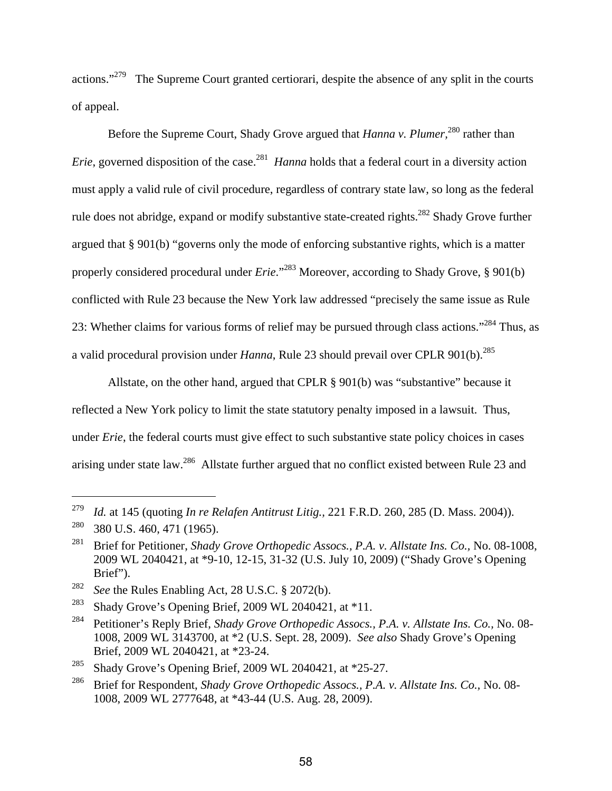actions."<sup>279</sup> The Supreme Court granted certiorari, despite the absence of any split in the courts of appeal.

Before the Supreme Court, Shady Grove argued that *Hanna v. Plumer,*280 rather than *Erie*, governed disposition of the case.<sup>281</sup> *Hanna* holds that a federal court in a diversity action must apply a valid rule of civil procedure, regardless of contrary state law, so long as the federal rule does not abridge, expand or modify substantive state-created rights.<sup>282</sup> Shady Grove further argued that § 901(b) "governs only the mode of enforcing substantive rights, which is a matter properly considered procedural under *Erie*."<sup>283</sup> Moreover, according to Shady Grove, § 901(b) conflicted with Rule 23 because the New York law addressed "precisely the same issue as Rule 23: Whether claims for various forms of relief may be pursued through class actions."<sup>284</sup> Thus, as a valid procedural provision under *Hanna*, Rule 23 should prevail over CPLR 901(b).<sup>285</sup>

Allstate, on the other hand, argued that CPLR § 901(b) was "substantive" because it reflected a New York policy to limit the state statutory penalty imposed in a lawsuit. Thus, under *Erie*, the federal courts must give effect to such substantive state policy choices in cases arising under state law.286 Allstate further argued that no conflict existed between Rule 23 and

<sup>279</sup> *Id.* at 145 (quoting *In re Relafen Antitrust Litig.,* 221 F.R.D. 260, 285 (D. Mass. 2004)).

 $280$  380 U.S. 460, 471 (1965).

<sup>281</sup> Brief for Petitioner, *Shady Grove Orthopedic Assocs., P.A. v. Allstate Ins. Co.,* No. 08-1008, 2009 WL 2040421, at \*9-10, 12-15, 31-32 (U.S. July 10, 2009) ("Shady Grove's Opening Brief").

<sup>282</sup> *See* the Rules Enabling Act, 28 U.S.C. § 2072(b).

<sup>&</sup>lt;sup>283</sup> Shady Grove's Opening Brief, 2009 WL 2040421, at  $*11$ .

<sup>284</sup> Petitioner's Reply Brief, *Shady Grove Orthopedic Assocs., P.A. v. Allstate Ins. Co.,* No. 08- 1008, 2009 WL 3143700, at \*2 (U.S. Sept. 28, 2009). *See also* Shady Grove's Opening Brief, 2009 WL 2040421, at \*23-24.

<sup>&</sup>lt;sup>285</sup> Shady Grove's Opening Brief, 2009 WL 2040421, at \*25-27.

<sup>286</sup> Brief for Respondent, *Shady Grove Orthopedic Assocs., P.A. v. Allstate Ins. Co.,* No. 08- 1008, 2009 WL 2777648, at \*43-44 (U.S. Aug. 28, 2009).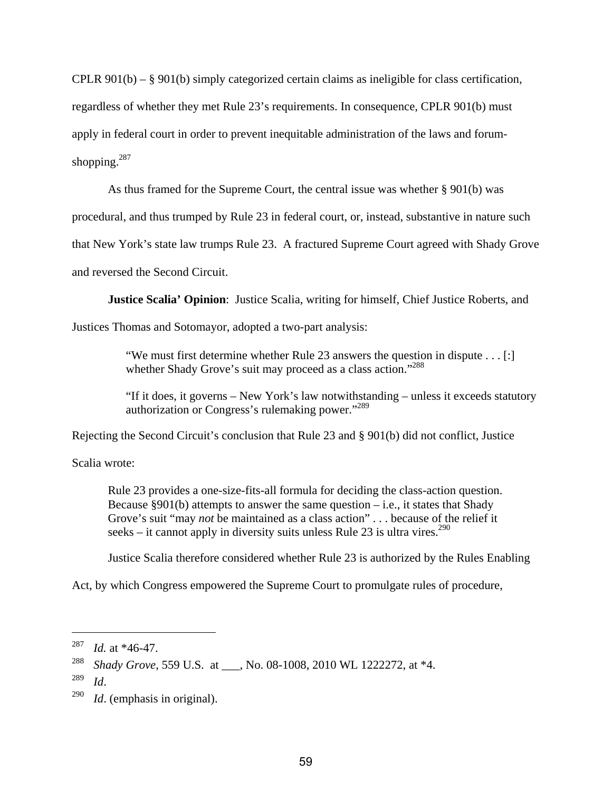CPLR 901(b) – § 901(b) simply categorized certain claims as ineligible for class certification, regardless of whether they met Rule 23's requirements. In consequence, CPLR 901(b) must apply in federal court in order to prevent inequitable administration of the laws and forumshopping. $287$ 

As thus framed for the Supreme Court, the central issue was whether § 901(b) was

procedural, and thus trumped by Rule 23 in federal court, or, instead, substantive in nature such

that New York's state law trumps Rule 23. A fractured Supreme Court agreed with Shady Grove

and reversed the Second Circuit.

**Justice Scalia' Opinion**: Justice Scalia, writing for himself, Chief Justice Roberts, and

Justices Thomas and Sotomayor, adopted a two-part analysis:

"We must first determine whether Rule 23 answers the question in dispute . . . [:] whether Shady Grove's suit may proceed as a class action."<sup>288</sup>

"If it does, it governs – New York's law notwithstanding – unless it exceeds statutory authorization or Congress's rulemaking power."<sup>289</sup>

Rejecting the Second Circuit's conclusion that Rule 23 and § 901(b) did not conflict, Justice

Scalia wrote:

Rule 23 provides a one-size-fits-all formula for deciding the class-action question. Because  $§901(b)$  attempts to answer the same question – i.e., it states that Shady Grove's suit "may *not* be maintained as a class action" . . . because of the relief it seeks – it cannot apply in diversity suits unless Rule 23 is ultra vires.<sup>290</sup>

Justice Scalia therefore considered whether Rule 23 is authorized by the Rules Enabling

Act, by which Congress empowered the Supreme Court to promulgate rules of procedure,

<sup>287</sup> *Id.* at \*46-47.

<sup>&</sup>lt;sup>288</sup> *Shady Grove*, 559 U.S. at , No. 08-1008, 2010 WL 1222272, at \*4.

<sup>289</sup>*Id*. 290 *Id*. (emphasis in original).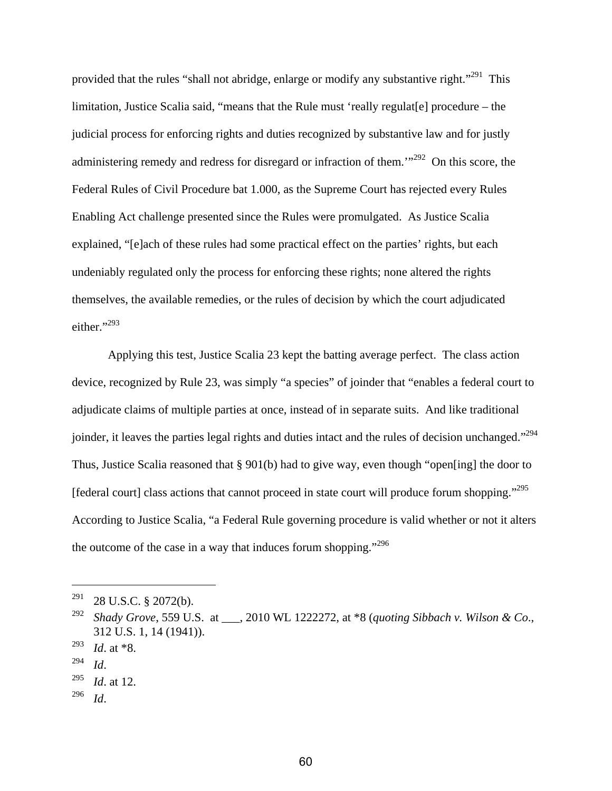provided that the rules "shall not abridge, enlarge or modify any substantive right."<sup>291</sup> This limitation, Justice Scalia said, "means that the Rule must 'really regulat [e] procedure – the judicial process for enforcing rights and duties recognized by substantive law and for justly administering remedy and redress for disregard or infraction of them.<sup>'"292</sup> On this score, the Federal Rules of Civil Procedure bat 1.000, as the Supreme Court has rejected every Rules Enabling Act challenge presented since the Rules were promulgated. As Justice Scalia explained, "[e]ach of these rules had some practical effect on the parties' rights, but each undeniably regulated only the process for enforcing these rights; none altered the rights themselves, the available remedies, or the rules of decision by which the court adjudicated either."<sup>293</sup>

Applying this test, Justice Scalia 23 kept the batting average perfect. The class action device, recognized by Rule 23, was simply "a species" of joinder that "enables a federal court to adjudicate claims of multiple parties at once, instead of in separate suits. And like traditional joinder, it leaves the parties legal rights and duties intact and the rules of decision unchanged."<sup>294</sup> Thus, Justice Scalia reasoned that § 901(b) had to give way, even though "open[ing] the door to [federal court] class actions that cannot proceed in state court will produce forum shopping."<sup>295</sup> According to Justice Scalia, "a Federal Rule governing procedure is valid whether or not it alters the outcome of the case in a way that induces forum shopping."<sup>296</sup>

 $\overline{a}$ 

296 *Id*.

 $291$  28 U.S.C. § 2072(b).

<sup>292</sup> *Shady Grove*, 559 U.S. at \_\_\_, 2010 WL 1222272, at \*8 (*quoting Sibbach v. Wilson & Co*., 312 U.S. 1, 14 (1941)).

<sup>293</sup> *Id*. at \*8.

<sup>294</sup> *Id*. 295 *Id*. at 12.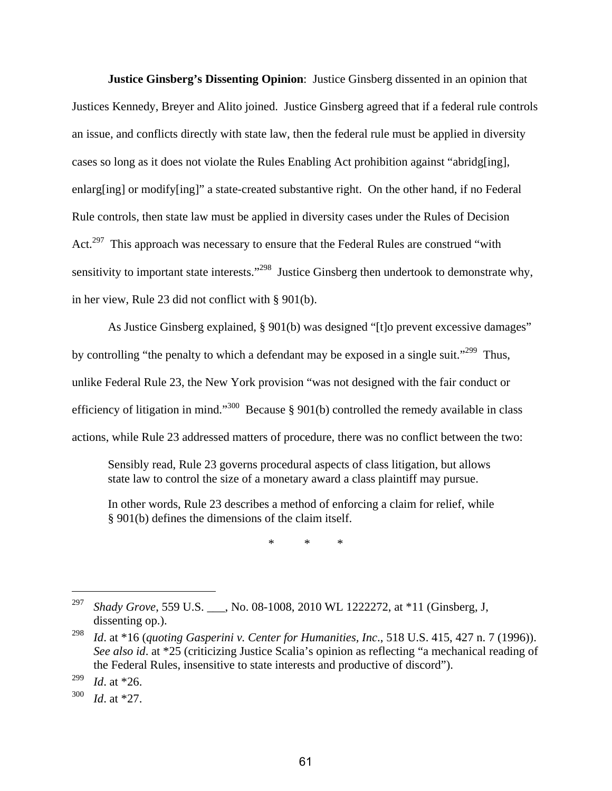**Justice Ginsberg's Dissenting Opinion**: Justice Ginsberg dissented in an opinion that Justices Kennedy, Breyer and Alito joined. Justice Ginsberg agreed that if a federal rule controls an issue, and conflicts directly with state law, then the federal rule must be applied in diversity cases so long as it does not violate the Rules Enabling Act prohibition against "abridg[ing], enlarg[ing] or modify[ing]" a state-created substantive right. On the other hand, if no Federal Rule controls, then state law must be applied in diversity cases under the Rules of Decision Act.<sup>297</sup> This approach was necessary to ensure that the Federal Rules are construed "with" sensitivity to important state interests."<sup>298</sup> Justice Ginsberg then undertook to demonstrate why, in her view, Rule 23 did not conflict with § 901(b).

As Justice Ginsberg explained, § 901(b) was designed "[t]o prevent excessive damages" by controlling "the penalty to which a defendant may be exposed in a single suit."<sup>299</sup> Thus, unlike Federal Rule 23, the New York provision "was not designed with the fair conduct or efficiency of litigation in mind."<sup>300</sup> Because § 901(b) controlled the remedy available in class actions, while Rule 23 addressed matters of procedure, there was no conflict between the two:

Sensibly read, Rule 23 governs procedural aspects of class litigation, but allows state law to control the size of a monetary award a class plaintiff may pursue.

In other words, Rule 23 describes a method of enforcing a claim for relief, while § 901(b) defines the dimensions of the claim itself.

\* \* \*

<sup>297</sup> *Shady Grove*, 559 U.S. \_\_\_, No. 08-1008, 2010 WL 1222272, at \*11 (Ginsberg, J, dissenting op.).

<sup>298</sup> *Id*. at \*16 (*quoting Gasperini v. Center for Humanities, Inc*., 518 U.S. 415, 427 n. 7 (1996)). *See also id*. at \*25 (criticizing Justice Scalia's opinion as reflecting "a mechanical reading of the Federal Rules, insensitive to state interests and productive of discord").

<sup>299</sup> *Id*. at \*26.

<sup>300</sup> *Id*. at \*27.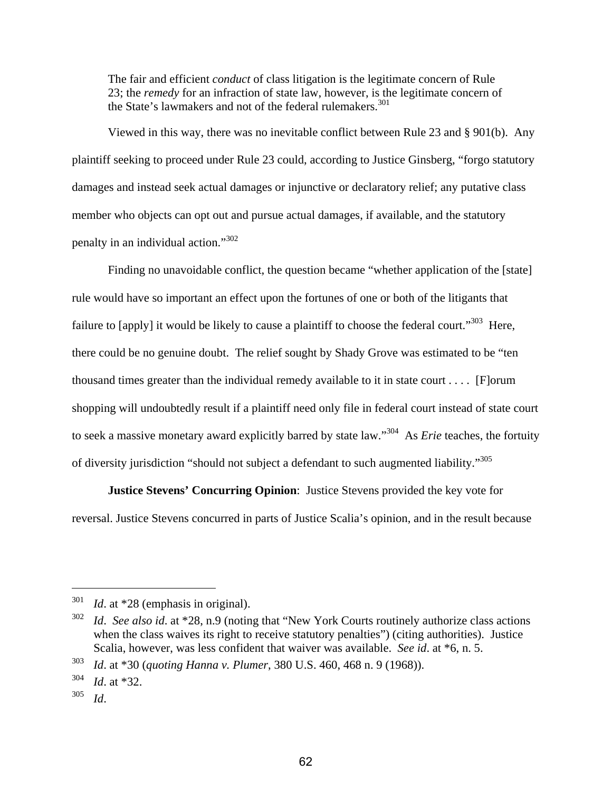The fair and efficient *conduct* of class litigation is the legitimate concern of Rule 23; the *remedy* for an infraction of state law, however, is the legitimate concern of the State's lawmakers and not of the federal rulemakers.<sup>301</sup>

Viewed in this way, there was no inevitable conflict between Rule 23 and § 901(b). Any plaintiff seeking to proceed under Rule 23 could, according to Justice Ginsberg, "forgo statutory damages and instead seek actual damages or injunctive or declaratory relief; any putative class member who objects can opt out and pursue actual damages, if available, and the statutory penalty in an individual action."<sup>302</sup>

Finding no unavoidable conflict, the question became "whether application of the [state] rule would have so important an effect upon the fortunes of one or both of the litigants that failure to [apply] it would be likely to cause a plaintiff to choose the federal court."<sup>303</sup> Here, there could be no genuine doubt. The relief sought by Shady Grove was estimated to be "ten thousand times greater than the individual remedy available to it in state court . . . . [F]orum shopping will undoubtedly result if a plaintiff need only file in federal court instead of state court to seek a massive monetary award explicitly barred by state law."304 As *Erie* teaches, the fortuity of diversity jurisdiction "should not subject a defendant to such augmented liability."<sup>305</sup>

**Justice Stevens' Concurring Opinion**: Justice Stevens provided the key vote for reversal. Justice Stevens concurred in parts of Justice Scalia's opinion, and in the result because

1

<sup>301</sup> *Id*. at \*28 (emphasis in original).

<sup>302</sup> *Id*. *See also id*. at \*28, n.9 (noting that "New York Courts routinely authorize class actions when the class waives its right to receive statutory penalties") (citing authorities). Justice Scalia, however, was less confident that waiver was available. *See id*. at \*6, n. 5.

<sup>303</sup> *Id*. at \*30 (*quoting Hanna v. Plumer*, 380 U.S. 460, 468 n. 9 (1968)).

<sup>304</sup> *Id*. at \*32.

<sup>305</sup> *Id*.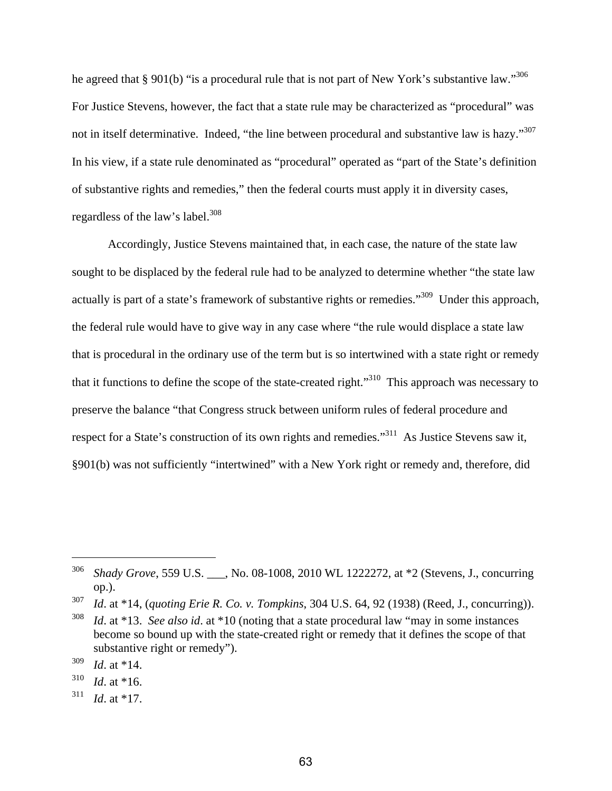he agreed that § 901(b) "is a procedural rule that is not part of New York's substantive law."<sup>306</sup> For Justice Stevens, however, the fact that a state rule may be characterized as "procedural" was not in itself determinative. Indeed, "the line between procedural and substantive law is hazy."<sup>307</sup> In his view, if a state rule denominated as "procedural" operated as "part of the State's definition of substantive rights and remedies," then the federal courts must apply it in diversity cases, regardless of the law's label.<sup>308</sup>

Accordingly, Justice Stevens maintained that, in each case, the nature of the state law sought to be displaced by the federal rule had to be analyzed to determine whether "the state law actually is part of a state's framework of substantive rights or remedies."<sup>309</sup> Under this approach, the federal rule would have to give way in any case where "the rule would displace a state law that is procedural in the ordinary use of the term but is so intertwined with a state right or remedy that it functions to define the scope of the state-created right."310 This approach was necessary to preserve the balance "that Congress struck between uniform rules of federal procedure and respect for a State's construction of its own rights and remedies."<sup>311</sup> As Justice Stevens saw it, §901(b) was not sufficiently "intertwined" with a New York right or remedy and, therefore, did

<sup>306</sup> *Shady Grove*, 559 U.S. \_\_\_, No. 08-1008, 2010 WL 1222272, at \*2 (Stevens, J., concurring op.).

<sup>307</sup> *Id*. at \*14, (*quoting Erie R. Co. v. Tompkins*, 304 U.S. 64, 92 (1938) (Reed, J., concurring)).

<sup>308</sup> *Id*. at \*13. *See also id*. at \*10 (noting that a state procedural law "may in some instances become so bound up with the state-created right or remedy that it defines the scope of that substantive right or remedy").

<sup>309</sup> *Id*. at \*14.

<sup>310</sup> *Id*. at \*16.

 $^{311}$  *Id.* at \*17.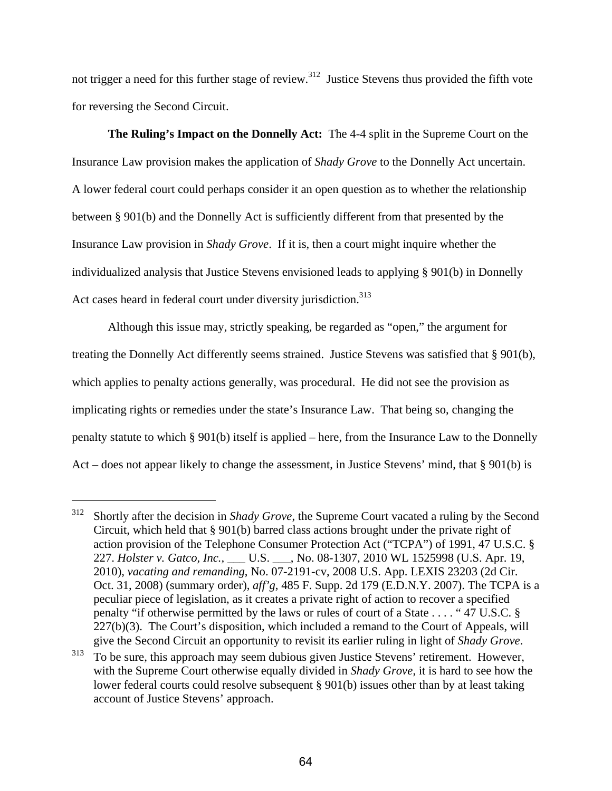not trigger a need for this further stage of review.<sup>312</sup> Justice Stevens thus provided the fifth vote for reversing the Second Circuit.

**The Ruling's Impact on the Donnelly Act:** The 4-4 split in the Supreme Court on the Insurance Law provision makes the application of *Shady Grove* to the Donnelly Act uncertain. A lower federal court could perhaps consider it an open question as to whether the relationship between § 901(b) and the Donnelly Act is sufficiently different from that presented by the Insurance Law provision in *Shady Grove*. If it is, then a court might inquire whether the individualized analysis that Justice Stevens envisioned leads to applying § 901(b) in Donnelly Act cases heard in federal court under diversity jurisdiction.<sup>313</sup>

Although this issue may, strictly speaking, be regarded as "open," the argument for treating the Donnelly Act differently seems strained. Justice Stevens was satisfied that § 901(b), which applies to penalty actions generally, was procedural. He did not see the provision as implicating rights or remedies under the state's Insurance Law. That being so, changing the penalty statute to which § 901(b) itself is applied – here, from the Insurance Law to the Donnelly Act – does not appear likely to change the assessment, in Justice Stevens' mind, that § 901(b) is

<sup>312</sup> Shortly after the decision in *Shady Grove*, the Supreme Court vacated a ruling by the Second Circuit, which held that § 901(b) barred class actions brought under the private right of action provision of the Telephone Consumer Protection Act ("TCPA") of 1991, 47 U.S.C. § 227. *Holster v. Gatco, Inc.,* \_\_\_ U.S. \_\_\_, No. 08-1307, 2010 WL 1525998 (U.S. Apr. 19, 2010), *vacating and remanding*, No. 07-2191-cv, 2008 U.S. App. LEXIS 23203 (2d Cir. Oct. 31, 2008) (summary order), *aff'g*, 485 F. Supp. 2d 179 (E.D.N.Y. 2007). The TCPA is a peculiar piece of legislation, as it creates a private right of action to recover a specified penalty "if otherwise permitted by the laws or rules of court of a State . . . . " 47 U.S.C. §  $227(b)(3)$ . The Court's disposition, which included a remand to the Court of Appeals, will

give the Second Circuit an opportunity to revisit its earlier ruling in light of *Shady Grove*.<br><sup>313</sup> To be sure, this approach may seem dubious given Justice Stevens' retirement. However, with the Supreme Court otherwise equally divided in *Shady Grove*, it is hard to see how the lower federal courts could resolve subsequent § 901(b) issues other than by at least taking account of Justice Stevens' approach.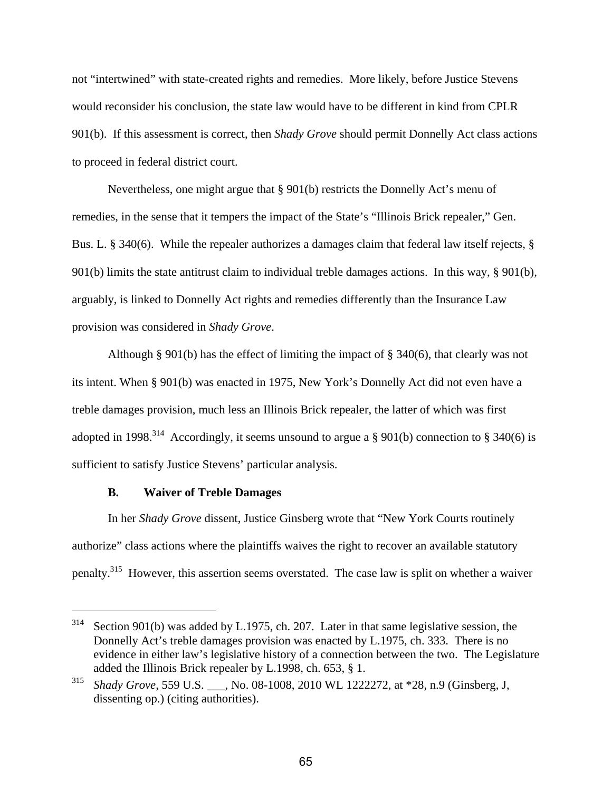not "intertwined" with state-created rights and remedies. More likely, before Justice Stevens would reconsider his conclusion, the state law would have to be different in kind from CPLR 901(b). If this assessment is correct, then *Shady Grove* should permit Donnelly Act class actions to proceed in federal district court.

Nevertheless, one might argue that § 901(b) restricts the Donnelly Act's menu of remedies, in the sense that it tempers the impact of the State's "Illinois Brick repealer," Gen. Bus. L. § 340(6). While the repealer authorizes a damages claim that federal law itself rejects, § 901(b) limits the state antitrust claim to individual treble damages actions. In this way, § 901(b), arguably, is linked to Donnelly Act rights and remedies differently than the Insurance Law provision was considered in *Shady Grove*.

Although § 901(b) has the effect of limiting the impact of § 340(6), that clearly was not its intent. When § 901(b) was enacted in 1975, New York's Donnelly Act did not even have a treble damages provision, much less an Illinois Brick repealer, the latter of which was first adopted in 1998.<sup>314</sup> Accordingly, it seems unsound to argue a § 901(b) connection to § 340(6) is sufficient to satisfy Justice Stevens' particular analysis.

#### **B. Waiver of Treble Damages**

1

In her *Shady Grove* dissent, Justice Ginsberg wrote that "New York Courts routinely authorize" class actions where the plaintiffs waives the right to recover an available statutory penalty.315 However, this assertion seems overstated. The case law is split on whether a waiver

 $314$  Section 901(b) was added by L.1975, ch. 207. Later in that same legislative session, the Donnelly Act's treble damages provision was enacted by L.1975, ch. 333. There is no evidence in either law's legislative history of a connection between the two. The Legislature added the Illinois Brick repealer by L.1998, ch. 653, § 1.

<sup>315</sup> *Shady Grove*, 559 U.S. \_\_\_, No. 08-1008, 2010 WL 1222272, at \*28, n.9 (Ginsberg, J, dissenting op.) (citing authorities).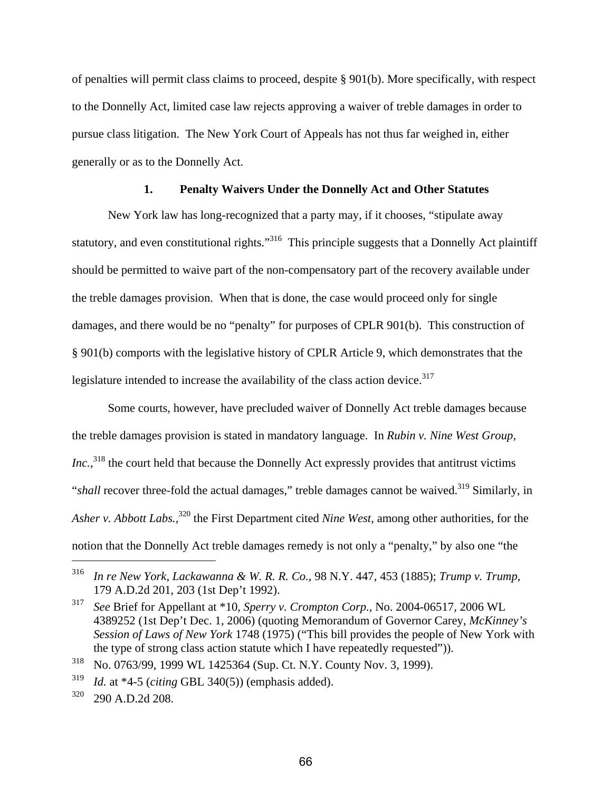of penalties will permit class claims to proceed, despite § 901(b). More specifically, with respect to the Donnelly Act, limited case law rejects approving a waiver of treble damages in order to pursue class litigation. The New York Court of Appeals has not thus far weighed in, either generally or as to the Donnelly Act.

### **1. Penalty Waivers Under the Donnelly Act and Other Statutes**

New York law has long-recognized that a party may, if it chooses, "stipulate away statutory, and even constitutional rights."<sup>316</sup> This principle suggests that a Donnelly Act plaintiff should be permitted to waive part of the non-compensatory part of the recovery available under the treble damages provision. When that is done, the case would proceed only for single damages, and there would be no "penalty" for purposes of CPLR 901(b). This construction of § 901(b) comports with the legislative history of CPLR Article 9, which demonstrates that the legislature intended to increase the availability of the class action device. $317$ 

Some courts, however, have precluded waiver of Donnelly Act treble damages because the treble damages provision is stated in mandatory language. In *Rubin v. Nine West Group,*  Inc.,<sup>318</sup> the court held that because the Donnelly Act expressly provides that antitrust victims "*shall* recover three-fold the actual damages," treble damages cannot be waived.<sup>319</sup> Similarly, in *Asher v. Abbott Labs.,*320 the First Department cited *Nine West*, among other authorities*,* for the notion that the Donnelly Act treble damages remedy is not only a "penalty," by also one "the

318 No. 0763/99, 1999 WL 1425364 (Sup. Ct. N.Y. County Nov. 3, 1999).

1

<sup>316</sup> *In re New York, Lackawanna & W. R. R. Co.,* 98 N.Y. 447, 453 (1885); *Trump v. Trump*, 179 A.D.2d 201, 203 (1st Dep't 1992).

<sup>317</sup> *See* Brief for Appellant at \*10, *Sperry v. Crompton Corp.,* No. 2004-06517, 2006 WL 4389252 (1st Dep't Dec. 1, 2006) (quoting Memorandum of Governor Carey, *McKinney's Session of Laws of New York* 1748 (1975) ("This bill provides the people of New York with the type of strong class action statute which I have repeatedly requested")).

<sup>319</sup> *Id.* at \*4-5 (*citing* GBL 340(5)) (emphasis added).

<sup>320 290</sup> A.D.2d 208.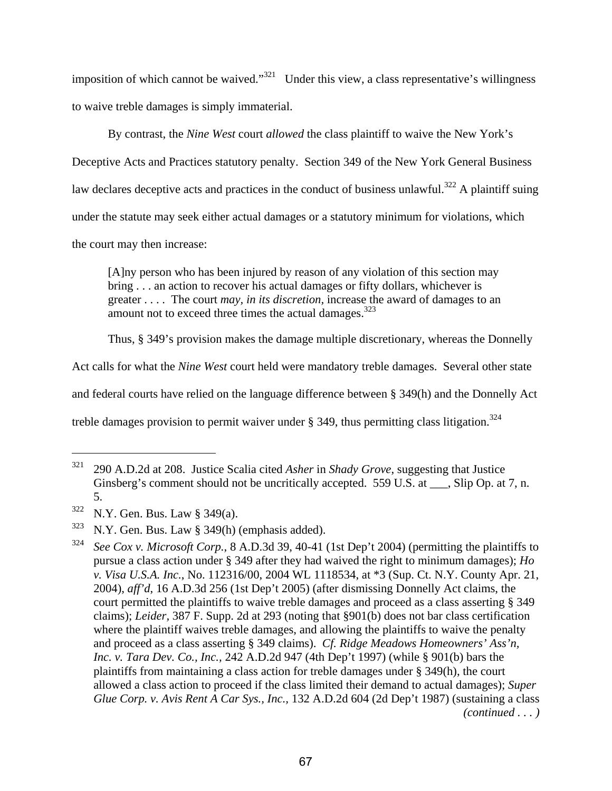imposition of which cannot be waived."<sup>321</sup> Under this view, a class representative's willingness to waive treble damages is simply immaterial.

By contrast, the *Nine West* court *allowed* the class plaintiff to waive the New York's Deceptive Acts and Practices statutory penalty. Section 349 of the New York General Business law declares deceptive acts and practices in the conduct of business unlawful.<sup>322</sup> A plaintiff suing under the statute may seek either actual damages or a statutory minimum for violations, which the court may then increase:

[A]ny person who has been injured by reason of any violation of this section may bring . . . an action to recover his actual damages or fifty dollars, whichever is greater . . . . The court *may, in its discretion,* increase the award of damages to an amount not to exceed three times the actual damages.<sup>323</sup>

Thus, § 349's provision makes the damage multiple discretionary, whereas the Donnelly

Act calls for what the *Nine West* court held were mandatory treble damages. Several other state

and federal courts have relied on the language difference between § 349(h) and the Donnelly Act

treble damages provision to permit waiver under  $\S$  349, thus permitting class litigation.<sup>324</sup>

<sup>321 290</sup> A.D.2d at 208. Justice Scalia cited *Asher* in *Shady Grove*, suggesting that Justice Ginsberg's comment should not be uncritically accepted. 559 U.S. at \_\_\_, Slip Op. at 7, n. 5.

<sup>322</sup> N.Y. Gen. Bus. Law § 349(a).

 $323$  N.Y. Gen. Bus. Law § 349(h) (emphasis added).

<sup>&</sup>lt;sup>324</sup> *See Cox v. Microsoft Corp.*, 8 A.D.3d 39, 40-41 (1st Dep't 2004) (permitting the plaintiffs to pursue a class action under § 349 after they had waived the right to minimum damages); *Ho v. Visa U.S.A. Inc.*, No. 112316/00, 2004 WL 1118534, at \*3 (Sup. Ct. N.Y. County Apr. 21, 2004), *aff'd*, 16 A.D.3d 256 (1st Dep't 2005) (after dismissing Donnelly Act claims, the court permitted the plaintiffs to waive treble damages and proceed as a class asserting § 349 claims); *Leider,* 387 F. Supp. 2d at 293 (noting that §901(b) does not bar class certification where the plaintiff waives treble damages, and allowing the plaintiffs to waive the penalty and proceed as a class asserting § 349 claims). *Cf. Ridge Meadows Homeowners' Ass'n, Inc. v. Tara Dev. Co., Inc.,* 242 A.D.2d 947 (4th Dep't 1997) (while § 901(b) bars the plaintiffs from maintaining a class action for treble damages under § 349(h), the court allowed a class action to proceed if the class limited their demand to actual damages); *Super Glue Corp. v. Avis Rent A Car Sys., Inc.,* 132 A.D.2d 604 (2d Dep't 1987) (sustaining a class *(continued . . . )*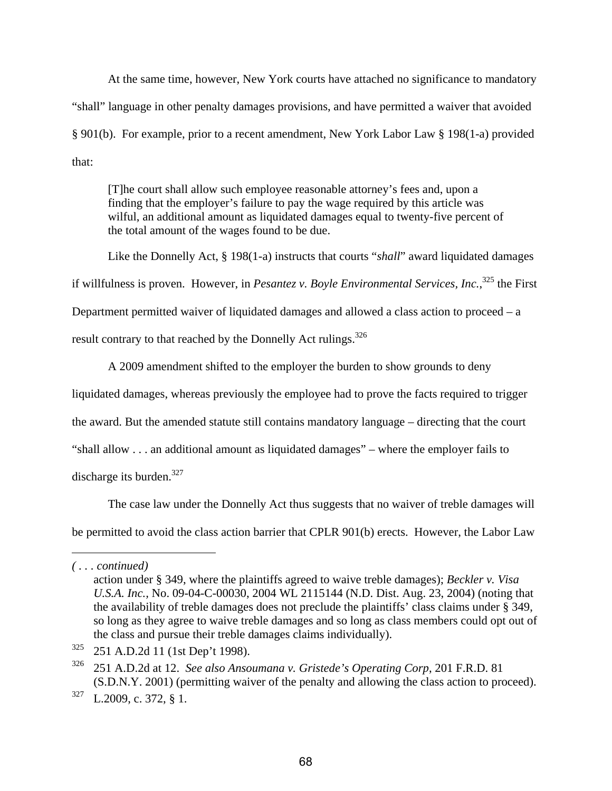At the same time, however, New York courts have attached no significance to mandatory "shall" language in other penalty damages provisions, and have permitted a waiver that avoided § 901(b). For example, prior to a recent amendment, New York Labor Law § 198(1-a) provided that:

[T]he court shall allow such employee reasonable attorney's fees and, upon a finding that the employer's failure to pay the wage required by this article was wilful, an additional amount as liquidated damages equal to twenty-five percent of the total amount of the wages found to be due.

Like the Donnelly Act, § 198(1-a) instructs that courts "*shall*" award liquidated damages if willfulness is proven. However, in *Pesantez v. Boyle Environmental Services, Inc.*, 325 the First Department permitted waiver of liquidated damages and allowed a class action to proceed – a result contrary to that reached by the Donnelly Act rulings. $^{326}$ 

A 2009 amendment shifted to the employer the burden to show grounds to deny liquidated damages, whereas previously the employee had to prove the facts required to trigger the award. But the amended statute still contains mandatory language – directing that the court "shall allow . . . an additional amount as liquidated damages" – where the employer fails to discharge its burden. $327$ 

The case law under the Donnelly Act thus suggests that no waiver of treble damages will be permitted to avoid the class action barrier that CPLR 901(b) erects. However, the Labor Law

*<sup>( . . .</sup> continued)* 

action under § 349, where the plaintiffs agreed to waive treble damages); *Beckler v. Visa U.S.A. Inc.,* No. 09-04-C-00030, 2004 WL 2115144 (N.D. Dist. Aug. 23, 2004) (noting that the availability of treble damages does not preclude the plaintiffs' class claims under § 349, so long as they agree to waive treble damages and so long as class members could opt out of the class and pursue their treble damages claims individually).

<sup>325 251</sup> A.D.2d 11 (1st Dep't 1998).

<sup>326 251</sup> A.D.2d at 12. *See also Ansoumana v. Gristede's Operating Corp*, 201 F.R.D. 81 (S.D.N.Y. 2001) (permitting waiver of the penalty and allowing the class action to proceed).

<sup>327</sup> L.2009, c. 372, § 1.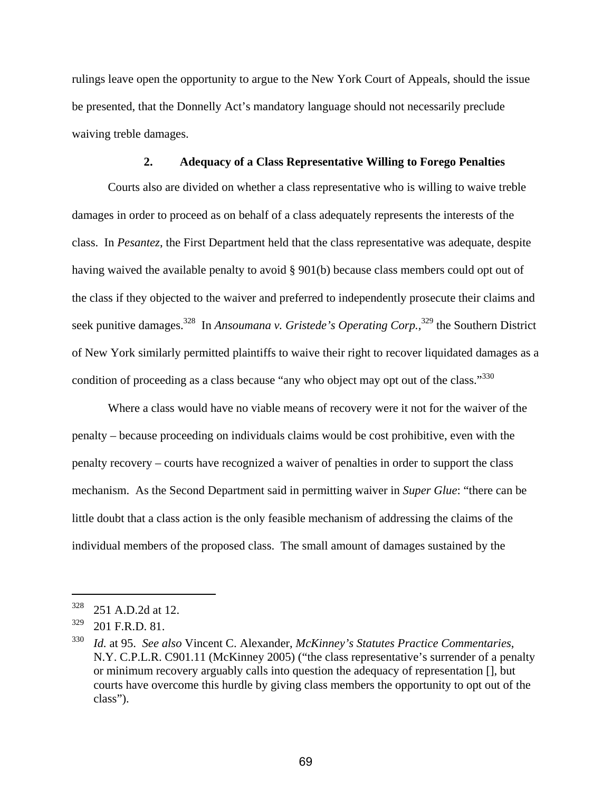rulings leave open the opportunity to argue to the New York Court of Appeals, should the issue be presented, that the Donnelly Act's mandatory language should not necessarily preclude waiving treble damages.

### **2. Adequacy of a Class Representative Willing to Forego Penalties**

Courts also are divided on whether a class representative who is willing to waive treble damages in order to proceed as on behalf of a class adequately represents the interests of the class. In *Pesantez*, the First Department held that the class representative was adequate, despite having waived the available penalty to avoid § 901(b) because class members could opt out of the class if they objected to the waiver and preferred to independently prosecute their claims and seek punitive damages.<sup>328</sup> In *Ansoumana v. Gristede's Operating Corp.*,<sup>329</sup> the Southern District of New York similarly permitted plaintiffs to waive their right to recover liquidated damages as a condition of proceeding as a class because "any who object may opt out of the class."<sup>330</sup>

Where a class would have no viable means of recovery were it not for the waiver of the penalty – because proceeding on individuals claims would be cost prohibitive, even with the penalty recovery – courts have recognized a waiver of penalties in order to support the class mechanism. As the Second Department said in permitting waiver in *Super Glue*: "there can be little doubt that a class action is the only feasible mechanism of addressing the claims of the individual members of the proposed class. The small amount of damages sustained by the

<sup>328 251</sup> A.D.2d at 12.

 $329$  201 F.R.D. 81.

<sup>330</sup> *Id.* at 95. *See also* Vincent C. Alexander, *McKinney's Statutes Practice Commentaries*, N.Y. C.P.L.R. C901.11 (McKinney 2005) ("the class representative's surrender of a penalty or minimum recovery arguably calls into question the adequacy of representation [], but courts have overcome this hurdle by giving class members the opportunity to opt out of the class").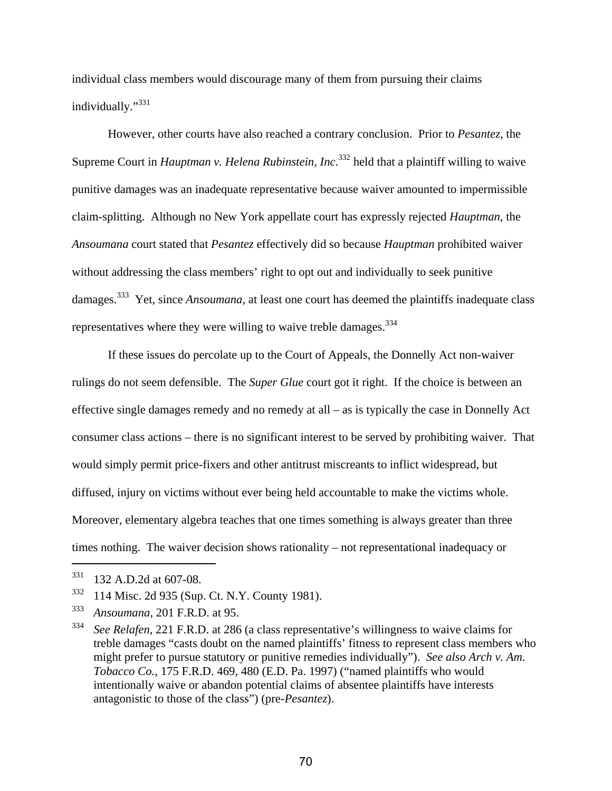individual class members would discourage many of them from pursuing their claims individually."<sup>331</sup>

However, other courts have also reached a contrary conclusion. Prior to *Pesantez*, the Supreme Court in *Hauptman v. Helena Rubinstein, Inc*. 332 held that a plaintiff willing to waive punitive damages was an inadequate representative because waiver amounted to impermissible claim-splitting. Although no New York appellate court has expressly rejected *Hauptman*, the *Ansoumana* court stated that *Pesantez* effectively did so because *Hauptman* prohibited waiver without addressing the class members' right to opt out and individually to seek punitive damages.333 Yet, since *Ansoumana,* at least one court has deemed the plaintiffs inadequate class representatives where they were willing to waive treble damages.  $334$ 

If these issues do percolate up to the Court of Appeals, the Donnelly Act non-waiver rulings do not seem defensible. The *Super Glue* court got it right. If the choice is between an effective single damages remedy and no remedy at all – as is typically the case in Donnelly Act consumer class actions – there is no significant interest to be served by prohibiting waiver. That would simply permit price-fixers and other antitrust miscreants to inflict widespread, but diffused, injury on victims without ever being held accountable to make the victims whole. Moreover, elementary algebra teaches that one times something is always greater than three times nothing. The waiver decision shows rationality – not representational inadequacy or

 $\overline{a}$ 

<sup>331 132</sup> A.D.2d at 607-08.

<sup>332 114</sup> Misc. 2d 935 (Sup. Ct. N.Y. County 1981).

<sup>333</sup> *Ansoumana,* 201 F.R.D. at 95.

<sup>334</sup> *See Relafen,* 221 F.R.D. at 286 (a class representative's willingness to waive claims for treble damages "casts doubt on the named plaintiffs' fitness to represent class members who might prefer to pursue statutory or punitive remedies individually"). *See also Arch v. Am. Tobacco Co.,* 175 F.R.D. 469, 480 (E.D. Pa. 1997) ("named plaintiffs who would intentionally waive or abandon potential claims of absentee plaintiffs have interests antagonistic to those of the class") (pre-*Pesantez*).